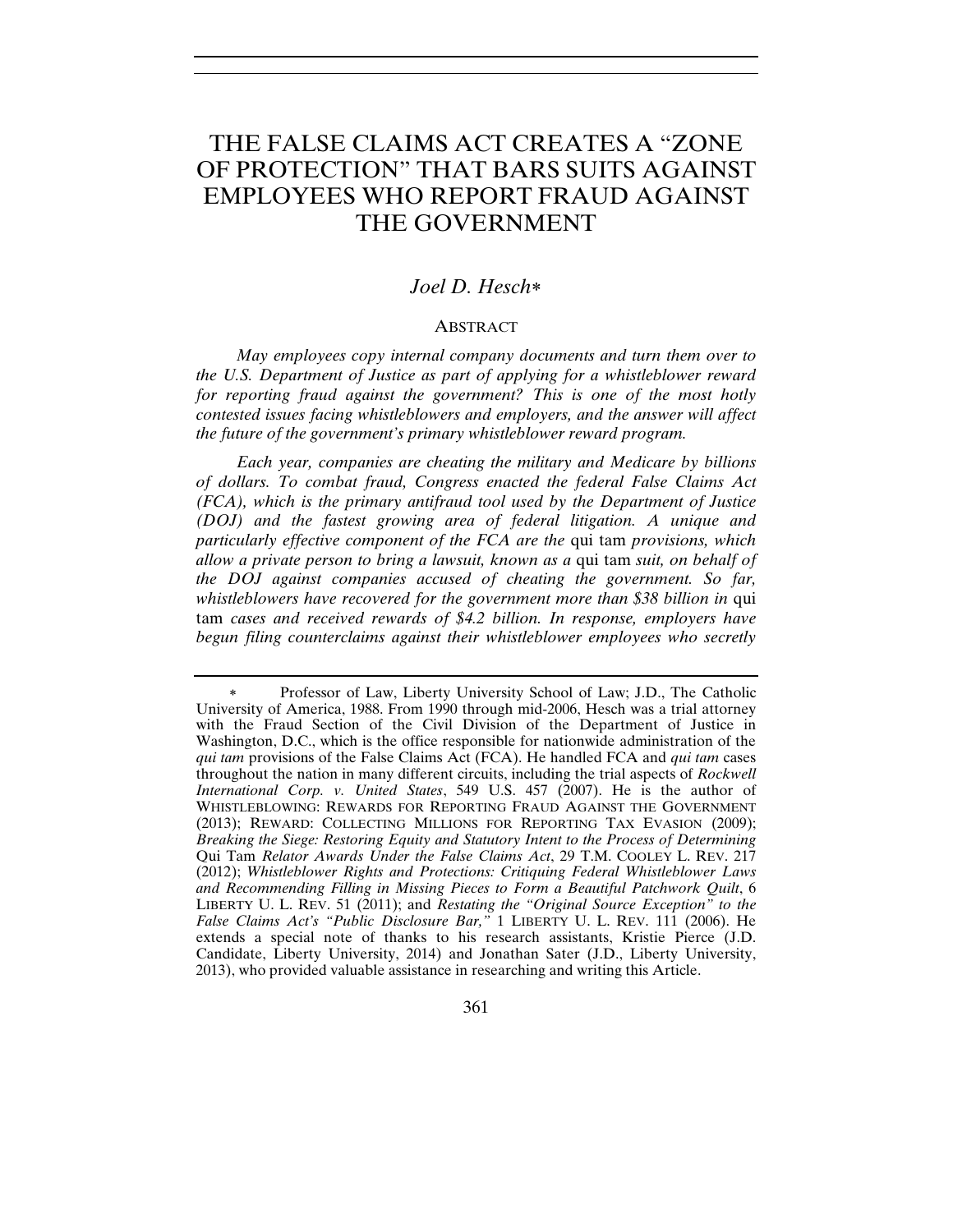# THE FALSE CLAIMS ACT CREATES A "ZONE OF PROTECTION" THAT BARS SUITS AGAINST EMPLOYEES WHO REPORT FRAUD AGAINST THE GOVERNMENT

## *Joel D. Hesch*

## ABSTRACT

*May employees copy internal company documents and turn them over to the U.S. Department of Justice as part of applying for a whistleblower reward for reporting fraud against the government? This is one of the most hotly contested issues facing whistleblowers and employers, and the answer will affect the future of the government's primary whistleblower reward program.*

*Each year, companies are cheating the military and Medicare by billions of dollars. To combat fraud, Congress enacted the federal False Claims Act (FCA), which is the primary antifraud tool used by the Department of Justice (DOJ) and the fastest growing area of federal litigation. A unique and particularly effective component of the FCA are the* qui tam *provisions, which allow a private person to bring a lawsuit, known as a* qui tam *suit, on behalf of the DOJ against companies accused of cheating the government. So far,*  whistleblowers have recovered for the government more than \$38 billion in qui tam *cases and received rewards of \$4.2 billion. In response, employers have begun filing counterclaims against their whistleblower employees who secretly* 

Professor of Law, Liberty University School of Law; J.D., The Catholic University of America, 1988. From 1990 through mid-2006, Hesch was a trial attorney with the Fraud Section of the Civil Division of the Department of Justice in Washington, D.C., which is the office responsible for nationwide administration of the *qui tam* provisions of the False Claims Act (FCA). He handled FCA and *qui tam* cases throughout the nation in many different circuits, including the trial aspects of *Rockwell International Corp. v. United States*, 549 U.S. 457 (2007). He is the author of WHISTLEBLOWING: REWARDS FOR REPORTING FRAUD AGAINST THE GOVERNMENT (2013); REWARD: COLLECTING MILLIONS FOR REPORTING TAX EVASION (2009); *Breaking the Siege: Restoring Equity and Statutory Intent to the Process of Determining*  Qui Tam *Relator Awards Under the False Claims Act*, 29 T.M. COOLEY L. REV. 217 (2012); *Whistleblower Rights and Protections: Critiquing Federal Whistleblower Laws and Recommending Filling in Missing Pieces to Form a Beautiful Patchwork Quilt*, 6 LIBERTY U. L. REV. 51 (2011); and *Restating the "Original Source Exception" to the False Claims Act's "Public Disclosure Bar,"* 1 LIBERTY U. L. REV. 111 (2006). He extends a special note of thanks to his research assistants, Kristie Pierce (J.D. Candidate, Liberty University, 2014) and Jonathan Sater (J.D., Liberty University, 2013), who provided valuable assistance in researching and writing this Article.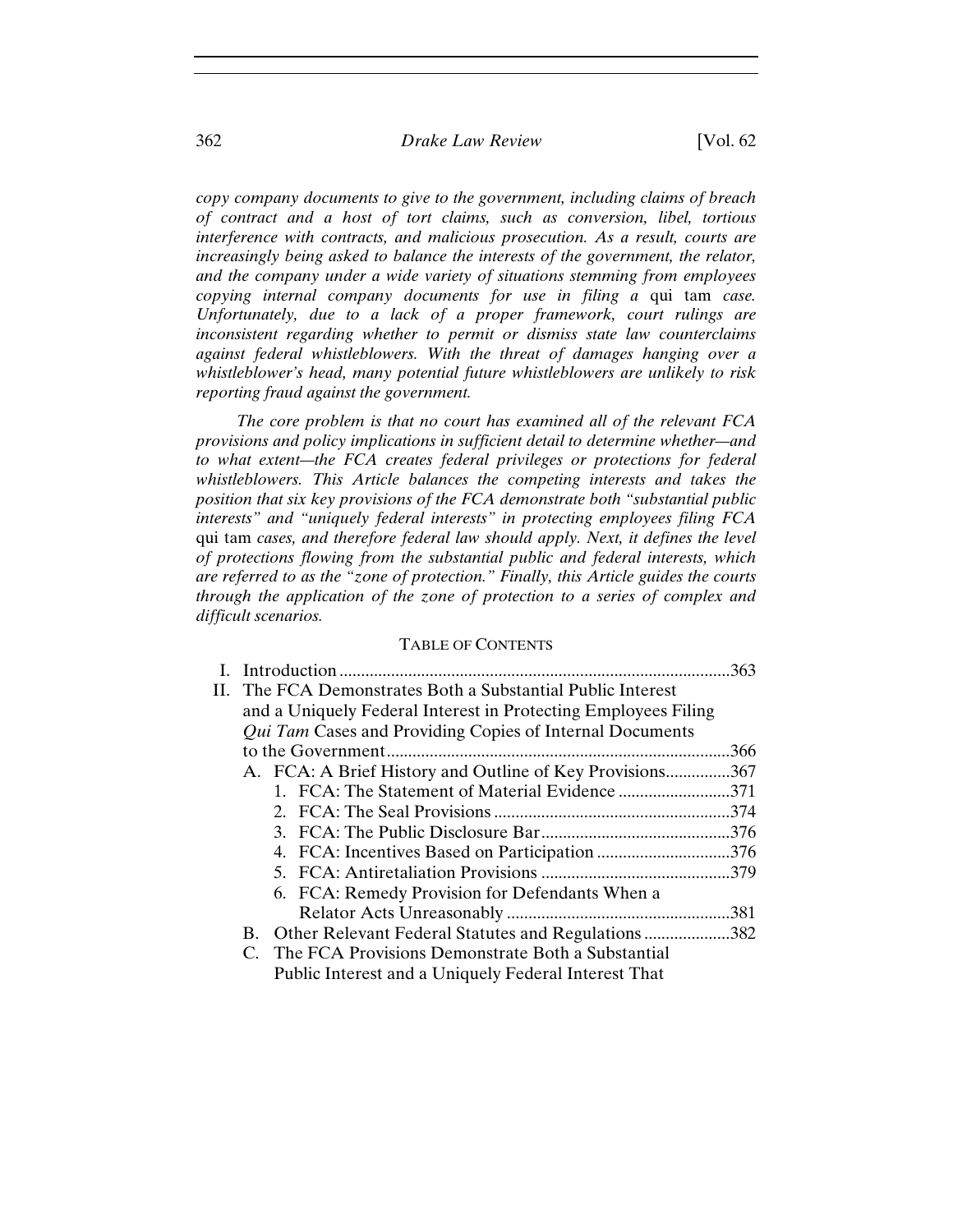## 362 *Drake Law Review* [Vol. 62

*copy company documents to give to the government, including claims of breach of contract and a host of tort claims, such as conversion, libel, tortious interference with contracts, and malicious prosecution. As a result, courts are increasingly being asked to balance the interests of the government, the relator, and the company under a wide variety of situations stemming from employees copying internal company documents for use in filing a* qui tam *case. Unfortunately, due to a lack of a proper framework, court rulings are inconsistent regarding whether to permit or dismiss state law counterclaims against federal whistleblowers. With the threat of damages hanging over a whistleblower's head, many potential future whistleblowers are unlikely to risk reporting fraud against the government.*

*The core problem is that no court has examined all of the relevant FCA provisions and policy implications in sufficient detail to determine whether—and to what extent—the FCA creates federal privileges or protections for federal whistleblowers. This Article balances the competing interests and takes the position that six key provisions of the FCA demonstrate both "substantial public interests" and "uniquely federal interests" in protecting employees filing FCA*  qui tam *cases, and therefore federal law should apply. Next, it defines the level of protections flowing from the substantial public and federal interests, which are referred to as the "zone of protection." Finally, this Article guides the courts through the application of the zone of protection to a series of complex and difficult scenarios.*

## TABLE OF CONTENTS

|                                                                | .363 |
|----------------------------------------------------------------|------|
| II. The FCA Demonstrates Both a Substantial Public Interest    |      |
| and a Uniquely Federal Interest in Protecting Employees Filing |      |
| Qui Tam Cases and Providing Copies of Internal Documents       |      |
|                                                                | .366 |
| A. FCA: A Brief History and Outline of Key Provisions367       |      |
| 1. FCA: The Statement of Material Evidence 371                 |      |
|                                                                |      |
|                                                                |      |
|                                                                |      |
|                                                                |      |
| 6. FCA: Remedy Provision for Defendants When a                 |      |
|                                                                |      |
| B. Other Relevant Federal Statutes and Regulations382          |      |
| C. The FCA Provisions Demonstrate Both a Substantial           |      |
| Public Interest and a Uniquely Federal Interest That           |      |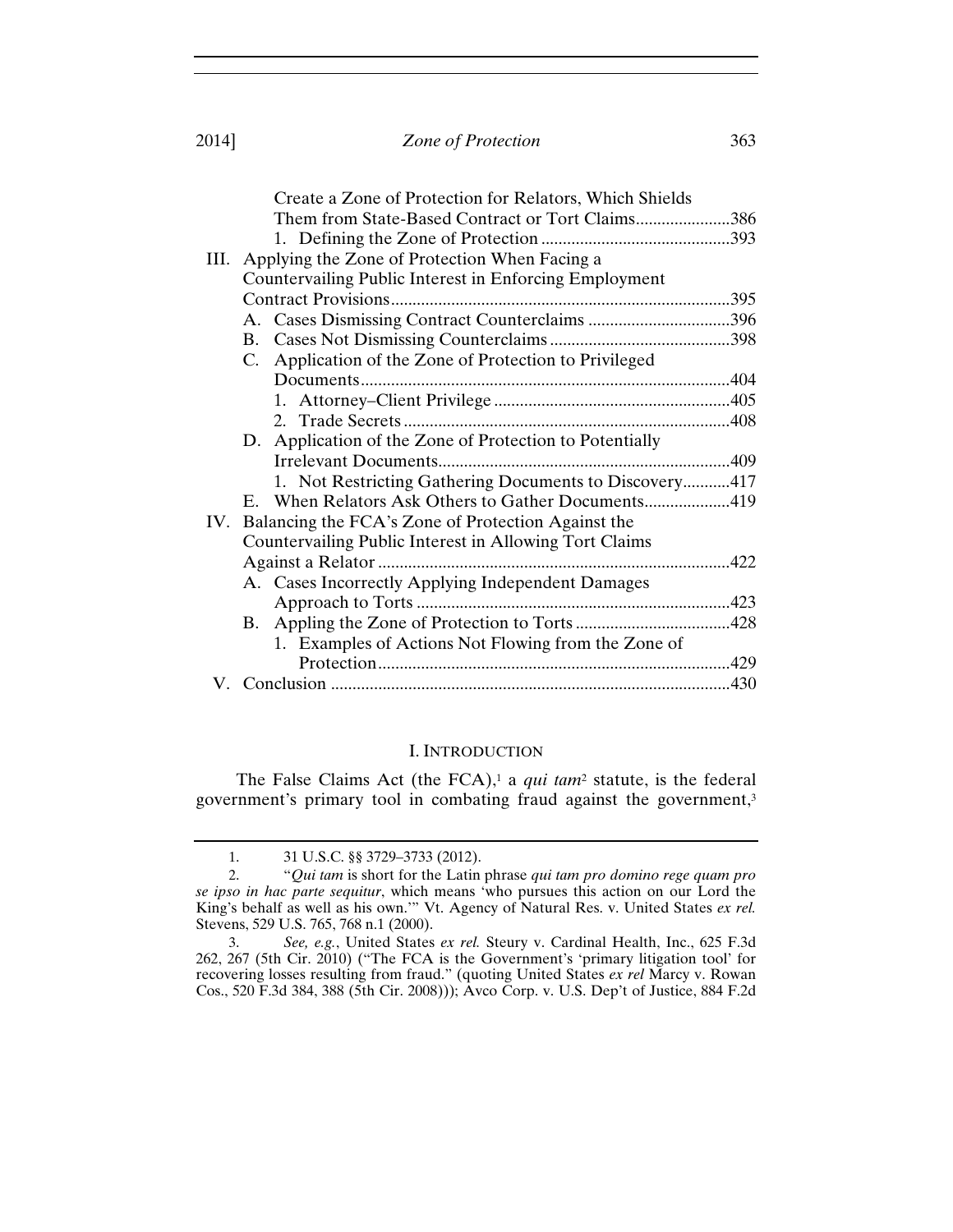|     | Create a Zone of Protection for Relators, Which Shields   |  |
|-----|-----------------------------------------------------------|--|
|     | Them from State-Based Contract or Tort Claims386          |  |
|     |                                                           |  |
|     | III. Applying the Zone of Protection When Facing a        |  |
|     | Countervailing Public Interest in Enforcing Employment    |  |
|     |                                                           |  |
|     |                                                           |  |
|     |                                                           |  |
|     | Application of the Zone of Protection to Privileged<br>C. |  |
|     |                                                           |  |
|     |                                                           |  |
|     |                                                           |  |
|     | D. Application of the Zone of Protection to Potentially   |  |
|     |                                                           |  |
|     | 1. Not Restricting Gathering Documents to Discovery417    |  |
|     | E. When Relators Ask Others to Gather Documents419        |  |
| IV. | Balancing the FCA's Zone of Protection Against the        |  |
|     | Countervailing Public Interest in Allowing Tort Claims    |  |
|     | Against a Relator                                         |  |
|     | A. Cases Incorrectly Applying Independent Damages         |  |
|     |                                                           |  |
|     | <b>B.</b>                                                 |  |
|     | 1. Examples of Actions Not Flowing from the Zone of       |  |
|     |                                                           |  |
|     |                                                           |  |

#### I. INTRODUCTION

The False Claims Act (the FCA),<sup>1</sup> a *qui tam<sup>2</sup>* statute, is the federal government's primary tool in combating fraud against the government,<sup>3</sup>

<sup>1. 31</sup> U.S.C. §§ 3729–3733 (2012).

<sup>2. &</sup>quot;*Qui tam* is short for the Latin phrase *qui tam pro domino rege quam pro se ipso in hac parte sequitur*, which means 'who pursues this action on our Lord the King's behalf as well as his own.'" Vt. Agency of Natural Res. v. United States *ex rel.* Stevens, 529 U.S. 765, 768 n.1 (2000).

<sup>3.</sup> *See, e.g.*, United States *ex rel.* Steury v. Cardinal Health, Inc., 625 F.3d 262, 267 (5th Cir. 2010) ("The FCA is the Government's 'primary litigation tool' for recovering losses resulting from fraud." (quoting United States *ex rel* Marcy v. Rowan Cos., 520 F.3d 384, 388 (5th Cir. 2008))); Avco Corp. v. U.S. Dep't of Justice, 884 F.2d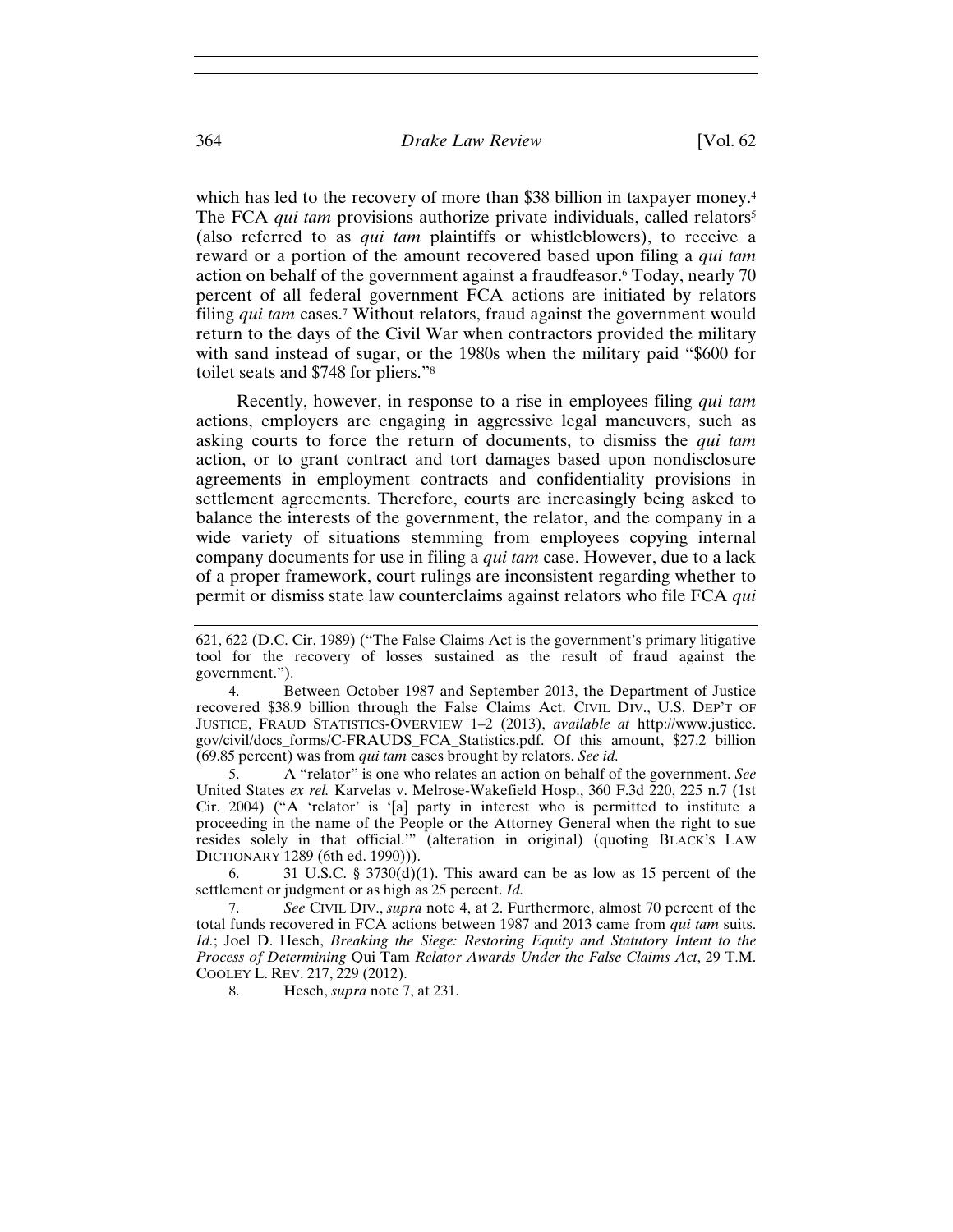which has led to the recovery of more than \$38 billion in taxpayer money.<sup>4</sup> The FCA *qui tam* provisions authorize private individuals, called relators<sup>5</sup> (also referred to as *qui tam* plaintiffs or whistleblowers), to receive a reward or a portion of the amount recovered based upon filing a *qui tam* action on behalf of the government against a fraudfeasor.6 Today, nearly 70 percent of all federal government FCA actions are initiated by relators filing *qui tam* cases.7 Without relators, fraud against the government would return to the days of the Civil War when contractors provided the military with sand instead of sugar, or the 1980s when the military paid "\$600 for toilet seats and \$748 for pliers."8

Recently, however, in response to a rise in employees filing *qui tam* actions, employers are engaging in aggressive legal maneuvers, such as asking courts to force the return of documents, to dismiss the *qui tam* action, or to grant contract and tort damages based upon nondisclosure agreements in employment contracts and confidentiality provisions in settlement agreements. Therefore, courts are increasingly being asked to balance the interests of the government, the relator, and the company in a wide variety of situations stemming from employees copying internal company documents for use in filing a *qui tam* case. However, due to a lack of a proper framework, court rulings are inconsistent regarding whether to permit or dismiss state law counterclaims against relators who file FCA *qui* 

5. A "relator" is one who relates an action on behalf of the government. *See* United States *ex rel.* Karvelas v. Melrose-Wakefield Hosp., 360 F.3d 220, 225 n.7 (1st Cir. 2004) ("A 'relator' is '[a] party in interest who is permitted to institute a proceeding in the name of the People or the Attorney General when the right to sue resides solely in that official.'" (alteration in original) (quoting BLACK'S LAW DICTIONARY 1289 (6th ed. 1990))).

6. 31 U.S.C. §  $3730(d)(1)$ . This award can be as low as 15 percent of the settlement or judgment or as high as 25 percent. *Id.*

7. *See* CIVIL DIV., *supra* note 4, at 2. Furthermore, almost 70 percent of the total funds recovered in FCA actions between 1987 and 2013 came from *qui tam* suits. *Id.*; Joel D. Hesch, *Breaking the Siege: Restoring Equity and Statutory Intent to the Process of Determining* Qui Tam *Relator Awards Under the False Claims Act*, 29 T.M. COOLEY L. REV. 217, 229 (2012).

8. Hesch, *supra* note 7, at 231.

<sup>621, 622 (</sup>D.C. Cir. 1989) ("The False Claims Act is the government's primary litigative tool for the recovery of losses sustained as the result of fraud against the government.").

<sup>4.</sup> Between October 1987 and September 2013, the Department of Justice recovered \$38.9 billion through the False Claims Act. CIVIL DIV., U.S. DEP'T OF JUSTICE, FRAUD STATISTICS-OVERVIEW 1–2 (2013), *available at* http://www.justice. gov/civil/docs\_forms/C-FRAUDS\_FCA\_Statistics.pdf. Of this amount, \$27.2 billion (69.85 percent) was from *qui tam* cases brought by relators. *See id.*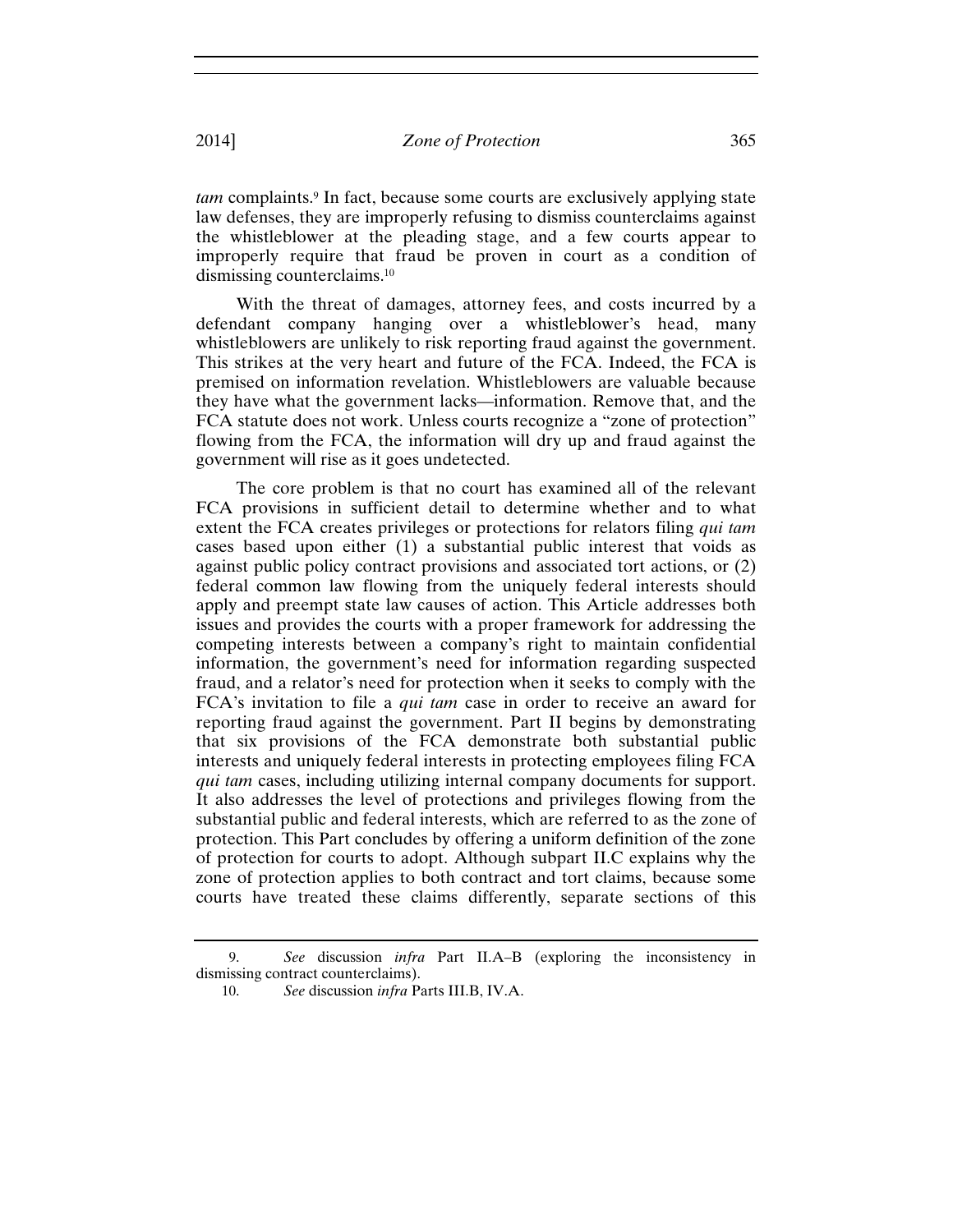*tam* complaints.<sup>9</sup> In fact, because some courts are exclusively applying state law defenses, they are improperly refusing to dismiss counterclaims against the whistleblower at the pleading stage, and a few courts appear to improperly require that fraud be proven in court as a condition of dismissing counterclaims.10

With the threat of damages, attorney fees, and costs incurred by a defendant company hanging over a whistleblower's head, many whistleblowers are unlikely to risk reporting fraud against the government. This strikes at the very heart and future of the FCA. Indeed, the FCA is premised on information revelation. Whistleblowers are valuable because they have what the government lacks—information. Remove that, and the FCA statute does not work. Unless courts recognize a "zone of protection" flowing from the FCA, the information will dry up and fraud against the government will rise as it goes undetected.

The core problem is that no court has examined all of the relevant FCA provisions in sufficient detail to determine whether and to what extent the FCA creates privileges or protections for relators filing *qui tam* cases based upon either (1) a substantial public interest that voids as against public policy contract provisions and associated tort actions, or (2) federal common law flowing from the uniquely federal interests should apply and preempt state law causes of action. This Article addresses both issues and provides the courts with a proper framework for addressing the competing interests between a company's right to maintain confidential information, the government's need for information regarding suspected fraud, and a relator's need for protection when it seeks to comply with the FCA's invitation to file a *qui tam* case in order to receive an award for reporting fraud against the government. Part II begins by demonstrating that six provisions of the FCA demonstrate both substantial public interests and uniquely federal interests in protecting employees filing FCA *qui tam* cases, including utilizing internal company documents for support. It also addresses the level of protections and privileges flowing from the substantial public and federal interests, which are referred to as the zone of protection. This Part concludes by offering a uniform definition of the zone of protection for courts to adopt. Although subpart II.C explains why the zone of protection applies to both contract and tort claims, because some courts have treated these claims differently, separate sections of this

<sup>9.</sup> *See* discussion *infra* Part II.A–B (exploring the inconsistency in dismissing contract counterclaims).

<sup>10.</sup> *See* discussion *infra* Parts III.B, IV.A.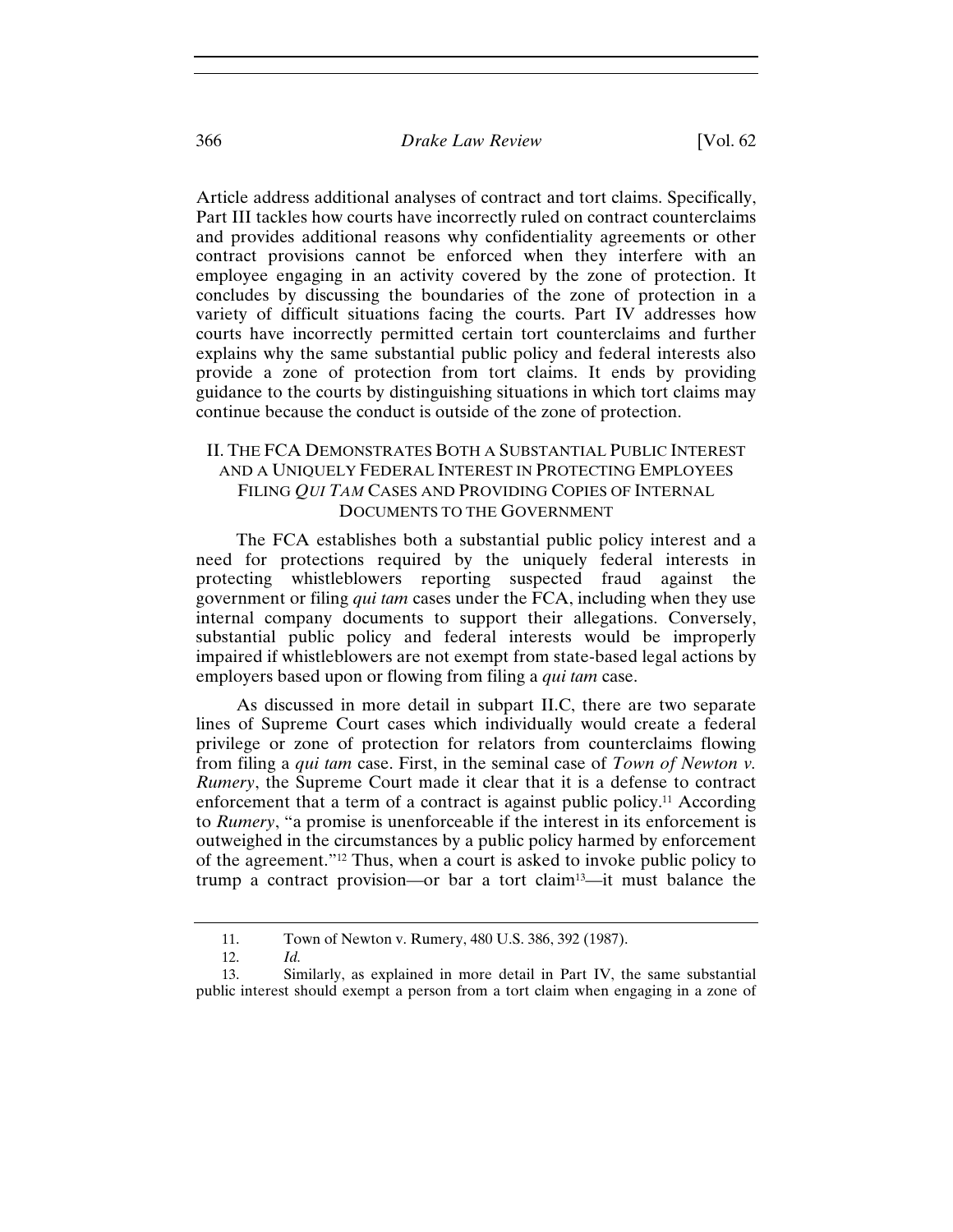Article address additional analyses of contract and tort claims. Specifically, Part III tackles how courts have incorrectly ruled on contract counterclaims and provides additional reasons why confidentiality agreements or other contract provisions cannot be enforced when they interfere with an employee engaging in an activity covered by the zone of protection. It concludes by discussing the boundaries of the zone of protection in a variety of difficult situations facing the courts. Part IV addresses how courts have incorrectly permitted certain tort counterclaims and further explains why the same substantial public policy and federal interests also provide a zone of protection from tort claims. It ends by providing guidance to the courts by distinguishing situations in which tort claims may continue because the conduct is outside of the zone of protection.

## II. THE FCA DEMONSTRATES BOTH A SUBSTANTIAL PUBLIC INTEREST AND A UNIQUELY FEDERAL INTEREST IN PROTECTING EMPLOYEES FILING *QUI TAM* CASES AND PROVIDING COPIES OF INTERNAL DOCUMENTS TO THE GOVERNMENT

The FCA establishes both a substantial public policy interest and a need for protections required by the uniquely federal interests in protecting whistleblowers reporting suspected fraud against the government or filing *qui tam* cases under the FCA, including when they use internal company documents to support their allegations. Conversely, substantial public policy and federal interests would be improperly impaired if whistleblowers are not exempt from state-based legal actions by employers based upon or flowing from filing a *qui tam* case.

As discussed in more detail in subpart II.C, there are two separate lines of Supreme Court cases which individually would create a federal privilege or zone of protection for relators from counterclaims flowing from filing a *qui tam* case. First, in the seminal case of *Town of Newton v. Rumery*, the Supreme Court made it clear that it is a defense to contract enforcement that a term of a contract is against public policy.<sup>11</sup> According to *Rumery*, "a promise is unenforceable if the interest in its enforcement is outweighed in the circumstances by a public policy harmed by enforcement of the agreement."12 Thus, when a court is asked to invoke public policy to trump a contract provision—or bar a tort claim13—it must balance the

<sup>11.</sup> Town of Newton v. Rumery, 480 U.S. 386, 392 (1987).

<sup>12.</sup> *Id.*

<sup>13.</sup> Similarly, as explained in more detail in Part IV, the same substantial public interest should exempt a person from a tort claim when engaging in a zone of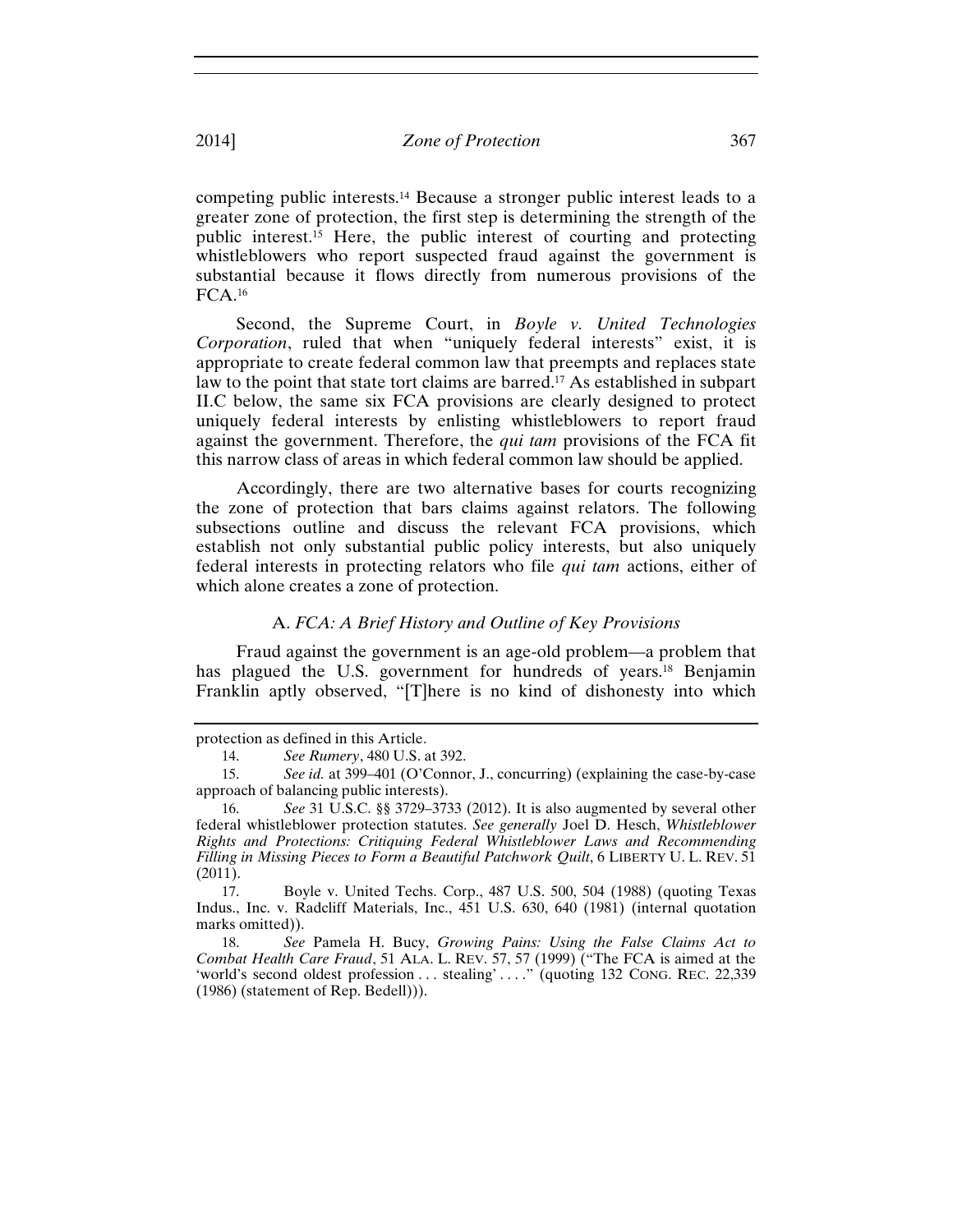competing public interests.14 Because a stronger public interest leads to a greater zone of protection, the first step is determining the strength of the public interest.15 Here, the public interest of courting and protecting whistleblowers who report suspected fraud against the government is substantial because it flows directly from numerous provisions of the FCA.16

Second, the Supreme Court, in *Boyle v. United Technologies Corporation*, ruled that when "uniquely federal interests" exist, it is appropriate to create federal common law that preempts and replaces state law to the point that state tort claims are barred.17 As established in subpart II.C below, the same six FCA provisions are clearly designed to protect uniquely federal interests by enlisting whistleblowers to report fraud against the government. Therefore, the *qui tam* provisions of the FCA fit this narrow class of areas in which federal common law should be applied.

Accordingly, there are two alternative bases for courts recognizing the zone of protection that bars claims against relators. The following subsections outline and discuss the relevant FCA provisions, which establish not only substantial public policy interests, but also uniquely federal interests in protecting relators who file *qui tam* actions, either of which alone creates a zone of protection.

## A. *FCA: A Brief History and Outline of Key Provisions*

Fraud against the government is an age-old problem—a problem that has plagued the U.S. government for hundreds of years.<sup>18</sup> Benjamin Franklin aptly observed, "[T]here is no kind of dishonesty into which

17. Boyle v. United Techs. Corp., 487 U.S. 500, 504 (1988) (quoting Texas Indus., Inc. v. Radcliff Materials, Inc., 451 U.S. 630, 640 (1981) (internal quotation marks omitted)).

18. *See* Pamela H. Bucy, *Growing Pains: Using the False Claims Act to Combat Health Care Fraud*, 51 ALA. L. REV. 57, 57 (1999) ("The FCA is aimed at the 'world's second oldest profession ... stealing' ... ." (quoting 132 CONG. REC. 22,339 (1986) (statement of Rep. Bedell))).

protection as defined in this Article.

<sup>14.</sup> *See Rumery*, 480 U.S. at 392.

<sup>15.</sup> *See id.* at 399–401 (O'Connor, J., concurring) (explaining the case-by-case approach of balancing public interests).

<sup>16.</sup> *See* 31 U.S.C. §§ 3729–3733 (2012). It is also augmented by several other federal whistleblower protection statutes. *See generally* Joel D. Hesch, *Whistleblower Rights and Protections: Critiquing Federal Whistleblower Laws and Recommending Filling in Missing Pieces to Form a Beautiful Patchwork Quilt*, 6 LIBERTY U. L. REV. 51 (2011).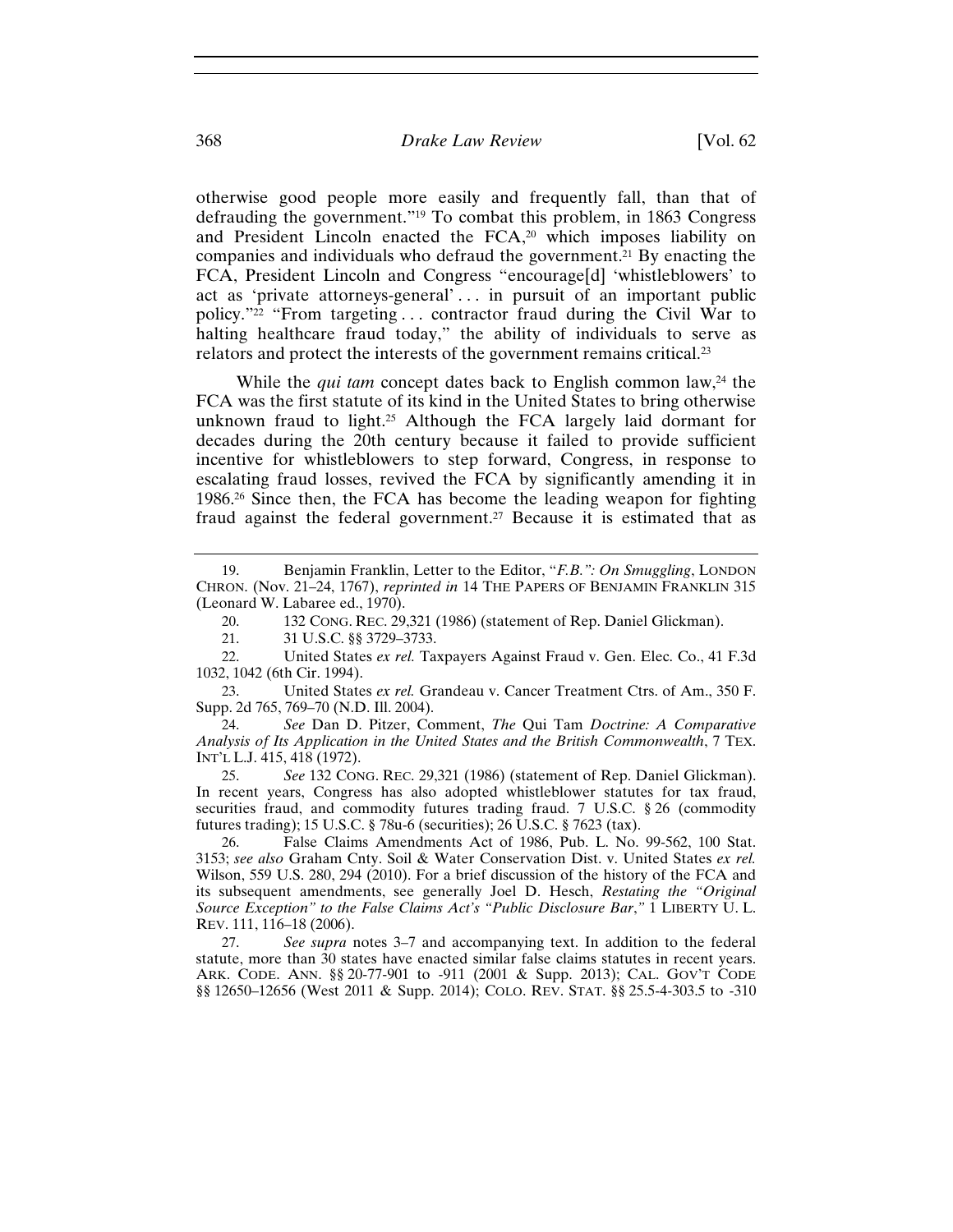otherwise good people more easily and frequently fall, than that of defrauding the government."19 To combat this problem, in 1863 Congress and President Lincoln enacted the FCA,<sup>20</sup> which imposes liability on companies and individuals who defraud the government.21 By enacting the FCA, President Lincoln and Congress "encourage[d] 'whistleblowers' to act as 'private attorneys-general' ... in pursuit of an important public policy."22 "From targeting . . . contractor fraud during the Civil War to halting healthcare fraud today," the ability of individuals to serve as relators and protect the interests of the government remains critical.23

While the *qui tam* concept dates back to English common law,<sup>24</sup> the FCA was the first statute of its kind in the United States to bring otherwise unknown fraud to light.25 Although the FCA largely laid dormant for decades during the 20th century because it failed to provide sufficient incentive for whistleblowers to step forward, Congress, in response to escalating fraud losses, revived the FCA by significantly amending it in 1986.26 Since then, the FCA has become the leading weapon for fighting fraud against the federal government.<sup>27</sup> Because it is estimated that as

20. 132 CONG. REC. 29,321 (1986) (statement of Rep. Daniel Glickman).

21. 31 U.S.C. §§ 3729–3733.

22. United States *ex rel.* Taxpayers Against Fraud v. Gen. Elec. Co., 41 F.3d 1032, 1042 (6th Cir. 1994).

23. United States *ex rel.* Grandeau v. Cancer Treatment Ctrs. of Am., 350 F. Supp. 2d 765, 769–70 (N.D. Ill. 2004).

24. *See* Dan D. Pitzer, Comment, *The* Qui Tam *Doctrine: A Comparative Analysis of Its Application in the United States and the British Commonwealth*, 7 TEX. INT'L L.J. 415, 418 (1972).

25. *See* 132 CONG. REC. 29,321 (1986) (statement of Rep. Daniel Glickman). In recent years, Congress has also adopted whistleblower statutes for tax fraud, securities fraud, and commodity futures trading fraud. 7 U.S.C. § 26 (commodity futures trading); 15 U.S.C. § 78u-6 (securities); 26 U.S.C. § 7623 (tax).

26. False Claims Amendments Act of 1986, Pub. L. No. 99-562, 100 Stat. 3153; *see also* Graham Cnty. Soil & Water Conservation Dist. v. United States *ex rel.* Wilson, 559 U.S. 280, 294 (2010). For a brief discussion of the history of the FCA and its subsequent amendments, see generally Joel D. Hesch, *Restating the "Original Source Exception" to the False Claims Act's "Public Disclosure Bar*,*"* 1 LIBERTY U. L. REV. 111, 116–18 (2006).

27. *See supra* notes 3–7 and accompanying text. In addition to the federal statute, more than 30 states have enacted similar false claims statutes in recent years. ARK. CODE. ANN. §§ 20-77-901 to -911 (2001 & Supp. 2013); CAL. GOV'T CODE §§ 12650–12656 (West 2011 & Supp. 2014); COLO. REV. STAT. §§ 25.5-4-303.5 to -310

<sup>19.</sup> Benjamin Franklin, Letter to the Editor, "*F.B.": On Smuggling*, LONDON CHRON. (Nov. 21–24, 1767), *reprinted in* 14 THE PAPERS OF BENJAMIN FRANKLIN 315 (Leonard W. Labaree ed., 1970).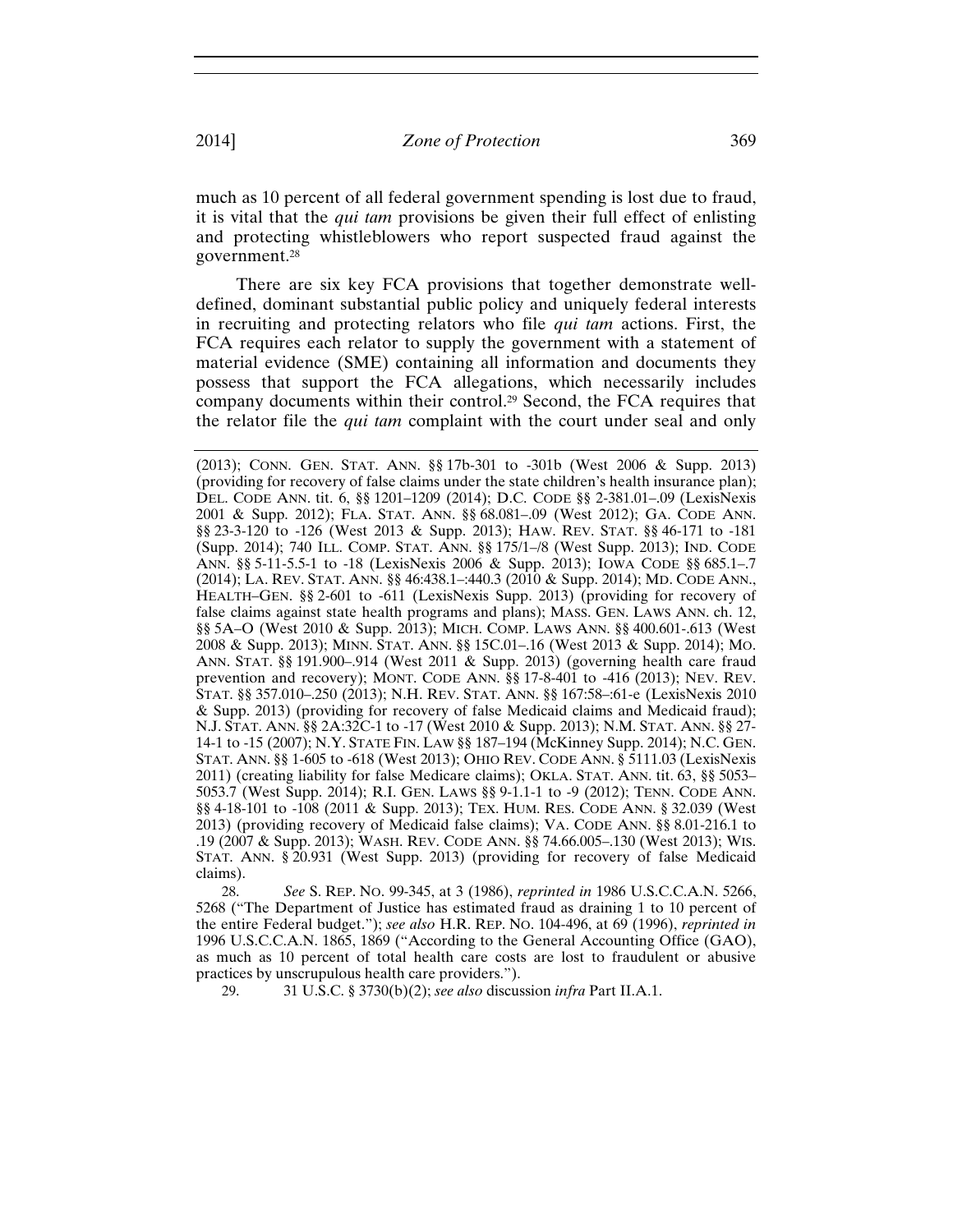much as 10 percent of all federal government spending is lost due to fraud, it is vital that the *qui tam* provisions be given their full effect of enlisting and protecting whistleblowers who report suspected fraud against the government.28

There are six key FCA provisions that together demonstrate welldefined, dominant substantial public policy and uniquely federal interests in recruiting and protecting relators who file *qui tam* actions. First, the FCA requires each relator to supply the government with a statement of material evidence (SME) containing all information and documents they possess that support the FCA allegations, which necessarily includes company documents within their control.29 Second, the FCA requires that the relator file the *qui tam* complaint with the court under seal and only

28. *See* S. REP. NO. 99-345, at 3 (1986), *reprinted in* 1986 U.S.C.C.A.N. 5266, 5268 ("The Department of Justice has estimated fraud as draining 1 to 10 percent of the entire Federal budget."); *see also* H.R. REP. NO. 104-496, at 69 (1996), *reprinted in* 1996 U.S.C.C.A.N. 1865, 1869 ("According to the General Accounting Office (GAO), as much as 10 percent of total health care costs are lost to fraudulent or abusive practices by unscrupulous health care providers.").

29. 31 U.S.C. § 3730(b)(2); *see also* discussion *infra* Part II.A.1.

<sup>(2013);</sup> CONN. GEN. STAT. ANN. §§ 17b-301 to -301b (West 2006 & Supp. 2013) (providing for recovery of false claims under the state children's health insurance plan); DEL. CODE ANN. tit. 6, §§ 1201–1209 (2014); D.C. CODE §§ 2-381.01–.09 (LexisNexis 2001 & Supp. 2012); FLA. STAT. ANN. §§ 68.081–.09 (West 2012); GA. CODE ANN. §§ 23-3-120 to -126 (West 2013 & Supp. 2013); HAW. REV. STAT. §§ 46-171 to -181 (Supp. 2014); 740 ILL. COMP. STAT. ANN. §§ 175/1–/8 (West Supp. 2013); IND. CODE ANN. §§ 5-11-5.5-1 to -18 (LexisNexis 2006 & Supp. 2013); IOWA CODE §§ 685.1–.7 (2014); LA. REV. STAT. ANN. §§ 46:438.1–:440.3 (2010 & Supp. 2014); MD. CODE ANN., HEALTH–GEN. §§ 2-601 to -611 (LexisNexis Supp. 2013) (providing for recovery of false claims against state health programs and plans); MASS. GEN. LAWS ANN. ch. 12, §§ 5A–O (West 2010 & Supp. 2013); MICH. COMP. LAWS ANN. §§ 400.601-.613 (West 2008 & Supp. 2013); MINN. STAT. ANN. §§ 15C.01–.16 (West 2013 & Supp. 2014); MO. ANN. STAT. §§ 191.900–.914 (West 2011 & Supp. 2013) (governing health care fraud prevention and recovery); MONT. CODE ANN. §§ 17-8-401 to -416 (2013); NEV. REV. STAT. §§ 357.010–.250 (2013); N.H. REV. STAT. ANN. §§ 167:58–:61-e (LexisNexis 2010 & Supp. 2013) (providing for recovery of false Medicaid claims and Medicaid fraud); N.J. STAT. ANN. §§ 2A:32C-1 to -17 (West 2010 & Supp. 2013); N.M. STAT. ANN. §§ 27- 14-1 to -15 (2007); N.Y. STATE FIN. LAW §§ 187–194 (McKinney Supp. 2014); N.C. GEN. STAT. ANN. §§ 1-605 to -618 (West 2013); OHIO REV. CODE ANN. § 5111.03 (LexisNexis 2011) (creating liability for false Medicare claims); OKLA. STAT. ANN. tit. 63, §§ 5053– 5053.7 (West Supp. 2014); R.I. GEN. LAWS §§ 9-1.1-1 to -9 (2012); TENN. CODE ANN. §§ 4-18-101 to -108 (2011 & Supp. 2013); TEX. HUM. RES. CODE ANN. § 32.039 (West 2013) (providing recovery of Medicaid false claims); VA. CODE ANN. §§ 8.01-216.1 to .19 (2007 & Supp. 2013); WASH. REV. CODE ANN. §§ 74.66.005–.130 (West 2013); WIS. STAT. ANN. § 20.931 (West Supp. 2013) (providing for recovery of false Medicaid claims).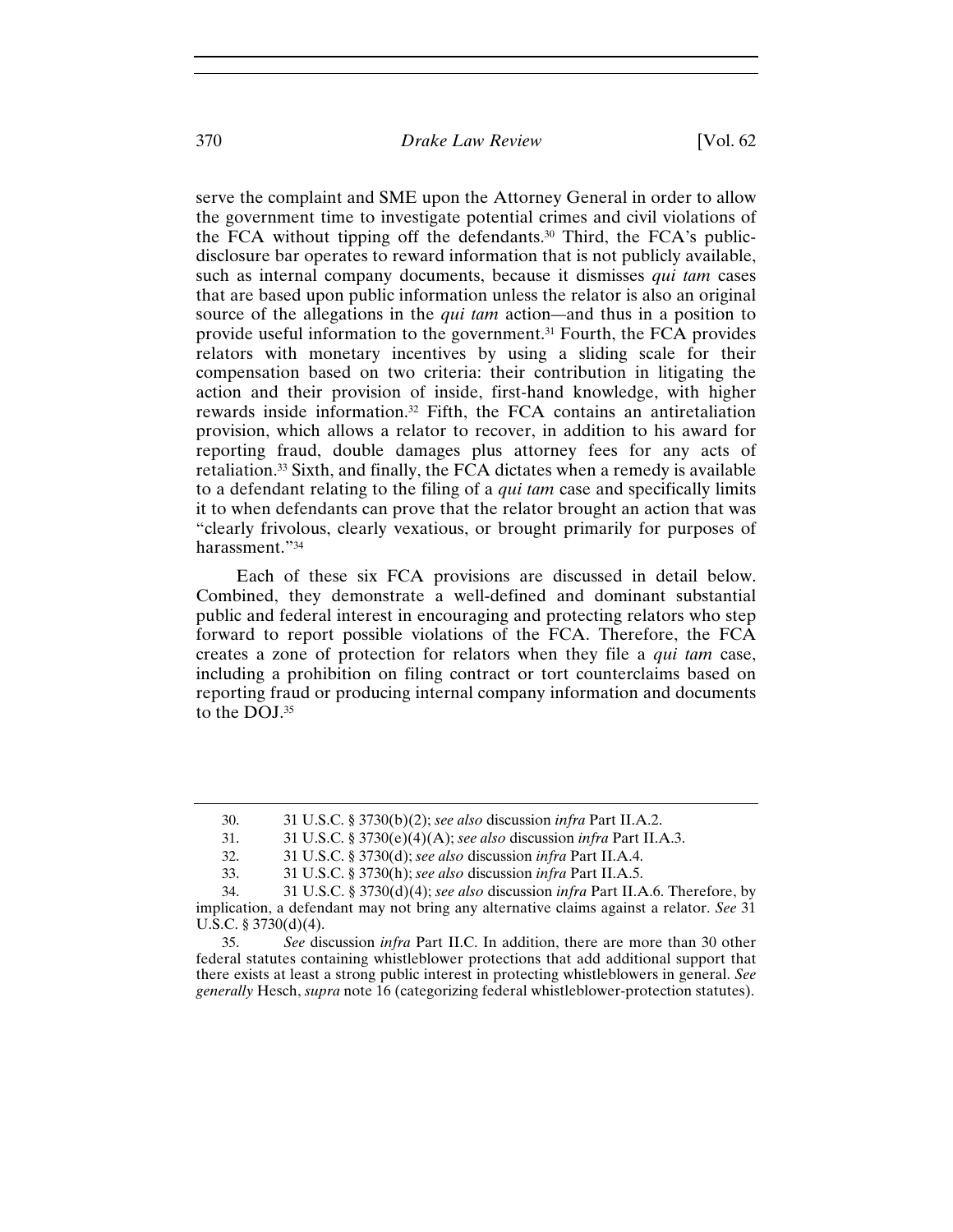## 370 *Drake Law Review* [Vol. 62

serve the complaint and SME upon the Attorney General in order to allow the government time to investigate potential crimes and civil violations of the FCA without tipping off the defendants.30 Third, the FCA's publicdisclosure bar operates to reward information that is not publicly available, such as internal company documents, because it dismisses *qui tam* cases that are based upon public information unless the relator is also an original source of the allegations in the *qui tam* action*—*and thus in a position to provide useful information to the government.31 Fourth, the FCA provides relators with monetary incentives by using a sliding scale for their compensation based on two criteria: their contribution in litigating the action and their provision of inside, first-hand knowledge, with higher rewards inside information.32 Fifth, the FCA contains an antiretaliation provision, which allows a relator to recover, in addition to his award for reporting fraud, double damages plus attorney fees for any acts of retaliation.33 Sixth, and finally, the FCA dictates when a remedy is available to a defendant relating to the filing of a *qui tam* case and specifically limits it to when defendants can prove that the relator brought an action that was "clearly frivolous, clearly vexatious, or brought primarily for purposes of harassment."34

Each of these six FCA provisions are discussed in detail below. Combined, they demonstrate a well-defined and dominant substantial public and federal interest in encouraging and protecting relators who step forward to report possible violations of the FCA. Therefore, the FCA creates a zone of protection for relators when they file a *qui tam* case, including a prohibition on filing contract or tort counterclaims based on reporting fraud or producing internal company information and documents to the DOJ.35

<sup>30. 31</sup> U.S.C. § 3730(b)(2); *see also* discussion *infra* Part II.A.2.

<sup>31. 31</sup> U.S.C. § 3730(e)(4)(A); *see also* discussion *infra* Part II.A.3.

<sup>32. 31</sup> U.S.C. § 3730(d); *see also* discussion *infra* Part II.A.4.

<sup>33. 31</sup> U.S.C. § 3730(h); *see also* discussion *infra* Part II.A.5.

<sup>34. 31</sup> U.S.C. § 3730(d)(4); *see also* discussion *infra* Part II.A.6. Therefore, by implication, a defendant may not bring any alternative claims against a relator. *See* 31 U.S.C. § 3730(d)(4).

<sup>35.</sup> *See* discussion *infra* Part II.C. In addition, there are more than 30 other federal statutes containing whistleblower protections that add additional support that there exists at least a strong public interest in protecting whistleblowers in general. *See generally* Hesch, *supra* note 16 (categorizing federal whistleblower-protection statutes).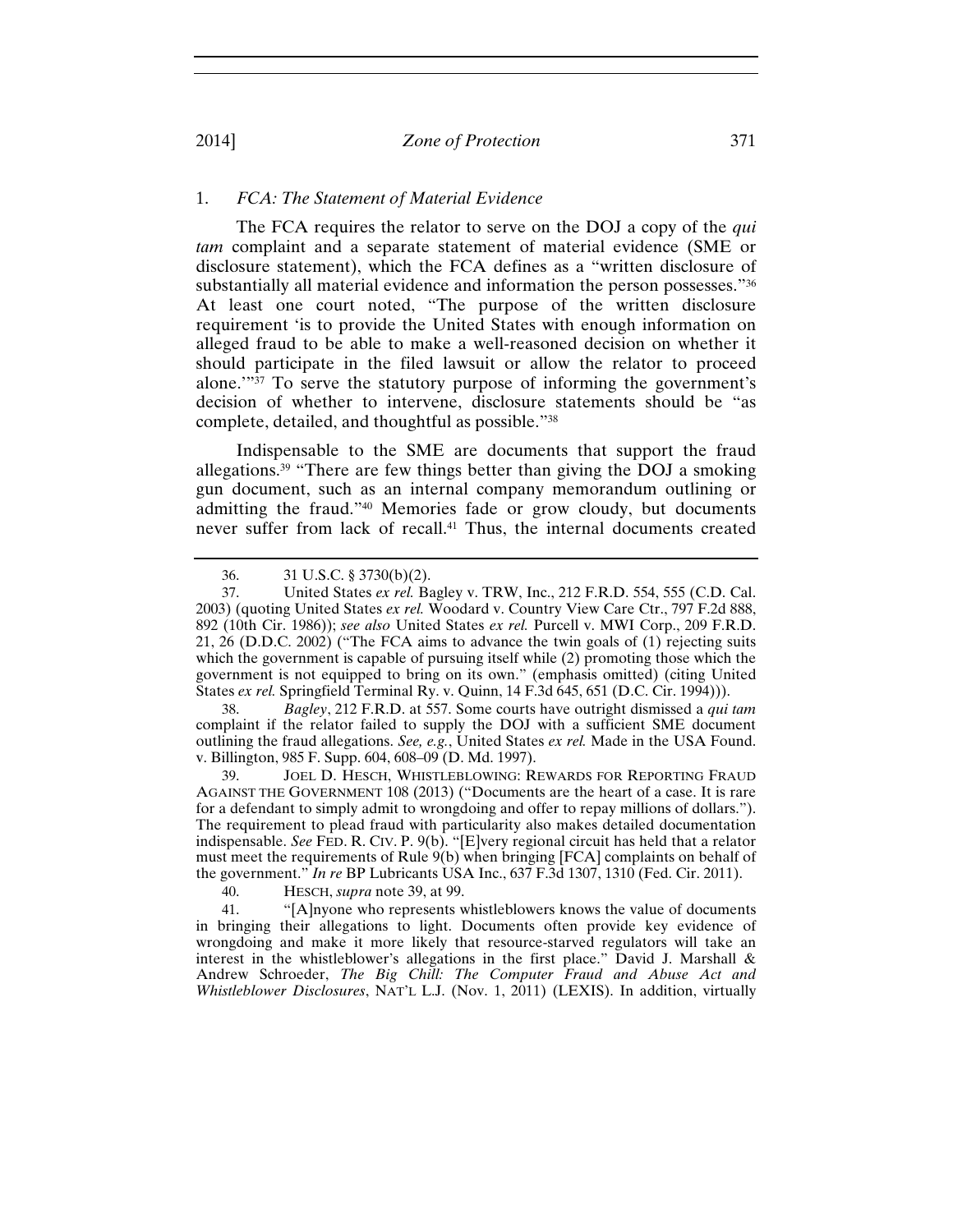## 1. *FCA: The Statement of Material Evidence*

The FCA requires the relator to serve on the DOJ a copy of the *qui tam* complaint and a separate statement of material evidence (SME or disclosure statement), which the FCA defines as a "written disclosure of substantially all material evidence and information the person possesses."36 At least one court noted, "The purpose of the written disclosure requirement 'is to provide the United States with enough information on alleged fraud to be able to make a well-reasoned decision on whether it should participate in the filed lawsuit or allow the relator to proceed alone.'"37 To serve the statutory purpose of informing the government's decision of whether to intervene, disclosure statements should be "as complete, detailed, and thoughtful as possible."38

Indispensable to the SME are documents that support the fraud allegations.39 "There are few things better than giving the DOJ a smoking gun document, such as an internal company memorandum outlining or admitting the fraud."40 Memories fade or grow cloudy, but documents never suffer from lack of recall.41 Thus, the internal documents created

38. *Bagley*, 212 F.R.D. at 557. Some courts have outright dismissed a *qui tam* complaint if the relator failed to supply the DOJ with a sufficient SME document outlining the fraud allegations. *See, e.g.*, United States *ex rel.* Made in the USA Found. v. Billington, 985 F. Supp. 604, 608–09 (D. Md. 1997).

39. JOEL D. HESCH, WHISTLEBLOWING: REWARDS FOR REPORTING FRAUD AGAINST THE GOVERNMENT 108 (2013) ("Documents are the heart of a case. It is rare for a defendant to simply admit to wrongdoing and offer to repay millions of dollars."). The requirement to plead fraud with particularity also makes detailed documentation indispensable. *See* FED. R. CIV. P. 9(b). "[E]very regional circuit has held that a relator must meet the requirements of Rule 9(b) when bringing [FCA] complaints on behalf of the government." *In re* BP Lubricants USA Inc., 637 F.3d 1307, 1310 (Fed. Cir. 2011).

40. HESCH, *supra* note 39, at 99.

41. "[A]nyone who represents whistleblowers knows the value of documents in bringing their allegations to light. Documents often provide key evidence of wrongdoing and make it more likely that resource-starved regulators will take an interest in the whistleblower's allegations in the first place." David J. Marshall & Andrew Schroeder, *The Big Chill: The Computer Fraud and Abuse Act and Whistleblower Disclosures*, NAT'L L.J. (Nov. 1, 2011) (LEXIS). In addition, virtually

<sup>36. 31</sup> U.S.C. § 3730(b)(2).<br>37. United States *ex rel.* Ba

United States *ex rel.* Bagley v. TRW, Inc., 212 F.R.D. 554, 555 (C.D. Cal.) 2003) (quoting United States *ex rel.* Woodard v. Country View Care Ctr., 797 F.2d 888, 892 (10th Cir. 1986)); *see also* United States *ex rel.* Purcell v. MWI Corp., 209 F.R.D. 21, 26 (D.D.C. 2002) ("The FCA aims to advance the twin goals of (1) rejecting suits which the government is capable of pursuing itself while (2) promoting those which the government is not equipped to bring on its own." (emphasis omitted) (citing United States *ex rel.* Springfield Terminal Ry. v. Quinn, 14 F.3d 645, 651 (D.C. Cir. 1994))).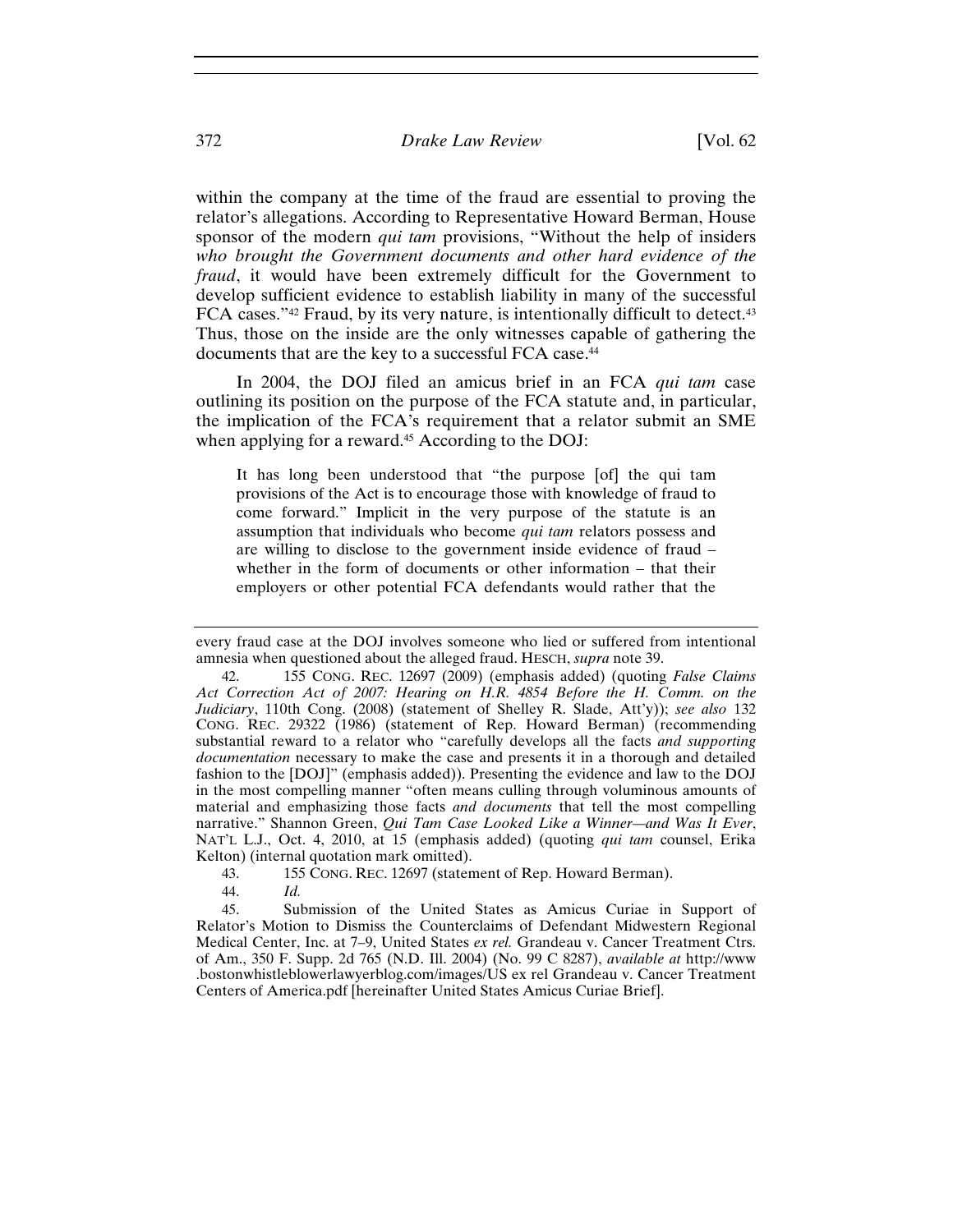within the company at the time of the fraud are essential to proving the relator's allegations. According to Representative Howard Berman, House sponsor of the modern *qui tam* provisions, "Without the help of insiders *who brought the Government documents and other hard evidence of the fraud*, it would have been extremely difficult for the Government to develop sufficient evidence to establish liability in many of the successful FCA cases."<sup>42</sup> Fraud, by its very nature, is intentionally difficult to detect.<sup>43</sup> Thus, those on the inside are the only witnesses capable of gathering the documents that are the key to a successful FCA case.<sup>44</sup>

In 2004, the DOJ filed an amicus brief in an FCA *qui tam* case outlining its position on the purpose of the FCA statute and, in particular, the implication of the FCA's requirement that a relator submit an SME when applying for a reward.<sup>45</sup> According to the DOJ:

It has long been understood that "the purpose [of] the qui tam provisions of the Act is to encourage those with knowledge of fraud to come forward." Implicit in the very purpose of the statute is an assumption that individuals who become *qui tam* relators possess and are willing to disclose to the government inside evidence of fraud – whether in the form of documents or other information – that their employers or other potential FCA defendants would rather that the

43. 155 CONG. REC. 12697 (statement of Rep. Howard Berman).

every fraud case at the DOJ involves someone who lied or suffered from intentional amnesia when questioned about the alleged fraud. HESCH, *supra* note 39.

<sup>42. 155</sup> CONG. REC. 12697 (2009) (emphasis added) (quoting *False Claims Act Correction Act of 2007: Hearing on H.R. 4854 Before the H. Comm. on the Judiciary*, 110th Cong. (2008) (statement of Shelley R. Slade, Att'y)); *see also* 132 CONG. REC. 29322 (1986) (statement of Rep. Howard Berman) (recommending substantial reward to a relator who "carefully develops all the facts *and supporting documentation* necessary to make the case and presents it in a thorough and detailed fashion to the [DOJ]" (emphasis added)). Presenting the evidence and law to the DOJ in the most compelling manner "often means culling through voluminous amounts of material and emphasizing those facts *and documents* that tell the most compelling narrative." Shannon Green, *Qui Tam Case Looked Like a Winner—and Was It Ever*, NAT'L L.J., Oct. 4, 2010, at 15 (emphasis added) (quoting *qui tam* counsel, Erika Kelton) (internal quotation mark omitted).

<sup>44.</sup> *Id.*

<sup>45.</sup> Submission of the United States as Amicus Curiae in Support of Relator's Motion to Dismiss the Counterclaims of Defendant Midwestern Regional Medical Center, Inc. at 7–9, United States *ex rel.* Grandeau v. Cancer Treatment Ctrs. of Am., 350 F. Supp. 2d 765 (N.D. Ill. 2004) (No. 99 C 8287), *available at* http://www .bostonwhistleblowerlawyerblog.com/images/US ex rel Grandeau v. Cancer Treatment Centers of America.pdf [hereinafter United States Amicus Curiae Brief].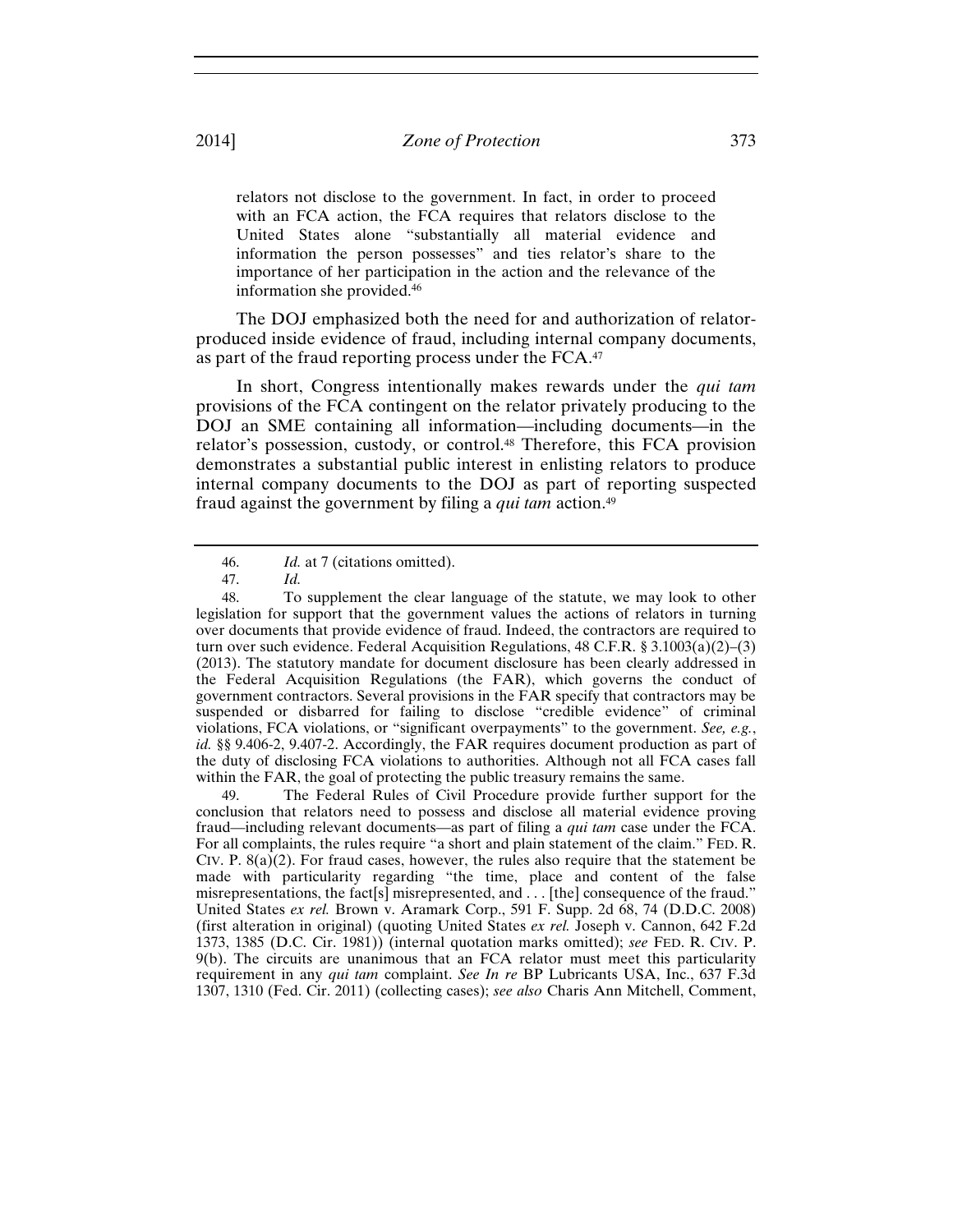relators not disclose to the government. In fact, in order to proceed with an FCA action, the FCA requires that relators disclose to the United States alone "substantially all material evidence and information the person possesses" and ties relator's share to the importance of her participation in the action and the relevance of the information she provided.46

The DOJ emphasized both the need for and authorization of relatorproduced inside evidence of fraud, including internal company documents, as part of the fraud reporting process under the FCA.47

In short, Congress intentionally makes rewards under the *qui tam* provisions of the FCA contingent on the relator privately producing to the DOJ an SME containing all information—including documents—in the relator's possession, custody, or control.48 Therefore, this FCA provision demonstrates a substantial public interest in enlisting relators to produce internal company documents to the DOJ as part of reporting suspected fraud against the government by filing a *qui tam* action.49

49. The Federal Rules of Civil Procedure provide further support for the conclusion that relators need to possess and disclose all material evidence proving fraud—including relevant documents—as part of filing a *qui tam* case under the FCA. For all complaints, the rules require "a short and plain statement of the claim." FED. R. CIV. P.  $8(a)(2)$ . For fraud cases, however, the rules also require that the statement be made with particularity regarding "the time, place and content of the false misrepresentations, the fact[s] misrepresented, and . . . [the] consequence of the fraud." United States *ex rel.* Brown v. Aramark Corp., 591 F. Supp. 2d 68, 74 (D.D.C. 2008) (first alteration in original) (quoting United States *ex rel.* Joseph v. Cannon, 642 F.2d 1373, 1385 (D.C. Cir. 1981)) (internal quotation marks omitted); *see* FED. R. CIV. P. 9(b). The circuits are unanimous that an FCA relator must meet this particularity requirement in any *qui tam* complaint. *See In re* BP Lubricants USA, Inc., 637 F.3d 1307, 1310 (Fed. Cir. 2011) (collecting cases); *see also* Charis Ann Mitchell, Comment,

<sup>46.</sup> *Id.* at 7 (citations omitted).

<sup>47.</sup> *Id.* 

<sup>48.</sup> To supplement the clear language of the statute, we may look to other legislation for support that the government values the actions of relators in turning over documents that provide evidence of fraud. Indeed, the contractors are required to turn over such evidence. Federal Acquisition Regulations,  $48 \text{ C.F.R. }$  §  $3.1003(a)(2)–(3)$ (2013). The statutory mandate for document disclosure has been clearly addressed in the Federal Acquisition Regulations (the FAR), which governs the conduct of government contractors. Several provisions in the FAR specify that contractors may be suspended or disbarred for failing to disclose "credible evidence" of criminal violations, FCA violations, or "significant overpayments" to the government. *See, e.g.*, *id.* §§ 9.406-2, 9.407-2. Accordingly, the FAR requires document production as part of the duty of disclosing FCA violations to authorities. Although not all FCA cases fall within the FAR, the goal of protecting the public treasury remains the same.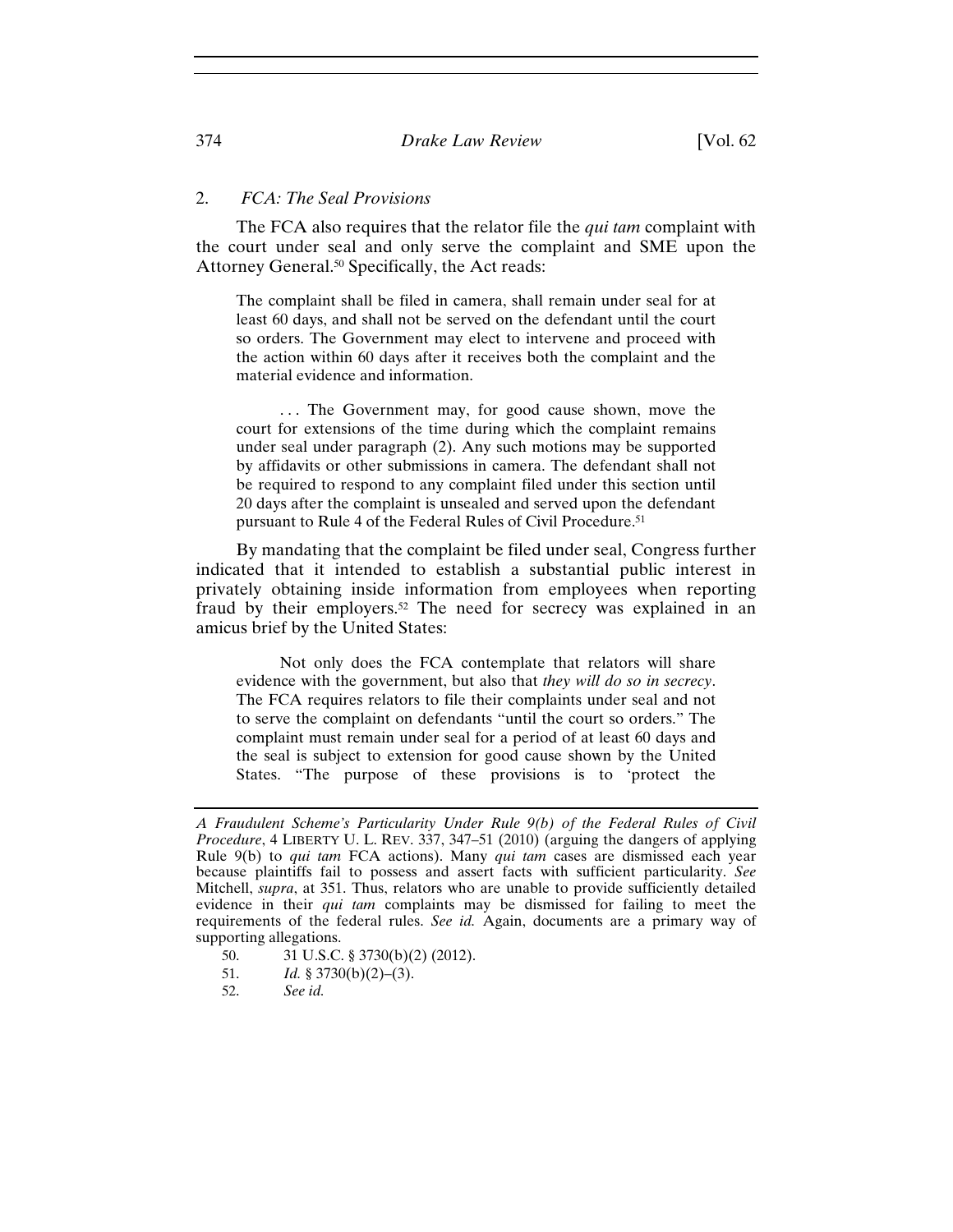## 2. *FCA: The Seal Provisions*

The FCA also requires that the relator file the *qui tam* complaint with the court under seal and only serve the complaint and SME upon the Attorney General.50 Specifically, the Act reads:

The complaint shall be filed in camera, shall remain under seal for at least 60 days, and shall not be served on the defendant until the court so orders. The Government may elect to intervene and proceed with the action within 60 days after it receives both the complaint and the material evidence and information.

... The Government may, for good cause shown, move the court for extensions of the time during which the complaint remains under seal under paragraph (2). Any such motions may be supported by affidavits or other submissions in camera. The defendant shall not be required to respond to any complaint filed under this section until 20 days after the complaint is unsealed and served upon the defendant pursuant to Rule 4 of the Federal Rules of Civil Procedure.<sup>51</sup>

By mandating that the complaint be filed under seal, Congress further indicated that it intended to establish a substantial public interest in privately obtaining inside information from employees when reporting fraud by their employers.52 The need for secrecy was explained in an amicus brief by the United States:

 Not only does the FCA contemplate that relators will share evidence with the government, but also that *they will do so in secrecy*. The FCA requires relators to file their complaints under seal and not to serve the complaint on defendants "until the court so orders." The complaint must remain under seal for a period of at least 60 days and the seal is subject to extension for good cause shown by the United States. "The purpose of these provisions is to 'protect the

- 50. 31 U.S.C. § 3730(b)(2) (2012).
- 51. *Id.* § 3730(b)(2)–(3).
- 52. *See id.*

*A Fraudulent Scheme's Particularity Under Rule 9(b) of the Federal Rules of Civil Procedure*, 4 LIBERTY U. L. REV. 337, 347–51 (2010) (arguing the dangers of applying Rule 9(b) to *qui tam* FCA actions). Many *qui tam* cases are dismissed each year because plaintiffs fail to possess and assert facts with sufficient particularity. *See*  Mitchell, *supra*, at 351. Thus, relators who are unable to provide sufficiently detailed evidence in their *qui tam* complaints may be dismissed for failing to meet the requirements of the federal rules. *See id.* Again, documents are a primary way of supporting allegations.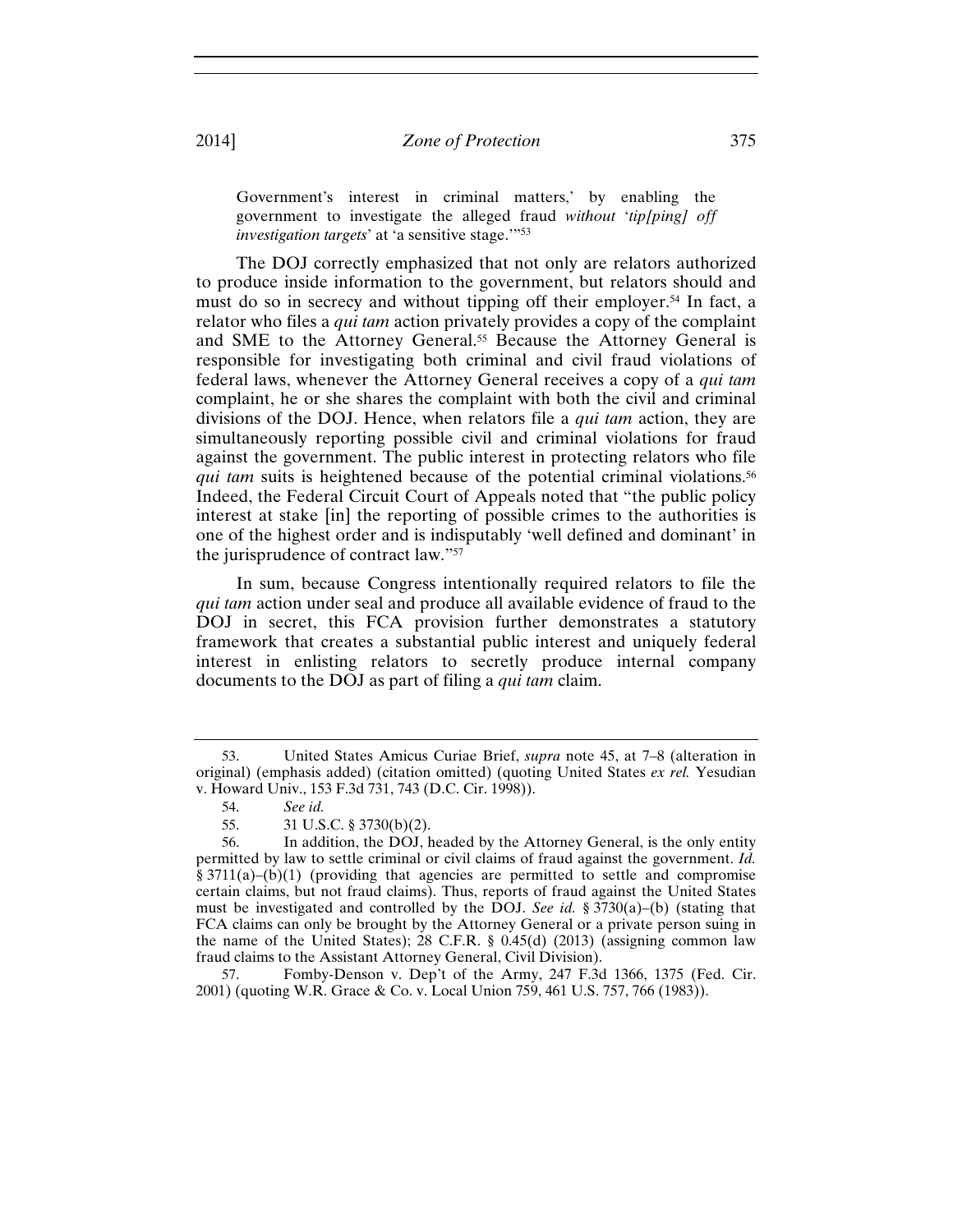Government's interest in criminal matters,' by enabling the government to investigate the alleged fraud *without* '*tip[ping] off investigation targets'* at 'a sensitive stage."<sup>53</sup>

The DOJ correctly emphasized that not only are relators authorized to produce inside information to the government, but relators should and must do so in secrecy and without tipping off their employer.<sup>54</sup> In fact, a relator who files a *qui tam* action privately provides a copy of the complaint and SME to the Attorney General.55 Because the Attorney General is responsible for investigating both criminal and civil fraud violations of federal laws, whenever the Attorney General receives a copy of a *qui tam* complaint, he or she shares the complaint with both the civil and criminal divisions of the DOJ. Hence, when relators file a *qui tam* action, they are simultaneously reporting possible civil and criminal violations for fraud against the government. The public interest in protecting relators who file *qui tam* suits is heightened because of the potential criminal violations.<sup>56</sup> Indeed, the Federal Circuit Court of Appeals noted that "the public policy interest at stake [in] the reporting of possible crimes to the authorities is one of the highest order and is indisputably 'well defined and dominant' in the jurisprudence of contract law."57

In sum, because Congress intentionally required relators to file the *qui tam* action under seal and produce all available evidence of fraud to the DOJ in secret, this FCA provision further demonstrates a statutory framework that creates a substantial public interest and uniquely federal interest in enlisting relators to secretly produce internal company documents to the DOJ as part of filing a *qui tam* claim.

57. Fomby-Denson v. Dep't of the Army, 247 F.3d 1366, 1375 (Fed. Cir. 2001) (quoting W.R. Grace & Co. v. Local Union 759, 461 U.S. 757, 766 (1983)).

<sup>53.</sup> United States Amicus Curiae Brief, *supra* note 45, at 7–8 (alteration in original) (emphasis added) (citation omitted) (quoting United States *ex rel.* Yesudian v. Howard Univ., 153 F.3d 731, 743 (D.C. Cir. 1998)).

<sup>54.</sup> *See id.*

<sup>55. 31</sup> U.S.C. § 3730(b)(2).

<sup>56.</sup> In addition, the DOJ, headed by the Attorney General, is the only entity permitted by law to settle criminal or civil claims of fraud against the government. *Id.* § 3711(a)–(b)(1) (providing that agencies are permitted to settle and compromise certain claims, but not fraud claims). Thus, reports of fraud against the United States must be investigated and controlled by the DOJ. *See id.* § 3730(a)–(b) (stating that FCA claims can only be brought by the Attorney General or a private person suing in the name of the United States); 28 C.F.R. § 0.45(d) (2013) (assigning common law fraud claims to the Assistant Attorney General, Civil Division).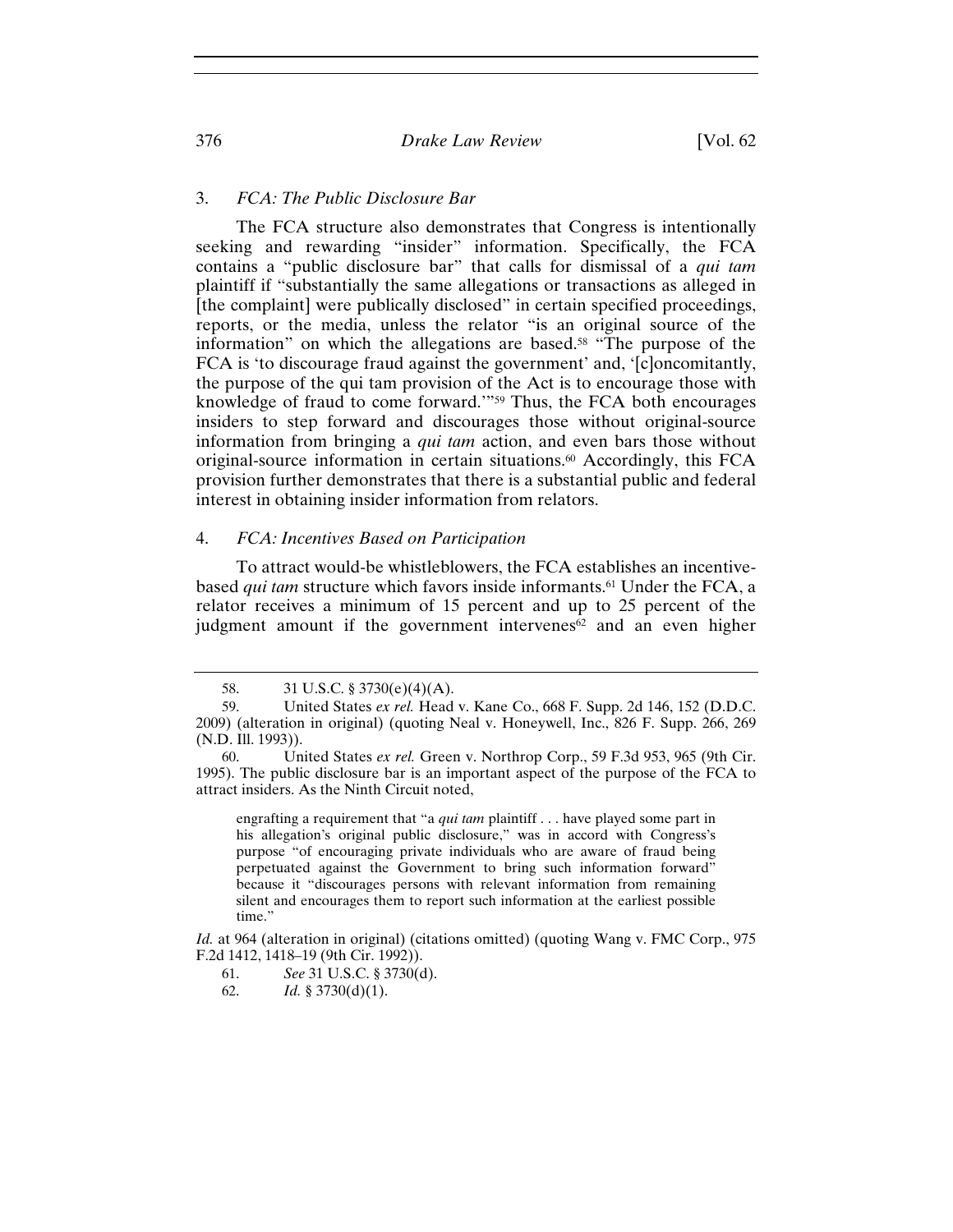## 3. *FCA: The Public Disclosure Bar*

The FCA structure also demonstrates that Congress is intentionally seeking and rewarding "insider" information. Specifically, the FCA contains a "public disclosure bar" that calls for dismissal of a *qui tam* plaintiff if "substantially the same allegations or transactions as alleged in [the complaint] were publically disclosed" in certain specified proceedings, reports, or the media, unless the relator "is an original source of the information" on which the allegations are based.<sup>58</sup> "The purpose of the FCA is 'to discourage fraud against the government' and, '[c]oncomitantly, the purpose of the qui tam provision of the Act is to encourage those with knowledge of fraud to come forward.'"59 Thus, the FCA both encourages insiders to step forward and discourages those without original-source information from bringing a *qui tam* action, and even bars those without original-source information in certain situations.60 Accordingly, this FCA provision further demonstrates that there is a substantial public and federal interest in obtaining insider information from relators.

## 4. *FCA: Incentives Based on Participation*

To attract would-be whistleblowers, the FCA establishes an incentivebased *qui tam* structure which favors inside informants.61 Under the FCA, a relator receives a minimum of 15 percent and up to 25 percent of the judgment amount if the government intervenes<sup>62</sup> and an even higher

engrafting a requirement that "a *qui tam* plaintiff . . . have played some part in his allegation's original public disclosure," was in accord with Congress's purpose "of encouraging private individuals who are aware of fraud being perpetuated against the Government to bring such information forward" because it "discourages persons with relevant information from remaining silent and encourages them to report such information at the earliest possible time."

*Id.* at 964 (alteration in original) (citations omitted) (quoting Wang v. FMC Corp., 975 F.2d 1412, 1418–19 (9th Cir. 1992)).

<sup>58. 31</sup> U.S.C. § 3730(e)(4)(A).

<sup>59.</sup> United States *ex rel.* Head v. Kane Co., 668 F. Supp. 2d 146, 152 (D.D.C. 2009) (alteration in original) (quoting Neal v. Honeywell, Inc., 826 F. Supp. 266, 269 (N.D. Ill. 1993)).

<sup>60.</sup> United States *ex rel.* Green v. Northrop Corp., 59 F.3d 953, 965 (9th Cir. 1995). The public disclosure bar is an important aspect of the purpose of the FCA to attract insiders. As the Ninth Circuit noted,

<sup>61.</sup> *See* 31 U.S.C. § 3730(d).

<sup>62.</sup> *Id.* § 3730(d)(1).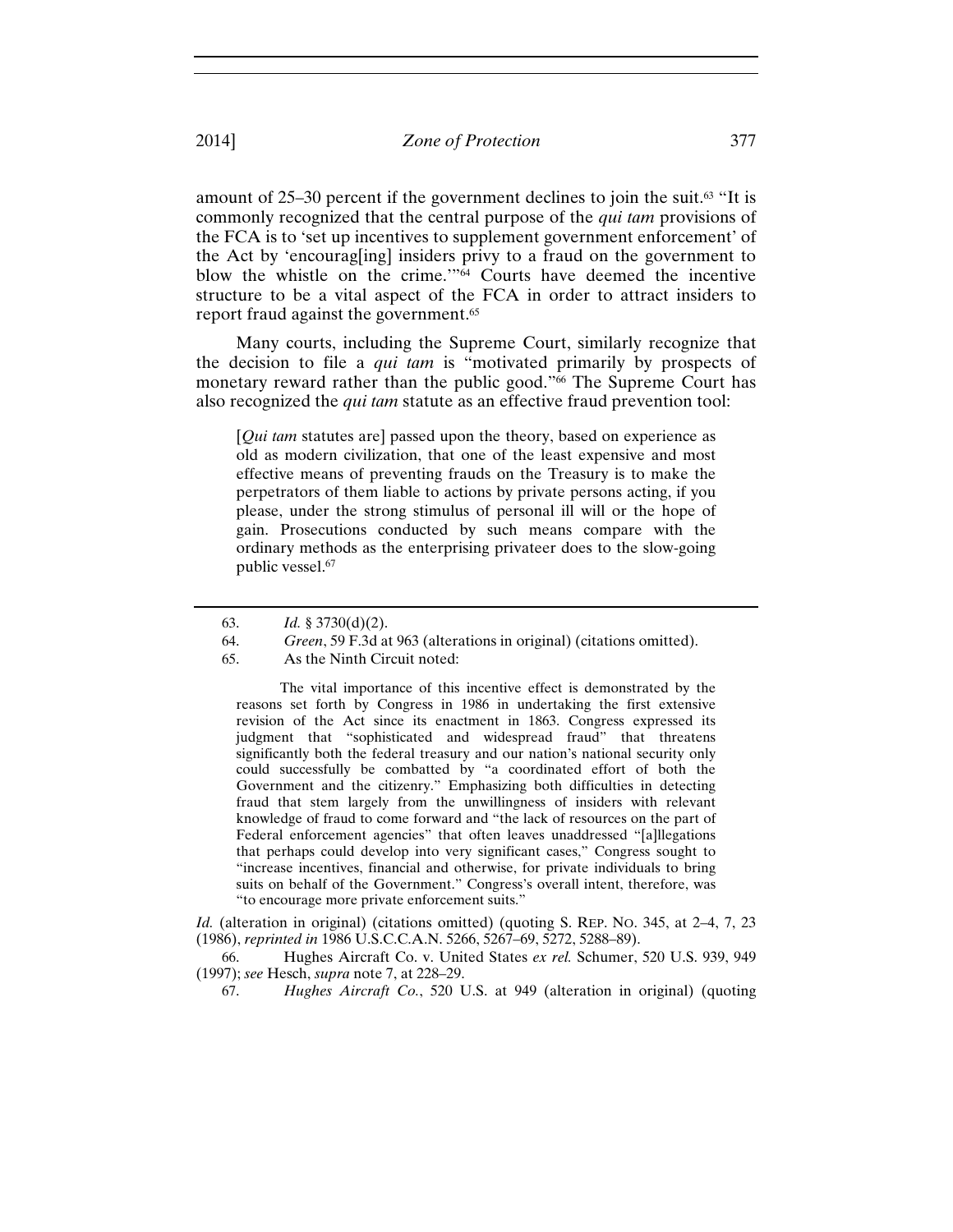amount of  $25-30$  percent if the government declines to join the suit.<sup>63</sup> "It is commonly recognized that the central purpose of the *qui tam* provisions of the FCA is to 'set up incentives to supplement government enforcement' of the Act by 'encourag[ing] insiders privy to a fraud on the government to blow the whistle on the crime.'"64 Courts have deemed the incentive structure to be a vital aspect of the FCA in order to attract insiders to report fraud against the government.<sup>65</sup>

Many courts, including the Supreme Court, similarly recognize that the decision to file a *qui tam* is "motivated primarily by prospects of monetary reward rather than the public good."66 The Supreme Court has also recognized the *qui tam* statute as an effective fraud prevention tool:

[*Qui tam* statutes are] passed upon the theory, based on experience as old as modern civilization, that one of the least expensive and most effective means of preventing frauds on the Treasury is to make the perpetrators of them liable to actions by private persons acting, if you please, under the strong stimulus of personal ill will or the hope of gain. Prosecutions conducted by such means compare with the ordinary methods as the enterprising privateer does to the slow-going public vessel.67

 The vital importance of this incentive effect is demonstrated by the reasons set forth by Congress in 1986 in undertaking the first extensive revision of the Act since its enactment in 1863. Congress expressed its judgment that "sophisticated and widespread fraud" that threatens significantly both the federal treasury and our nation's national security only could successfully be combatted by "a coordinated effort of both the Government and the citizenry." Emphasizing both difficulties in detecting fraud that stem largely from the unwillingness of insiders with relevant knowledge of fraud to come forward and "the lack of resources on the part of Federal enforcement agencies" that often leaves unaddressed "[a]llegations that perhaps could develop into very significant cases," Congress sought to "increase incentives, financial and otherwise, for private individuals to bring suits on behalf of the Government." Congress's overall intent, therefore, was "to encourage more private enforcement suits."

*Id.* (alteration in original) (citations omitted) (quoting S. REP. NO. 345, at 2-4, 7, 23 (1986), *reprinted in* 1986 U.S.C.C.A.N. 5266, 5267–69, 5272, 5288–89).

66. Hughes Aircraft Co. v. United States *ex rel.* Schumer, 520 U.S. 939, 949 (1997); *see* Hesch, *supra* note 7, at 228–29.

67. *Hughes Aircraft Co.*, 520 U.S. at 949 (alteration in original) (quoting

<sup>63.</sup> *Id.* § 3730(d)(2).

<sup>64.</sup> *Green*, 59 F.3d at 963 (alterations in original) (citations omitted).

<sup>65.</sup> As the Ninth Circuit noted: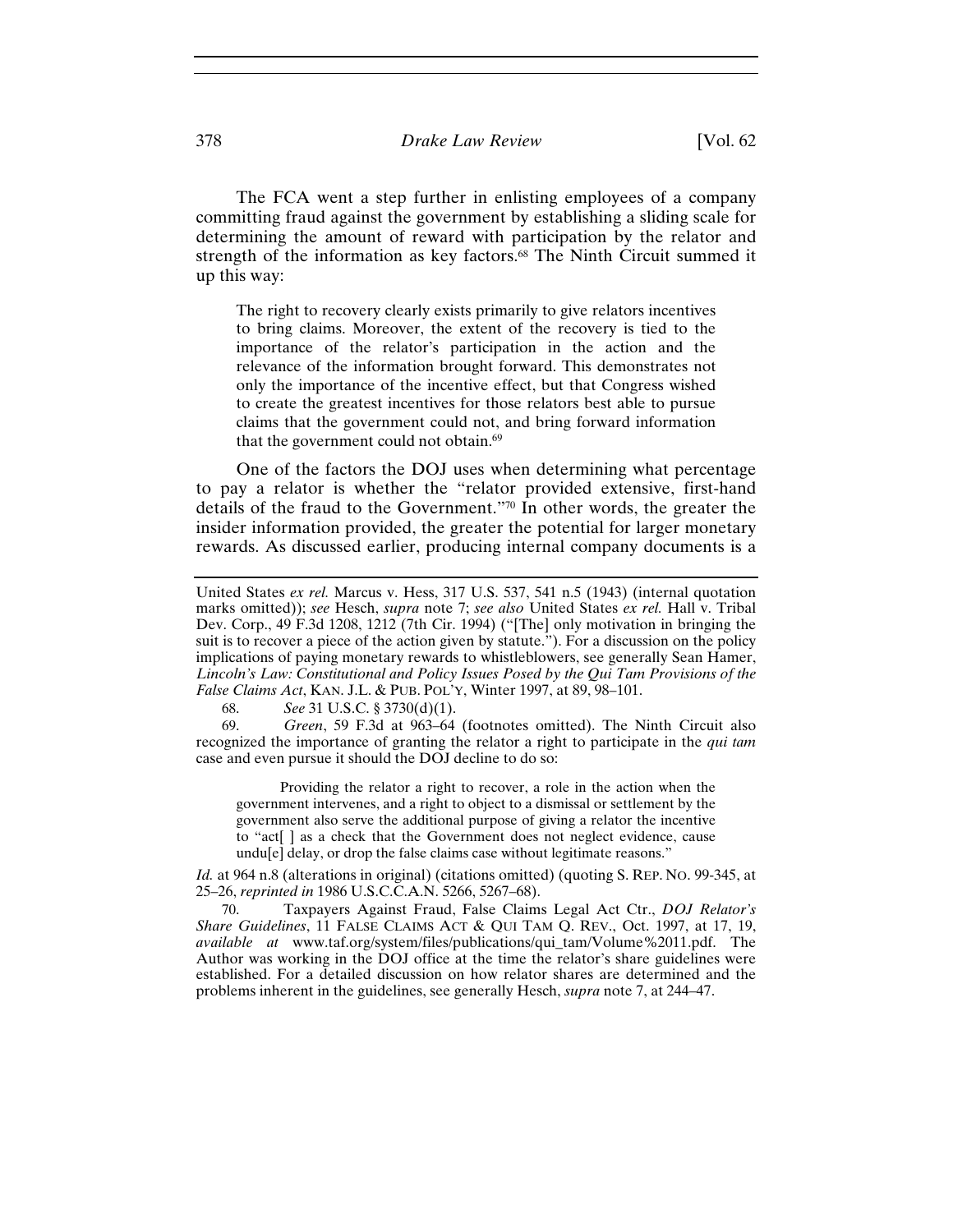378 *Drake Law Review* [Vol. 62

The FCA went a step further in enlisting employees of a company committing fraud against the government by establishing a sliding scale for determining the amount of reward with participation by the relator and strength of the information as key factors.<sup>68</sup> The Ninth Circuit summed it up this way:

The right to recovery clearly exists primarily to give relators incentives to bring claims. Moreover, the extent of the recovery is tied to the importance of the relator's participation in the action and the relevance of the information brought forward. This demonstrates not only the importance of the incentive effect, but that Congress wished to create the greatest incentives for those relators best able to pursue claims that the government could not, and bring forward information that the government could not obtain.<sup>69</sup>

One of the factors the DOJ uses when determining what percentage to pay a relator is whether the "relator provided extensive, first-hand details of the fraud to the Government."70 In other words, the greater the insider information provided, the greater the potential for larger monetary rewards. As discussed earlier, producing internal company documents is a

68. *See* 31 U.S.C. § 3730(d)(1).

69. *Green*, 59 F.3d at 963–64 (footnotes omitted). The Ninth Circuit also recognized the importance of granting the relator a right to participate in the *qui tam* case and even pursue it should the DOJ decline to do so:

 Providing the relator a right to recover, a role in the action when the government intervenes, and a right to object to a dismissal or settlement by the government also serve the additional purpose of giving a relator the incentive to "act[ ] as a check that the Government does not neglect evidence, cause undu[e] delay, or drop the false claims case without legitimate reasons."

*Id.* at 964 n.8 (alterations in original) (citations omitted) (quoting S. REP. No. 99-345, at 25–26, *reprinted in* 1986 U.S.C.C.A.N. 5266, 5267–68).

70. Taxpayers Against Fraud, False Claims Legal Act Ctr., *DOJ Relator's Share Guidelines*, 11 FALSE CLAIMS ACT & QUI TAM Q. REV., Oct. 1997, at 17, 19, *available at* www.taf.org/system/files/publications/qui\_tam/Volume%2011.pdf. The Author was working in the DOJ office at the time the relator's share guidelines were established. For a detailed discussion on how relator shares are determined and the problems inherent in the guidelines, see generally Hesch, *supra* note 7, at 244–47.

United States *ex rel.* Marcus v. Hess, 317 U.S. 537, 541 n.5 (1943) (internal quotation marks omitted)); *see* Hesch, *supra* note 7; *see also* United States *ex rel.* Hall v. Tribal Dev. Corp., 49 F.3d 1208, 1212 (7th Cir. 1994) ("[The] only motivation in bringing the suit is to recover a piece of the action given by statute."). For a discussion on the policy implications of paying monetary rewards to whistleblowers, see generally Sean Hamer, *Lincoln's Law: Constitutional and Policy Issues Posed by the Qui Tam Provisions of the False Claims Act*, KAN. J.L. & PUB. POL'Y, Winter 1997, at 89, 98–101.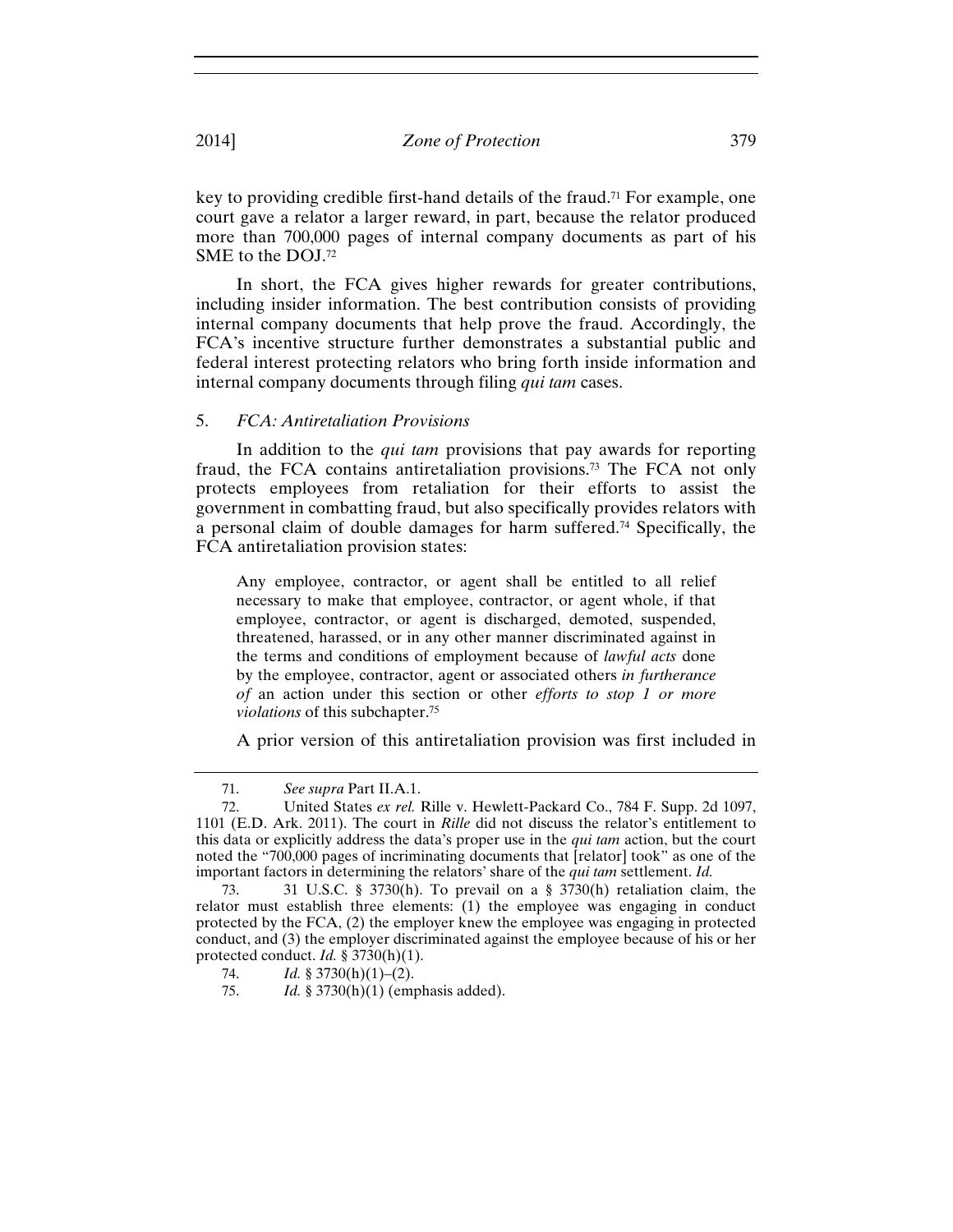key to providing credible first-hand details of the fraud.71 For example, one court gave a relator a larger reward, in part, because the relator produced more than 700,000 pages of internal company documents as part of his SME to the DOJ.72

In short, the FCA gives higher rewards for greater contributions, including insider information. The best contribution consists of providing internal company documents that help prove the fraud. Accordingly, the FCA's incentive structure further demonstrates a substantial public and federal interest protecting relators who bring forth inside information and internal company documents through filing *qui tam* cases.

## 5. *FCA: Antiretaliation Provisions*

In addition to the *qui tam* provisions that pay awards for reporting fraud, the FCA contains antiretaliation provisions.73 The FCA not only protects employees from retaliation for their efforts to assist the government in combatting fraud, but also specifically provides relators with a personal claim of double damages for harm suffered.74 Specifically, the FCA antiretaliation provision states:

Any employee, contractor, or agent shall be entitled to all relief necessary to make that employee, contractor, or agent whole, if that employee, contractor, or agent is discharged, demoted, suspended, threatened, harassed, or in any other manner discriminated against in the terms and conditions of employment because of *lawful acts* done by the employee, contractor, agent or associated others *in furtherance of* an action under this section or other *efforts to stop 1 or more violations* of this subchapter.75

A prior version of this antiretaliation provision was first included in

<sup>71.</sup> *See supra* Part II.A.1.

<sup>72.</sup> United States *ex rel.* Rille v. Hewlett-Packard Co., 784 F. Supp. 2d 1097, 1101 (E.D. Ark. 2011). The court in *Rille* did not discuss the relator's entitlement to this data or explicitly address the data's proper use in the *qui tam* action, but the court noted the "700,000 pages of incriminating documents that [relator] took" as one of the important factors in determining the relators' share of the *qui tam* settlement. *Id.*

<sup>73. 31</sup> U.S.C. § 3730(h). To prevail on a § 3730(h) retaliation claim, the relator must establish three elements: (1) the employee was engaging in conduct protected by the FCA, (2) the employer knew the employee was engaging in protected conduct, and (3) the employer discriminated against the employee because of his or her protected conduct. *Id.* § 3730(h)(1).

<sup>74.</sup> *Id.* § 3730(h)(1)–(2).

<sup>75.</sup> *Id.* § 3730(h)(1) (emphasis added).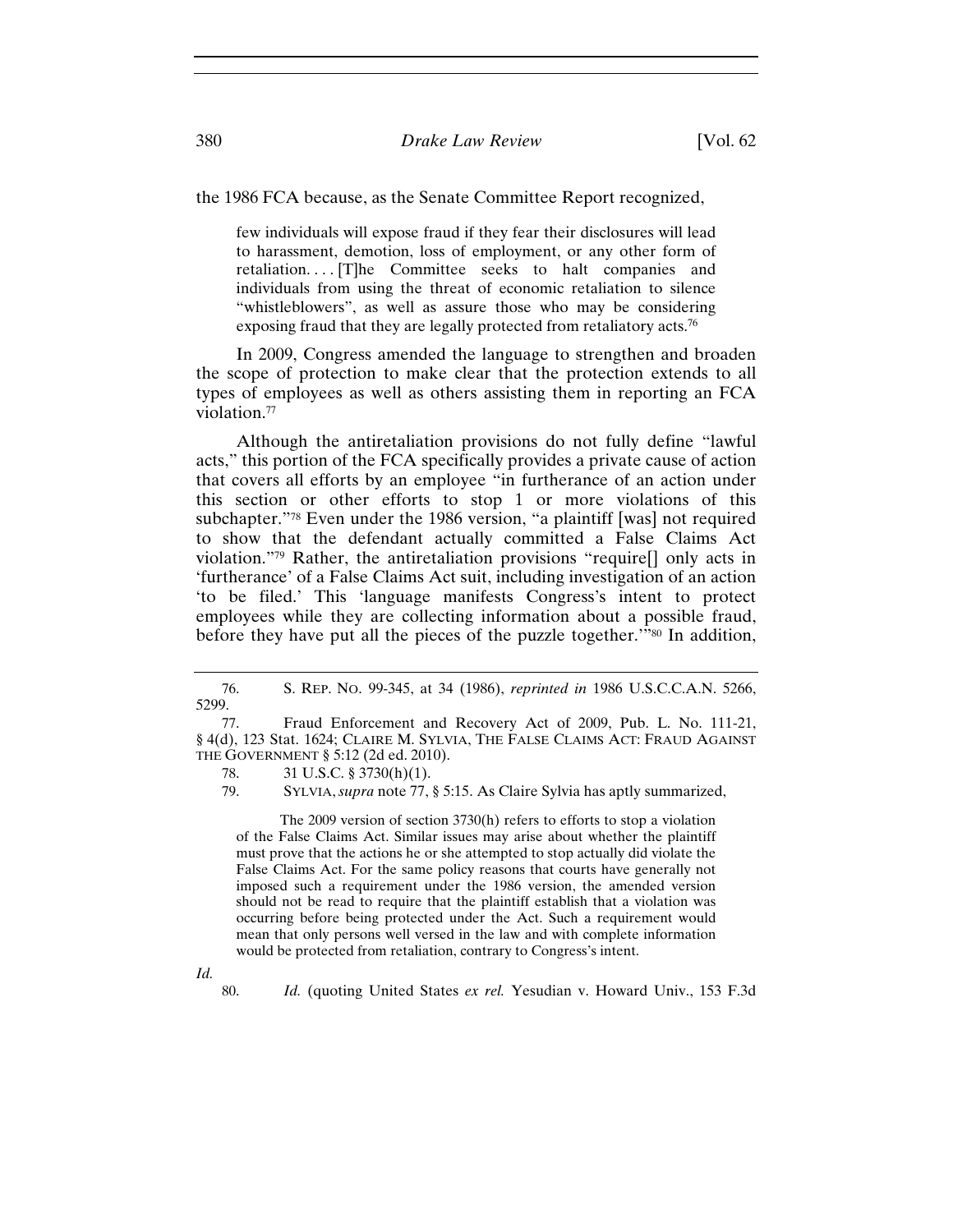the 1986 FCA because, as the Senate Committee Report recognized,

few individuals will expose fraud if they fear their disclosures will lead to harassment, demotion, loss of employment, or any other form of retaliation. . . . [T]he Committee seeks to halt companies and individuals from using the threat of economic retaliation to silence "whistleblowers", as well as assure those who may be considering exposing fraud that they are legally protected from retaliatory acts.76

In 2009, Congress amended the language to strengthen and broaden the scope of protection to make clear that the protection extends to all types of employees as well as others assisting them in reporting an FCA violation.77

Although the antiretaliation provisions do not fully define "lawful acts," this portion of the FCA specifically provides a private cause of action that covers all efforts by an employee "in furtherance of an action under this section or other efforts to stop 1 or more violations of this subchapter."78 Even under the 1986 version, "a plaintiff [was] not required to show that the defendant actually committed a False Claims Act violation."79 Rather, the antiretaliation provisions "require[] only acts in 'furtherance' of a False Claims Act suit, including investigation of an action 'to be filed.' This 'language manifests Congress's intent to protect employees while they are collecting information about a possible fraud, before they have put all the pieces of the puzzle together.'"80 In addition,

 The 2009 version of section 3730(h) refers to efforts to stop a violation of the False Claims Act. Similar issues may arise about whether the plaintiff must prove that the actions he or she attempted to stop actually did violate the False Claims Act. For the same policy reasons that courts have generally not imposed such a requirement under the 1986 version, the amended version should not be read to require that the plaintiff establish that a violation was occurring before being protected under the Act. Such a requirement would mean that only persons well versed in the law and with complete information would be protected from retaliation, contrary to Congress's intent.

*Id.*

80. *Id.* (quoting United States *ex rel.* Yesudian v. Howard Univ., 153 F.3d

<sup>76.</sup> S. REP. NO. 99-345, at 34 (1986), *reprinted in* 1986 U.S.C.C.A.N. 5266, 5299.

<sup>77.</sup> Fraud Enforcement and Recovery Act of 2009, Pub. L. No. 111-21, § 4(d), 123 Stat. 1624; CLAIRE M. SYLVIA, THE FALSE CLAIMS ACT: FRAUD AGAINST THE GOVERNMENT § 5:12 (2d ed. 2010).

<sup>78. 31</sup> U.S.C. § 3730(h)(1).

<sup>79.</sup> SYLVIA, *supra* note 77, § 5:15. As Claire Sylvia has aptly summarized,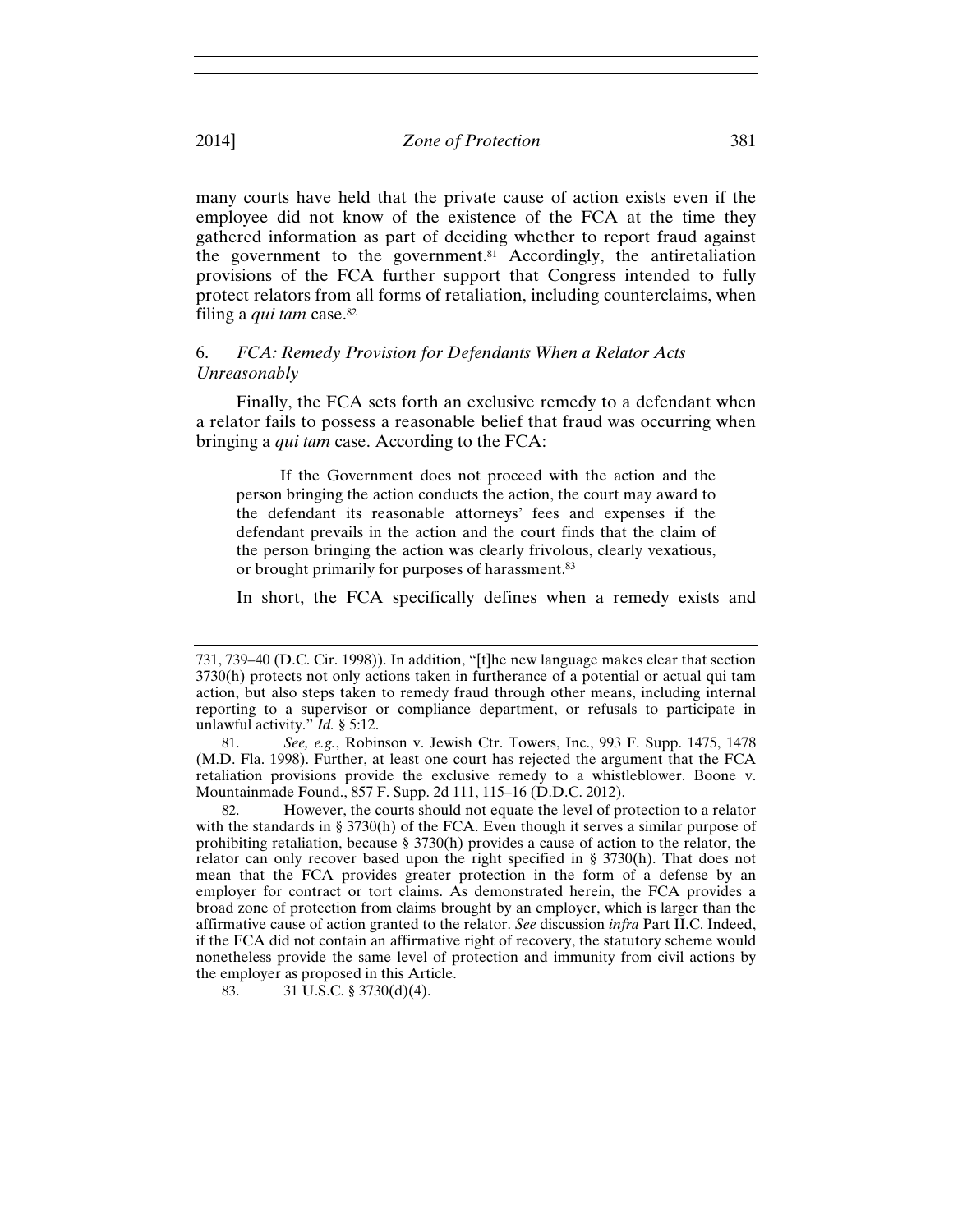many courts have held that the private cause of action exists even if the employee did not know of the existence of the FCA at the time they gathered information as part of deciding whether to report fraud against the government to the government.81 Accordingly, the antiretaliation provisions of the FCA further support that Congress intended to fully protect relators from all forms of retaliation, including counterclaims, when filing a *qui tam* case.<sup>82</sup>

## 6. *FCA: Remedy Provision for Defendants When a Relator Acts Unreasonably*

Finally, the FCA sets forth an exclusive remedy to a defendant when a relator fails to possess a reasonable belief that fraud was occurring when bringing a *qui tam* case. According to the FCA:

 If the Government does not proceed with the action and the person bringing the action conducts the action, the court may award to the defendant its reasonable attorneys' fees and expenses if the defendant prevails in the action and the court finds that the claim of the person bringing the action was clearly frivolous, clearly vexatious, or brought primarily for purposes of harassment.83

In short, the FCA specifically defines when a remedy exists and

83. 31 U.S.C. § 3730(d)(4).

<sup>731, 739–40 (</sup>D.C. Cir. 1998)). In addition, "[t]he new language makes clear that section 3730(h) protects not only actions taken in furtherance of a potential or actual qui tam action, but also steps taken to remedy fraud through other means, including internal reporting to a supervisor or compliance department, or refusals to participate in unlawful activity." *Id.* § 5:12.

<sup>81.</sup> *See, e.g.*, Robinson v. Jewish Ctr. Towers, Inc., 993 F. Supp. 1475, 1478 (M.D. Fla. 1998). Further, at least one court has rejected the argument that the FCA retaliation provisions provide the exclusive remedy to a whistleblower. Boone v. Mountainmade Found., 857 F. Supp. 2d 111, 115–16 (D.D.C. 2012).

<sup>82.</sup> However, the courts should not equate the level of protection to a relator with the standards in § 3730(h) of the FCA. Even though it serves a similar purpose of prohibiting retaliation, because § 3730(h) provides a cause of action to the relator, the relator can only recover based upon the right specified in § 3730(h). That does not mean that the FCA provides greater protection in the form of a defense by an employer for contract or tort claims. As demonstrated herein, the FCA provides a broad zone of protection from claims brought by an employer, which is larger than the affirmative cause of action granted to the relator. *See* discussion *infra* Part II.C. Indeed, if the FCA did not contain an affirmative right of recovery, the statutory scheme would nonetheless provide the same level of protection and immunity from civil actions by the employer as proposed in this Article.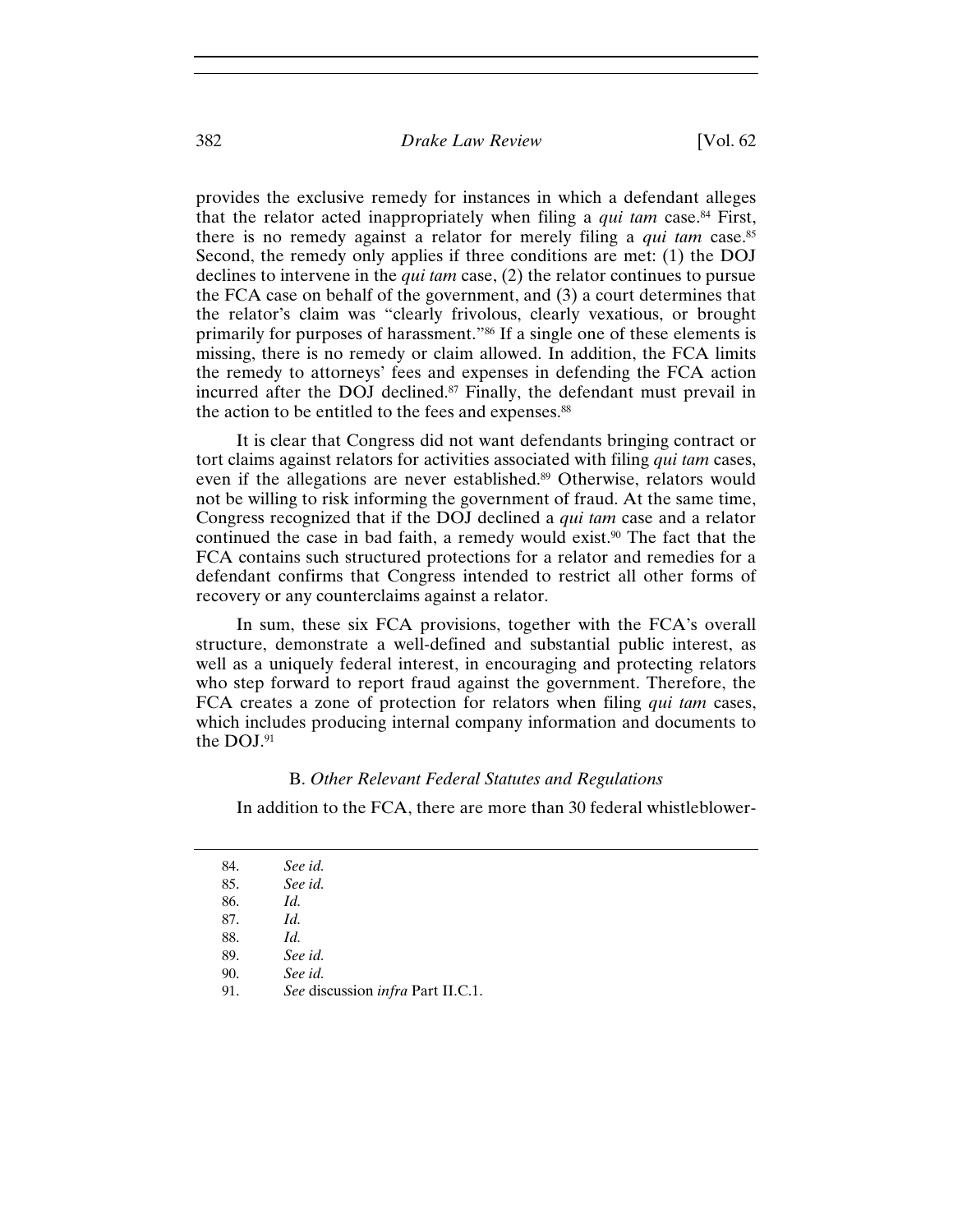provides the exclusive remedy for instances in which a defendant alleges that the relator acted inappropriately when filing a *qui tam* case.84 First, there is no remedy against a relator for merely filing a *qui tam* case.85 Second, the remedy only applies if three conditions are met: (1) the DOJ declines to intervene in the *qui tam* case, (2) the relator continues to pursue the FCA case on behalf of the government, and (3) a court determines that the relator's claim was "clearly frivolous, clearly vexatious, or brought primarily for purposes of harassment."86 If a single one of these elements is missing, there is no remedy or claim allowed. In addition, the FCA limits the remedy to attorneys' fees and expenses in defending the FCA action incurred after the DOJ declined.87 Finally, the defendant must prevail in the action to be entitled to the fees and expenses.<sup>88</sup>

It is clear that Congress did not want defendants bringing contract or tort claims against relators for activities associated with filing *qui tam* cases, even if the allegations are never established.<sup>89</sup> Otherwise, relators would not be willing to risk informing the government of fraud. At the same time, Congress recognized that if the DOJ declined a *qui tam* case and a relator continued the case in bad faith, a remedy would exist.90 The fact that the FCA contains such structured protections for a relator and remedies for a defendant confirms that Congress intended to restrict all other forms of recovery or any counterclaims against a relator.

In sum, these six FCA provisions, together with the FCA's overall structure, demonstrate a well-defined and substantial public interest, as well as a uniquely federal interest, in encouraging and protecting relators who step forward to report fraud against the government. Therefore, the FCA creates a zone of protection for relators when filing *qui tam* cases, which includes producing internal company information and documents to the DOJ.91

## B. *Other Relevant Federal Statutes and Regulations*

In addition to the FCA, there are more than 30 federal whistleblower-

| 84. | See id.                           |  |
|-----|-----------------------------------|--|
| 85. | See id.                           |  |
| 86. | Id.                               |  |
| 87. | Id.                               |  |
| 88. | Id.                               |  |
| 89. | See id.                           |  |
| 90. | See id.                           |  |
| 91. | See discussion infra Part II.C.1. |  |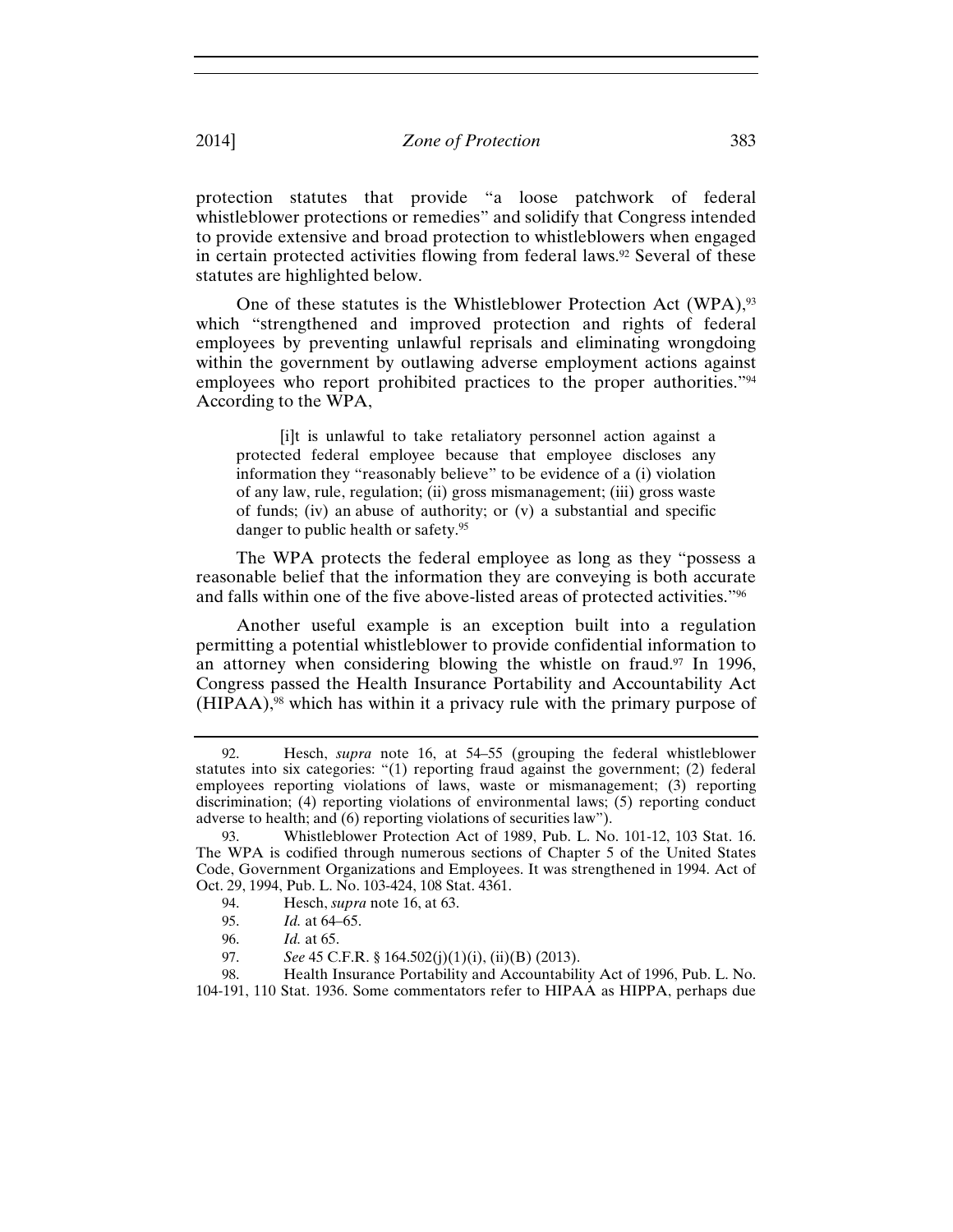protection statutes that provide "a loose patchwork of federal whistleblower protections or remedies" and solidify that Congress intended to provide extensive and broad protection to whistleblowers when engaged in certain protected activities flowing from federal laws.<sup>92</sup> Several of these statutes are highlighted below.

One of these statutes is the Whistleblower Protection Act (WPA),<sup>93</sup> which "strengthened and improved protection and rights of federal employees by preventing unlawful reprisals and eliminating wrongdoing within the government by outlawing adverse employment actions against employees who report prohibited practices to the proper authorities."94 According to the WPA,

 [i]t is unlawful to take retaliatory personnel action against a protected federal employee because that employee discloses any information they "reasonably believe" to be evidence of a (i) violation of any law, rule, regulation; (ii) gross mismanagement; (iii) gross waste of funds; (iv) an abuse of authority; or (v) a substantial and specific danger to public health or safety.95

The WPA protects the federal employee as long as they "possess a reasonable belief that the information they are conveying is both accurate and falls within one of the five above-listed areas of protected activities."96

Another useful example is an exception built into a regulation permitting a potential whistleblower to provide confidential information to an attorney when considering blowing the whistle on fraud.<sup>97</sup> In 1996, Congress passed the Health Insurance Portability and Accountability Act (HIPAA),98 which has within it a privacy rule with the primary purpose of

- 94. Hesch, *supra* note 16, at 63.
- 95. *Id.* at 64–65.
- 96. *Id.* at 65.
- See 45 C.F.R. § 164.502(j)(1)(i), (ii)(B) (2013).

98. Health Insurance Portability and Accountability Act of 1996, Pub. L. No. 104-191, 110 Stat. 1936. Some commentators refer to HIPAA as HIPPA, perhaps due

<sup>92.</sup> Hesch, *supra* note 16, at 54–55 (grouping the federal whistleblower statutes into six categories: "(1) reporting fraud against the government; (2) federal employees reporting violations of laws, waste or mismanagement; (3) reporting discrimination; (4) reporting violations of environmental laws; (5) reporting conduct adverse to health; and (6) reporting violations of securities law").

<sup>93.</sup> Whistleblower Protection Act of 1989, Pub. L. No. 101-12, 103 Stat. 16. The WPA is codified through numerous sections of Chapter 5 of the United States Code, Government Organizations and Employees. It was strengthened in 1994. Act of Oct. 29, 1994, Pub. L. No. 103-424, 108 Stat. 4361.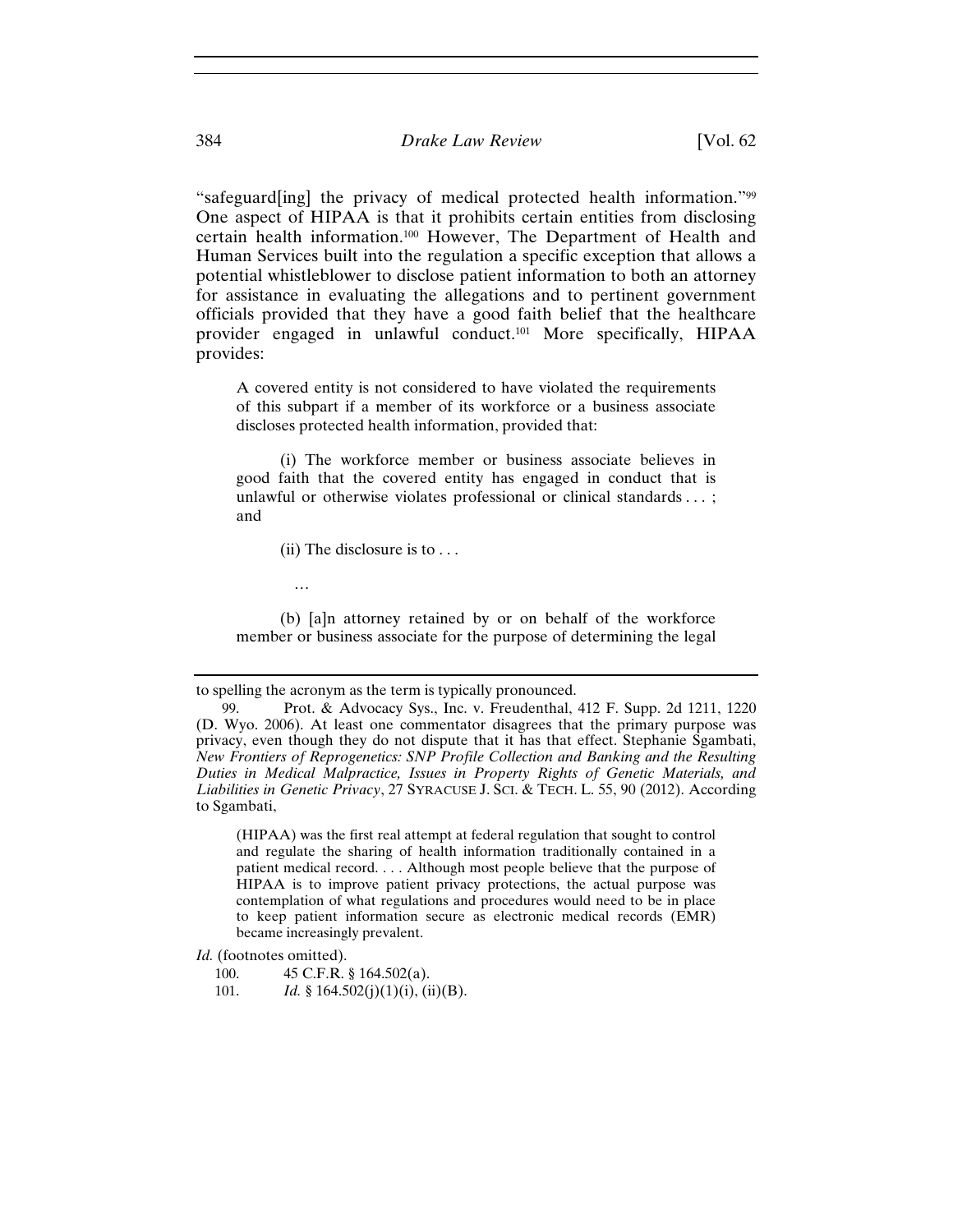"safeguard[ing] the privacy of medical protected health information."99 One aspect of HIPAA is that it prohibits certain entities from disclosing certain health information.100 However, The Department of Health and Human Services built into the regulation a specific exception that allows a potential whistleblower to disclose patient information to both an attorney for assistance in evaluating the allegations and to pertinent government officials provided that they have a good faith belief that the healthcare provider engaged in unlawful conduct.101 More specifically, HIPAA provides:

A covered entity is not considered to have violated the requirements of this subpart if a member of its workforce or a business associate discloses protected health information, provided that:

 (i) The workforce member or business associate believes in good faith that the covered entity has engaged in conduct that is unlawful or otherwise violates professional or clinical standards . . . ; and

(ii) The disclosure is to  $\dots$ 

…

 (b) [a]n attorney retained by or on behalf of the workforce member or business associate for the purpose of determining the legal

(HIPAA) was the first real attempt at federal regulation that sought to control and regulate the sharing of health information traditionally contained in a patient medical record. . . . Although most people believe that the purpose of HIPAA is to improve patient privacy protections, the actual purpose was contemplation of what regulations and procedures would need to be in place to keep patient information secure as electronic medical records (EMR) became increasingly prevalent.

to spelling the acronym as the term is typically pronounced.

<sup>99.</sup> Prot. & Advocacy Sys., Inc. v. Freudenthal, 412 F. Supp. 2d 1211, 1220 (D. Wyo. 2006). At least one commentator disagrees that the primary purpose was privacy, even though they do not dispute that it has that effect. Stephanie Sgambati, *New Frontiers of Reprogenetics: SNP Profile Collection and Banking and the Resulting Duties in Medical Malpractice, Issues in Property Rights of Genetic Materials, and Liabilities in Genetic Privacy*, 27 SYRACUSE J. SCI. & TECH. L. 55, 90 (2012). According to Sgambati,

*Id.* (footnotes omitted).

<sup>100. 45</sup> C.F.R. § 164.502(a).

<sup>101.</sup> *Id.* § 164.502(j)(1)(i), (ii)(B).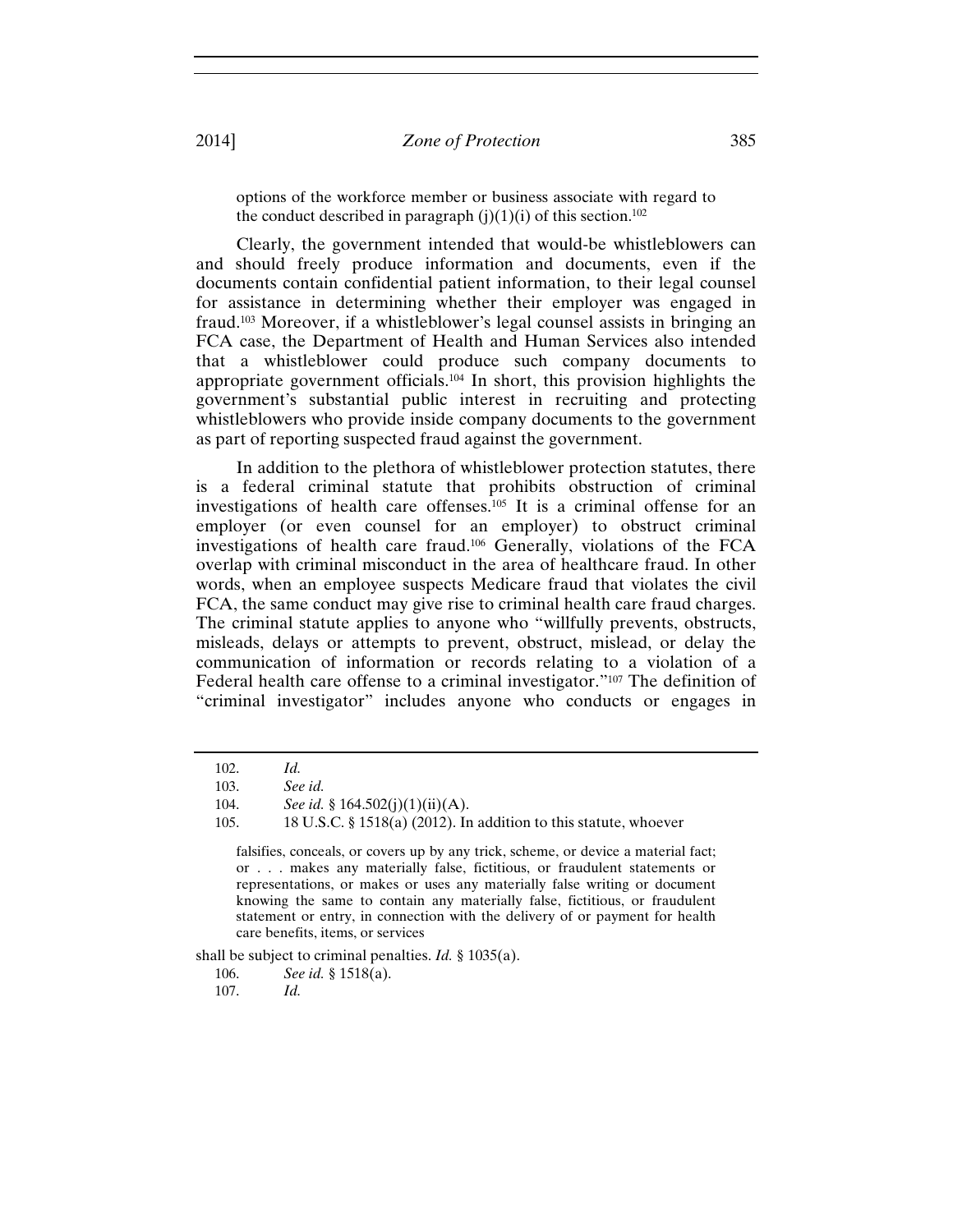options of the workforce member or business associate with regard to the conduct described in paragraph  $(i)(1)(i)$  of this section.<sup>102</sup>

Clearly, the government intended that would-be whistleblowers can and should freely produce information and documents, even if the documents contain confidential patient information, to their legal counsel for assistance in determining whether their employer was engaged in fraud.103 Moreover, if a whistleblower's legal counsel assists in bringing an FCA case, the Department of Health and Human Services also intended that a whistleblower could produce such company documents to appropriate government officials.104 In short, this provision highlights the government's substantial public interest in recruiting and protecting whistleblowers who provide inside company documents to the government as part of reporting suspected fraud against the government.

In addition to the plethora of whistleblower protection statutes, there is a federal criminal statute that prohibits obstruction of criminal investigations of health care offenses.105 It is a criminal offense for an employer (or even counsel for an employer) to obstruct criminal investigations of health care fraud.106 Generally, violations of the FCA overlap with criminal misconduct in the area of healthcare fraud. In other words, when an employee suspects Medicare fraud that violates the civil FCA, the same conduct may give rise to criminal health care fraud charges. The criminal statute applies to anyone who "willfully prevents, obstructs, misleads, delays or attempts to prevent, obstruct, mislead, or delay the communication of information or records relating to a violation of a Federal health care offense to a criminal investigator."107 The definition of "criminal investigator" includes anyone who conducts or engages in

shall be subject to criminal penalties. *Id.* § 1035(a).

106. *See id.* § 1518(a).

107. *Id.*

<sup>102.</sup> *Id.*

<sup>103.</sup> *See id.*

<sup>104.</sup> *See id.* § 164.502(j)(1)(ii)(A).

<sup>105. 18</sup> U.S.C. § 1518(a) (2012). In addition to this statute, whoever

falsifies, conceals, or covers up by any trick, scheme, or device a material fact; or . . . makes any materially false, fictitious, or fraudulent statements or representations, or makes or uses any materially false writing or document knowing the same to contain any materially false, fictitious, or fraudulent statement or entry, in connection with the delivery of or payment for health care benefits, items, or services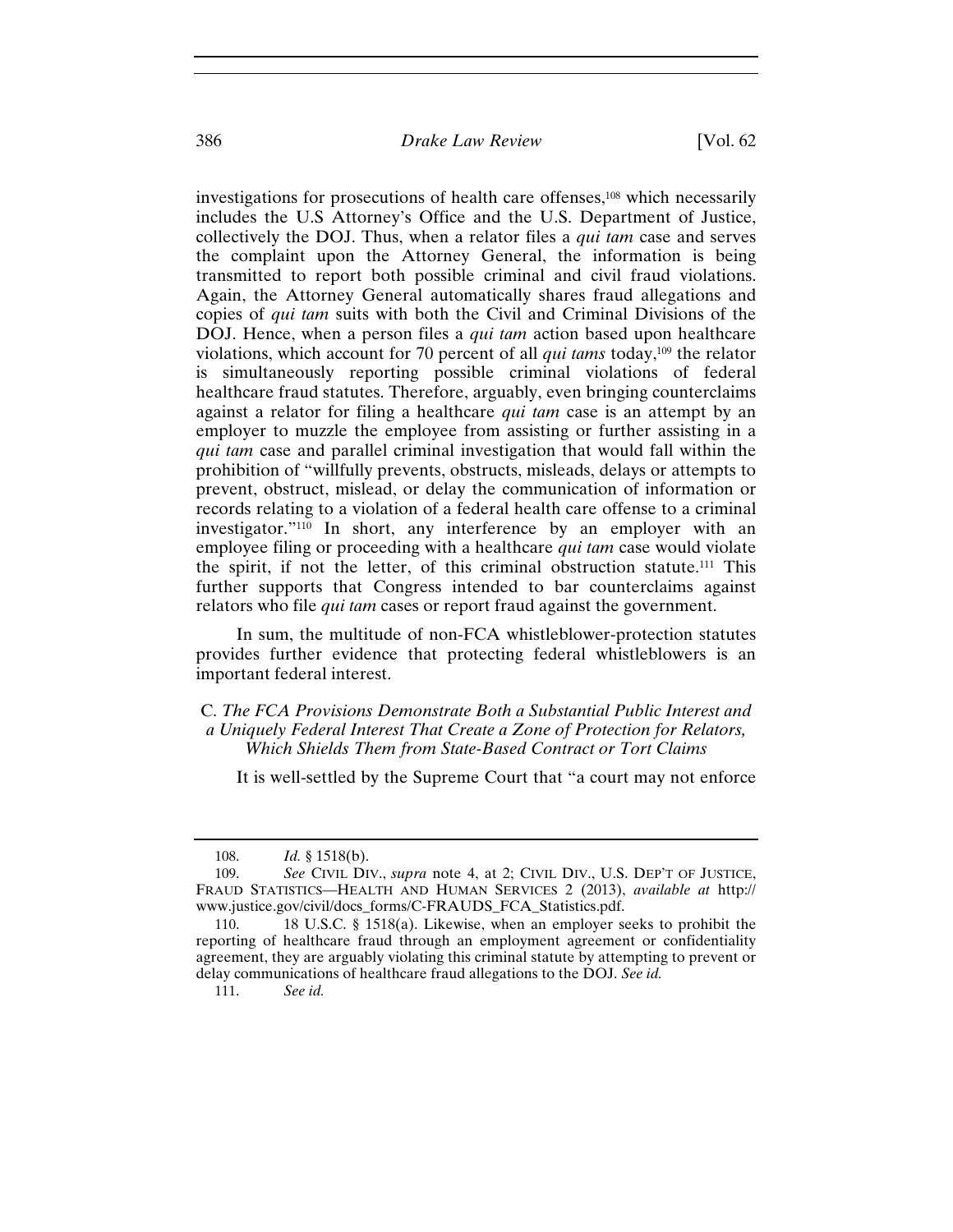investigations for prosecutions of health care offenses,<sup>108</sup> which necessarily includes the U.S Attorney's Office and the U.S. Department of Justice, collectively the DOJ. Thus, when a relator files a *qui tam* case and serves the complaint upon the Attorney General, the information is being transmitted to report both possible criminal and civil fraud violations. Again, the Attorney General automatically shares fraud allegations and copies of *qui tam* suits with both the Civil and Criminal Divisions of the DOJ. Hence, when a person files a *qui tam* action based upon healthcare violations, which account for 70 percent of all *qui tams* today,109 the relator is simultaneously reporting possible criminal violations of federal healthcare fraud statutes. Therefore, arguably, even bringing counterclaims against a relator for filing a healthcare *qui tam* case is an attempt by an employer to muzzle the employee from assisting or further assisting in a *qui tam* case and parallel criminal investigation that would fall within the prohibition of "willfully prevents, obstructs, misleads, delays or attempts to prevent, obstruct, mislead, or delay the communication of information or records relating to a violation of a federal health care offense to a criminal investigator."110 In short, any interference by an employer with an employee filing or proceeding with a healthcare *qui tam* case would violate the spirit, if not the letter, of this criminal obstruction statute.111 This further supports that Congress intended to bar counterclaims against relators who file *qui tam* cases or report fraud against the government.

In sum, the multitude of non-FCA whistleblower-protection statutes provides further evidence that protecting federal whistleblowers is an important federal interest.

C. *The FCA Provisions Demonstrate Both a Substantial Public Interest and a Uniquely Federal Interest That Create a Zone of Protection for Relators, Which Shields Them from State-Based Contract or Tort Claims* 

It is well-settled by the Supreme Court that "a court may not enforce

<sup>108.</sup> *Id.* § 1518(b).

<sup>109.</sup> *See* CIVIL DIV., *supra* note 4, at 2; CIVIL DIV., U.S. DEP'T OF JUSTICE, FRAUD STATISTICS—HEALTH AND HUMAN SERVICES 2 (2013), *available at* http:// www.justice.gov/civil/docs\_forms/C-FRAUDS\_FCA\_Statistics.pdf.

<sup>110. 18</sup> U.S.C. § 1518(a). Likewise, when an employer seeks to prohibit the reporting of healthcare fraud through an employment agreement or confidentiality agreement, they are arguably violating this criminal statute by attempting to prevent or delay communications of healthcare fraud allegations to the DOJ. *See id.*

<sup>111.</sup> *See id.*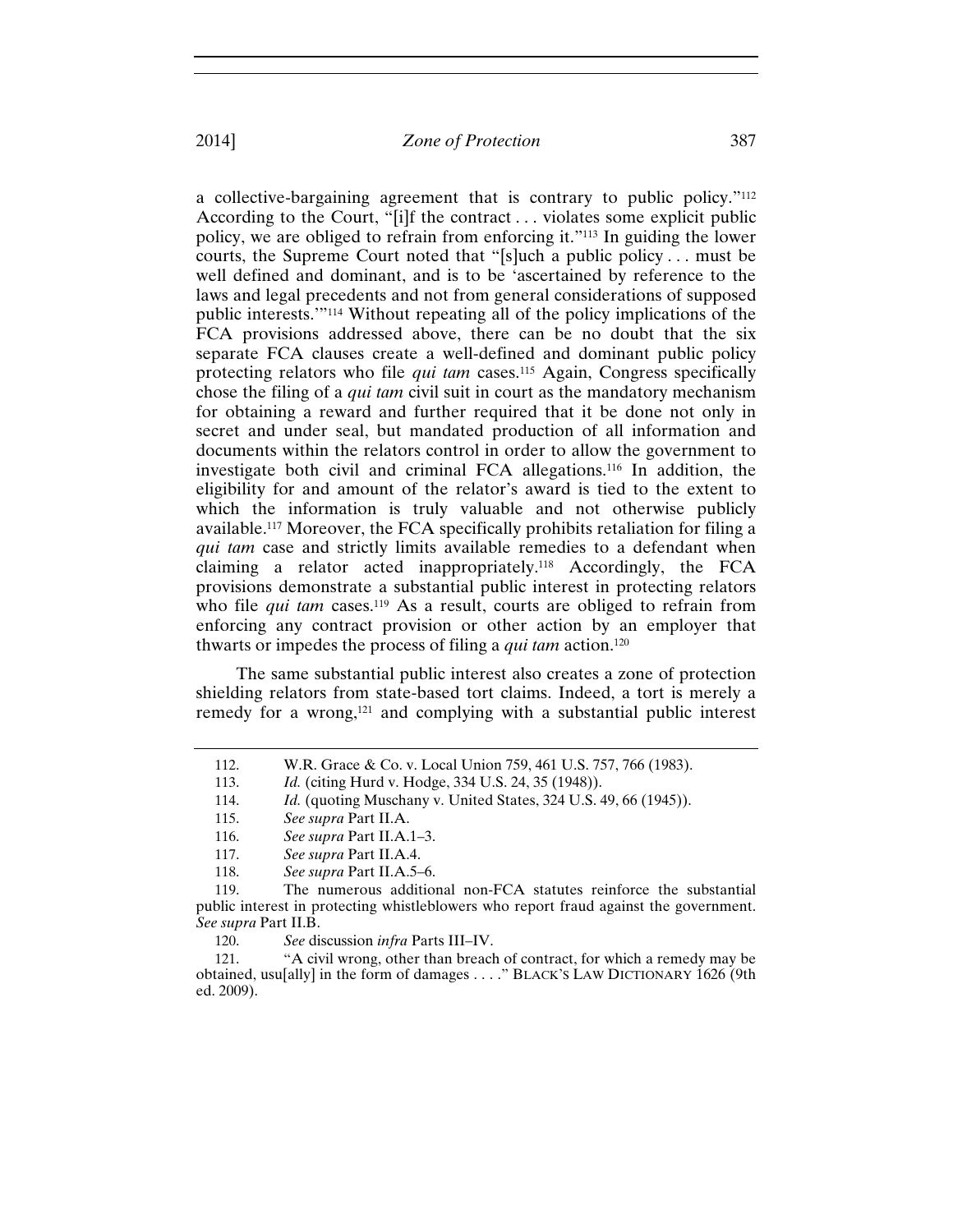a collective-bargaining agreement that is contrary to public policy."112 According to the Court, "[i]f the contract . . . violates some explicit public policy, we are obliged to refrain from enforcing it."113 In guiding the lower courts, the Supreme Court noted that "[s]uch a public policy . . . must be well defined and dominant, and is to be 'ascertained by reference to the laws and legal precedents and not from general considerations of supposed public interests.'"114 Without repeating all of the policy implications of the FCA provisions addressed above, there can be no doubt that the six separate FCA clauses create a well-defined and dominant public policy protecting relators who file *qui tam* cases.115 Again, Congress specifically chose the filing of a *qui tam* civil suit in court as the mandatory mechanism for obtaining a reward and further required that it be done not only in secret and under seal, but mandated production of all information and documents within the relators control in order to allow the government to investigate both civil and criminal FCA allegations.116 In addition, the eligibility for and amount of the relator's award is tied to the extent to which the information is truly valuable and not otherwise publicly available.117 Moreover, the FCA specifically prohibits retaliation for filing a *qui tam* case and strictly limits available remedies to a defendant when claiming a relator acted inappropriately.118 Accordingly, the FCA provisions demonstrate a substantial public interest in protecting relators who file *qui tam* cases.<sup>119</sup> As a result, courts are obliged to refrain from enforcing any contract provision or other action by an employer that thwarts or impedes the process of filing a *qui tam* action.120

The same substantial public interest also creates a zone of protection shielding relators from state-based tort claims. Indeed, a tort is merely a remedy for a wrong,121 and complying with a substantial public interest

<sup>112.</sup> W.R. Grace & Co. v. Local Union 759, 461 U.S. 757, 766 (1983).

<sup>113.</sup> *Id.* (citing Hurd v. Hodge, 334 U.S. 24, 35 (1948)).

<sup>114.</sup> *Id.* (quoting Muschany v. United States, 324 U.S. 49, 66 (1945)).

<sup>115.</sup> *See supra* Part II.A.

<sup>116.</sup> *See supra* Part II.A.1–3.

<sup>117.</sup> *See supra* Part II.A.4.

<sup>118.</sup> *See supra* Part II.A.5–6.

<sup>119.</sup> The numerous additional non-FCA statutes reinforce the substantial public interest in protecting whistleblowers who report fraud against the government. *See supra* Part II.B.

<sup>120.</sup> *See* discussion *infra* Parts III–IV.

<sup>121. &</sup>quot;A civil wrong, other than breach of contract, for which a remedy may be obtained, usu[ally] in the form of damages . . . ." BLACK'S LAW DICTIONARY 1626 (9th ed. 2009).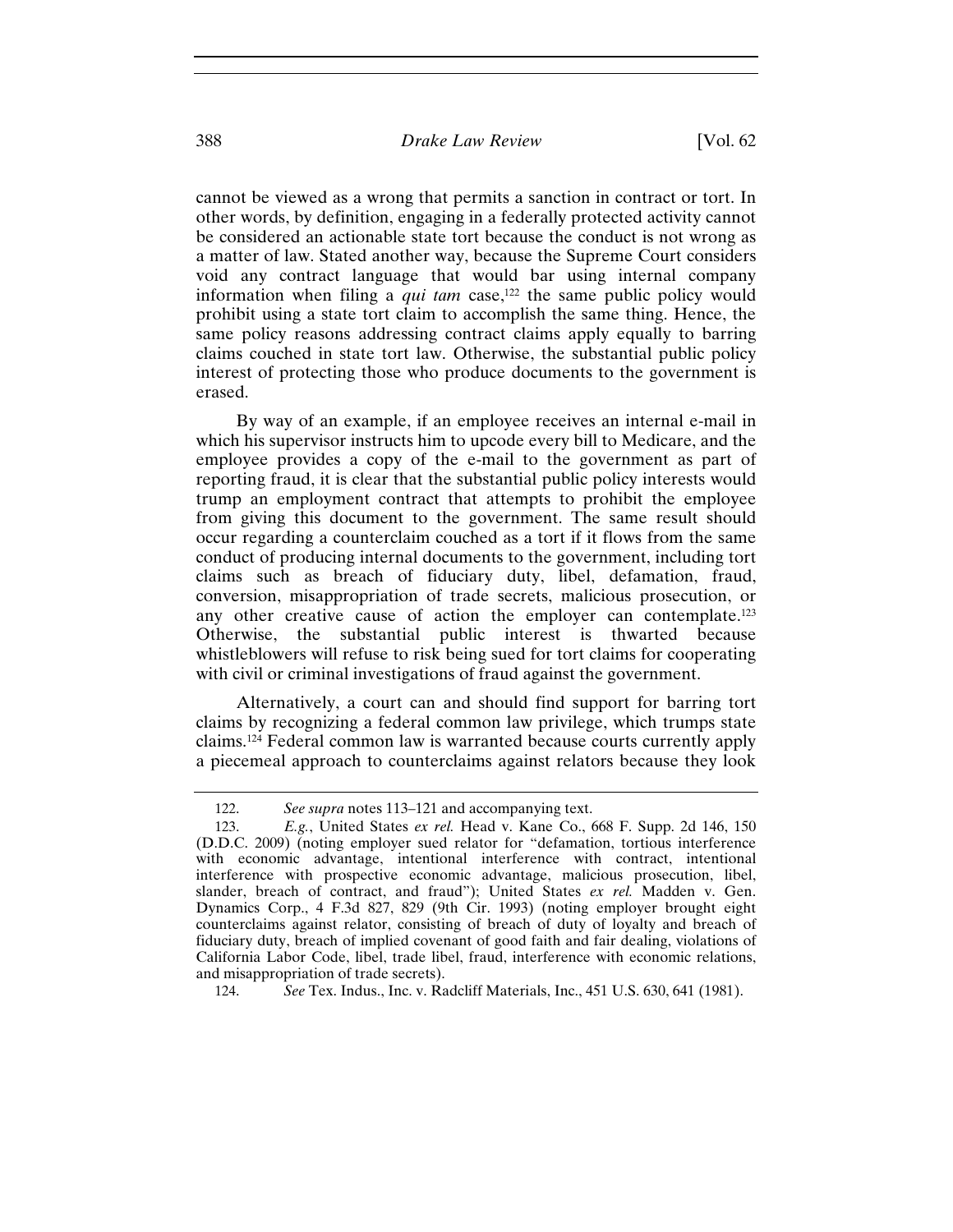cannot be viewed as a wrong that permits a sanction in contract or tort. In other words, by definition, engaging in a federally protected activity cannot be considered an actionable state tort because the conduct is not wrong as a matter of law. Stated another way, because the Supreme Court considers void any contract language that would bar using internal company information when filing a *qui tam* case,<sup>122</sup> the same public policy would prohibit using a state tort claim to accomplish the same thing. Hence, the same policy reasons addressing contract claims apply equally to barring claims couched in state tort law. Otherwise, the substantial public policy interest of protecting those who produce documents to the government is erased.

By way of an example, if an employee receives an internal e-mail in which his supervisor instructs him to upcode every bill to Medicare, and the employee provides a copy of the e-mail to the government as part of reporting fraud, it is clear that the substantial public policy interests would trump an employment contract that attempts to prohibit the employee from giving this document to the government. The same result should occur regarding a counterclaim couched as a tort if it flows from the same conduct of producing internal documents to the government, including tort claims such as breach of fiduciary duty, libel, defamation, fraud, conversion, misappropriation of trade secrets, malicious prosecution, or any other creative cause of action the employer can contemplate.123 Otherwise, the substantial public interest is thwarted because whistleblowers will refuse to risk being sued for tort claims for cooperating with civil or criminal investigations of fraud against the government.

Alternatively, a court can and should find support for barring tort claims by recognizing a federal common law privilege, which trumps state claims.124 Federal common law is warranted because courts currently apply a piecemeal approach to counterclaims against relators because they look

<sup>122.</sup> *See supra* notes 113–121 and accompanying text.

<sup>123.</sup> *E.g.*, United States *ex rel.* Head v. Kane Co., 668 F. Supp. 2d 146, 150 (D.D.C. 2009) (noting employer sued relator for "defamation, tortious interference with economic advantage, intentional interference with contract, intentional interference with prospective economic advantage, malicious prosecution, libel, slander, breach of contract, and fraud"); United States *ex rel.* Madden v. Gen. Dynamics Corp., 4 F.3d 827, 829 (9th Cir. 1993) (noting employer brought eight counterclaims against relator, consisting of breach of duty of loyalty and breach of fiduciary duty, breach of implied covenant of good faith and fair dealing, violations of California Labor Code, libel, trade libel, fraud, interference with economic relations, and misappropriation of trade secrets).

<sup>124.</sup> *See* Tex. Indus., Inc. v. Radcliff Materials, Inc., 451 U.S. 630, 641 (1981).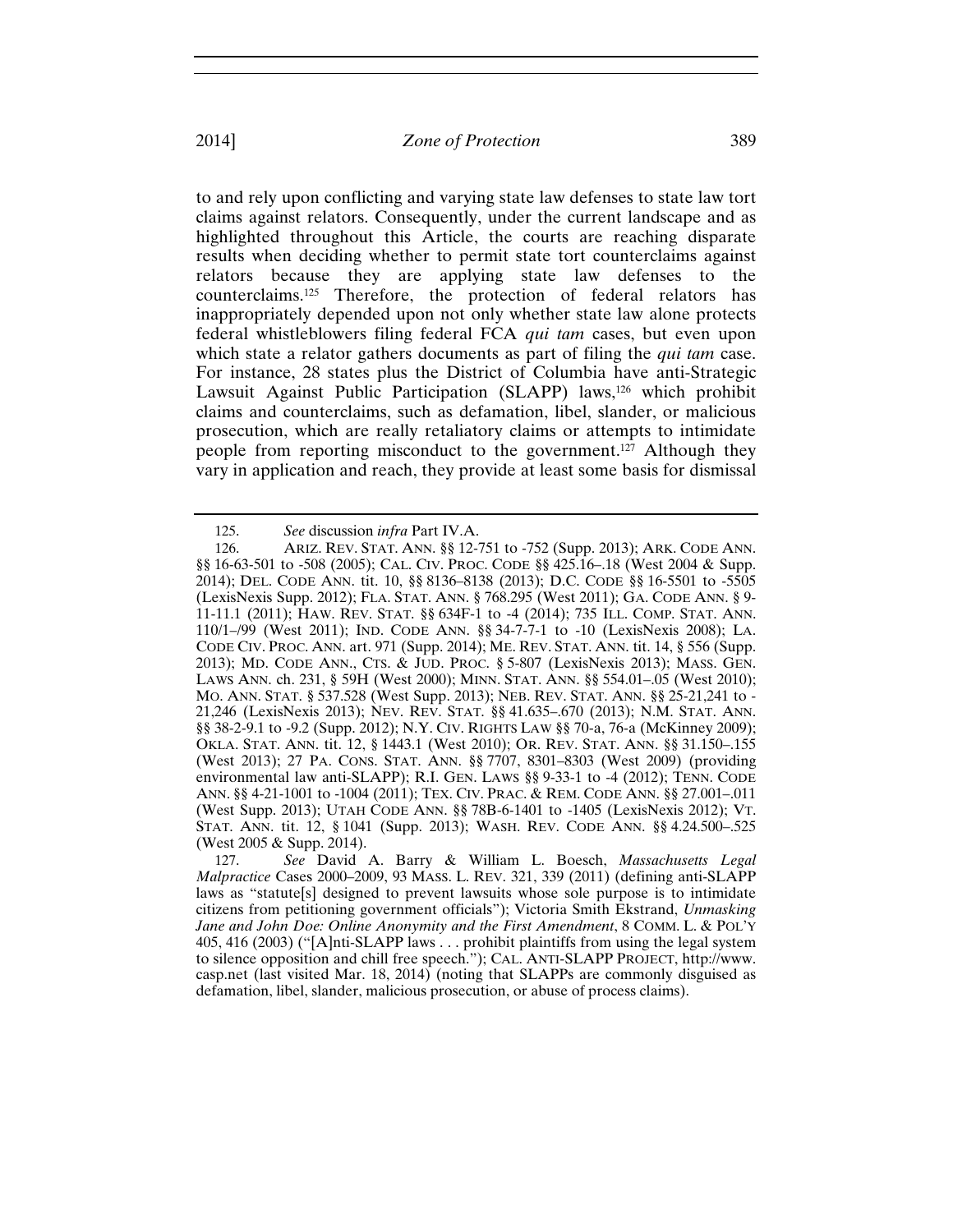to and rely upon conflicting and varying state law defenses to state law tort claims against relators. Consequently, under the current landscape and as highlighted throughout this Article, the courts are reaching disparate results when deciding whether to permit state tort counterclaims against relators because they are applying state law defenses to the counterclaims.125 Therefore, the protection of federal relators has inappropriately depended upon not only whether state law alone protects federal whistleblowers filing federal FCA *qui tam* cases, but even upon which state a relator gathers documents as part of filing the *qui tam* case. For instance, 28 states plus the District of Columbia have anti-Strategic Lawsuit Against Public Participation (SLAPP) laws,<sup>126</sup> which prohibit claims and counterclaims, such as defamation, libel, slander, or malicious prosecution, which are really retaliatory claims or attempts to intimidate people from reporting misconduct to the government.127 Although they vary in application and reach, they provide at least some basis for dismissal

<sup>125.</sup> *See* discussion *infra* Part IV.A.

<sup>126.</sup> ARIZ. REV. STAT. ANN. §§ 12-751 to -752 (Supp. 2013); ARK. CODE ANN. §§ 16-63-501 to -508 (2005); CAL. CIV. PROC. CODE §§ 425.16–.18 (West 2004 & Supp. 2014); DEL. CODE ANN. tit. 10, §§ 8136–8138 (2013); D.C. CODE §§ 16-5501 to -5505 (LexisNexis Supp. 2012); FLA. STAT. ANN. § 768.295 (West 2011); GA. CODE ANN. § 9- 11-11.1 (2011); HAW. REV. STAT. §§ 634F-1 to -4 (2014); 735 ILL. COMP. STAT. ANN. 110/1–/99 (West 2011); IND. CODE ANN. §§ 34-7-7-1 to -10 (LexisNexis 2008); LA. CODE CIV. PROC. ANN. art. 971 (Supp. 2014); ME. REV. STAT. ANN. tit. 14, § 556 (Supp. 2013); MD. CODE ANN., CTS. & JUD. PROC. § 5-807 (LexisNexis 2013); MASS. GEN. LAWS ANN. ch. 231, § 59H (West 2000); MINN. STAT. ANN. §§ 554.01–.05 (West 2010); MO. ANN. STAT. § 537.528 (West Supp. 2013); NEB. REV. STAT. ANN. §§ 25-21,241 to - 21,246 (LexisNexis 2013); NEV. REV. STAT. §§ 41.635–.670 (2013); N.M. STAT. ANN. §§ 38-2-9.1 to -9.2 (Supp. 2012); N.Y. CIV. RIGHTS LAW §§ 70-a, 76-a (McKinney 2009); OKLA. STAT. ANN. tit. 12, § 1443.1 (West 2010); OR. REV. STAT. ANN. §§ 31.150–.155 (West 2013); 27 PA. CONS. STAT. ANN. §§ 7707, 8301–8303 (West 2009) (providing environmental law anti-SLAPP); R.I. GEN. LAWS §§ 9-33-1 to -4 (2012); TENN. CODE ANN. §§ 4-21-1001 to -1004 (2011); TEX. CIV. PRAC. & REM. CODE ANN. §§ 27.001–.011 (West Supp. 2013); UTAH CODE ANN. §§ 78B-6-1401 to -1405 (LexisNexis 2012); VT. STAT. ANN. tit. 12, § 1041 (Supp. 2013); WASH. REV. CODE ANN. §§ 4.24.500–.525 (West 2005 & Supp. 2014).

<sup>127.</sup> *See* David A. Barry & William L. Boesch, *Massachusetts Legal Malpractice* Cases 2000–2009, 93 MASS. L. REV. 321, 339 (2011) (defining anti-SLAPP laws as "statute[s] designed to prevent lawsuits whose sole purpose is to intimidate citizens from petitioning government officials"); Victoria Smith Ekstrand, *Unmasking Jane and John Doe: Online Anonymity and the First Amendment*, 8 COMM. L. & POL'Y 405, 416 (2003) ("[A]nti-SLAPP laws . . . prohibit plaintiffs from using the legal system to silence opposition and chill free speech."); CAL. ANTI-SLAPP PROJECT, http://www. casp.net (last visited Mar. 18, 2014) (noting that SLAPPs are commonly disguised as defamation, libel, slander, malicious prosecution, or abuse of process claims).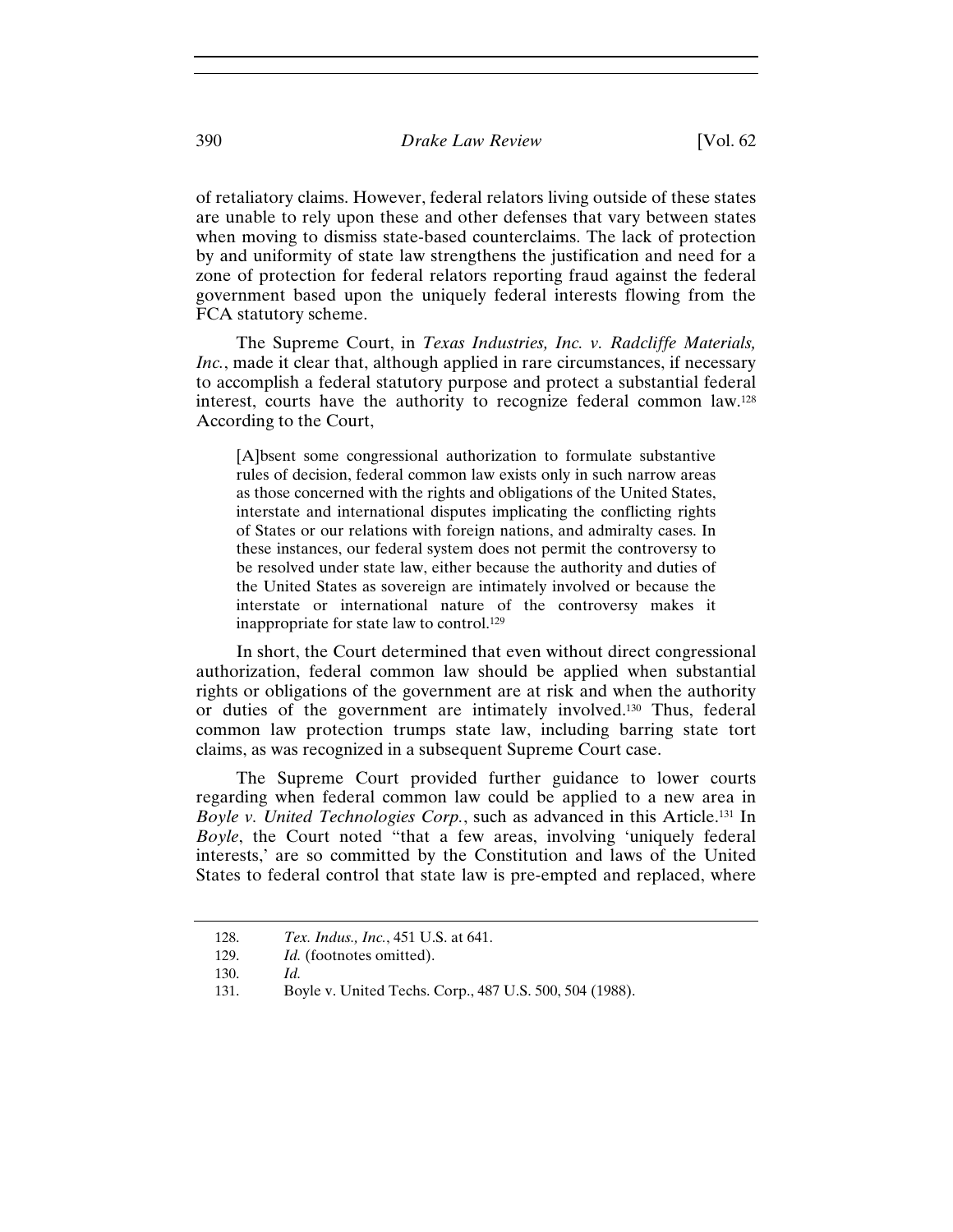## 390 *Drake Law Review* [Vol. 62

of retaliatory claims. However, federal relators living outside of these states are unable to rely upon these and other defenses that vary between states when moving to dismiss state-based counterclaims. The lack of protection by and uniformity of state law strengthens the justification and need for a zone of protection for federal relators reporting fraud against the federal government based upon the uniquely federal interests flowing from the FCA statutory scheme.

The Supreme Court, in *Texas Industries, Inc. v. Radcliffe Materials, Inc.*, made it clear that, although applied in rare circumstances, if necessary to accomplish a federal statutory purpose and protect a substantial federal interest, courts have the authority to recognize federal common law.128 According to the Court,

[A]bsent some congressional authorization to formulate substantive rules of decision, federal common law exists only in such narrow areas as those concerned with the rights and obligations of the United States, interstate and international disputes implicating the conflicting rights of States or our relations with foreign nations, and admiralty cases. In these instances, our federal system does not permit the controversy to be resolved under state law, either because the authority and duties of the United States as sovereign are intimately involved or because the interstate or international nature of the controversy makes it inappropriate for state law to control.129

In short, the Court determined that even without direct congressional authorization, federal common law should be applied when substantial rights or obligations of the government are at risk and when the authority or duties of the government are intimately involved.130 Thus, federal common law protection trumps state law, including barring state tort claims, as was recognized in a subsequent Supreme Court case.

The Supreme Court provided further guidance to lower courts regarding when federal common law could be applied to a new area in *Boyle v. United Technologies Corp.*, such as advanced in this Article.131 In *Boyle*, the Court noted "that a few areas, involving 'uniquely federal interests,' are so committed by the Constitution and laws of the United States to federal control that state law is pre-empted and replaced, where

<sup>128.</sup> *Tex. Indus., Inc.*, 451 U.S. at 641.

<sup>129.</sup> *Id.* (footnotes omitted).

<sup>130.</sup> *Id.*

<sup>131.</sup> Boyle v. United Techs. Corp., 487 U.S. 500, 504 (1988).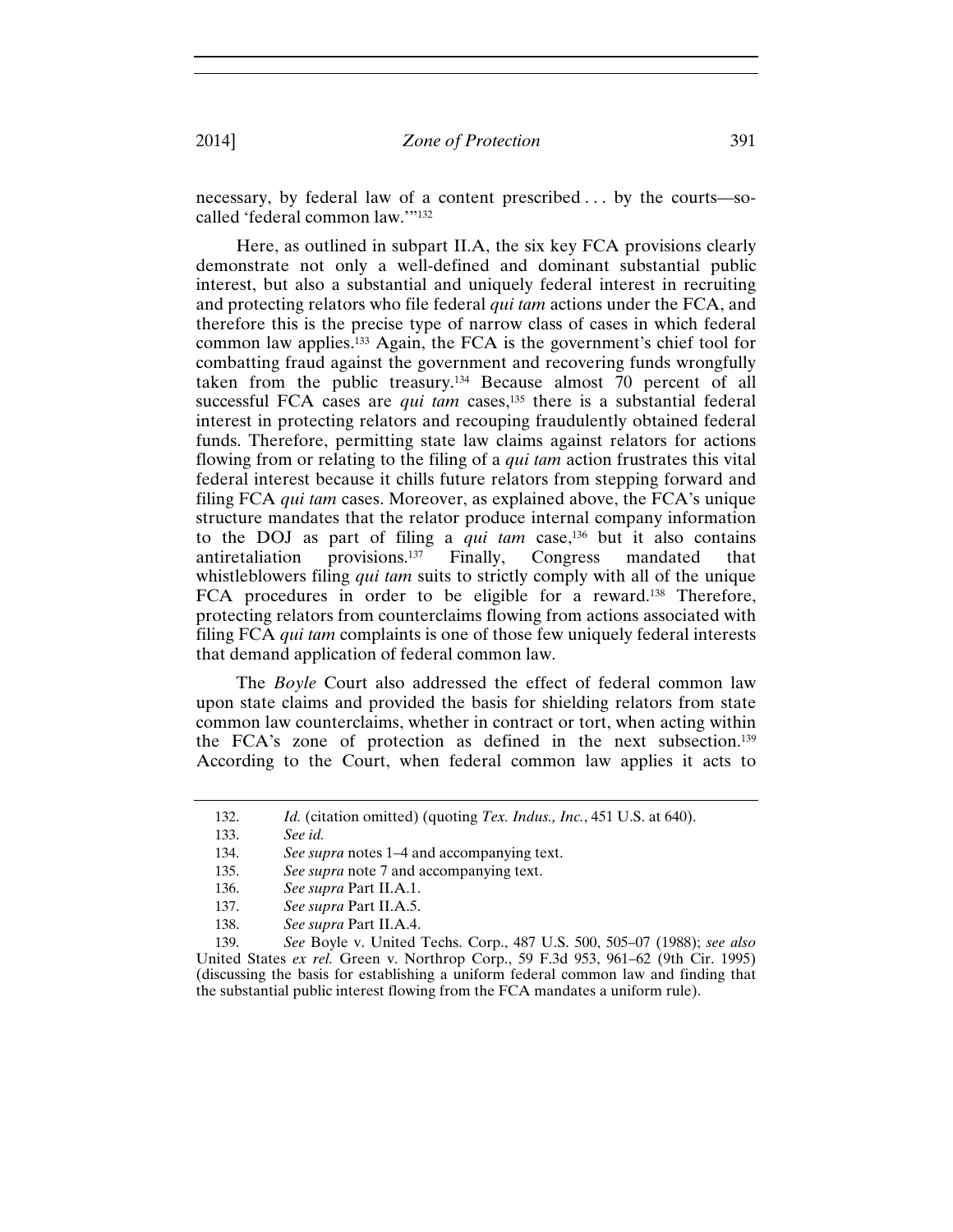necessary, by federal law of a content prescribed . . . by the courts—socalled 'federal common law.'"132

Here, as outlined in subpart II.A, the six key FCA provisions clearly demonstrate not only a well-defined and dominant substantial public interest, but also a substantial and uniquely federal interest in recruiting and protecting relators who file federal *qui tam* actions under the FCA, and therefore this is the precise type of narrow class of cases in which federal common law applies.133 Again, the FCA is the government's chief tool for combatting fraud against the government and recovering funds wrongfully taken from the public treasury.<sup>134</sup> Because almost  $\overline{7}0$  percent of all successful FCA cases are *qui tam* cases,<sup>135</sup> there is a substantial federal interest in protecting relators and recouping fraudulently obtained federal funds. Therefore, permitting state law claims against relators for actions flowing from or relating to the filing of a *qui tam* action frustrates this vital federal interest because it chills future relators from stepping forward and filing FCA *qui tam* cases. Moreover, as explained above, the FCA's unique structure mandates that the relator produce internal company information to the DOJ as part of filing a *qui tam* case,136 but it also contains antiretaliation provisions.137 Finally, Congress mandated that whistleblowers filing *qui tam* suits to strictly comply with all of the unique FCA procedures in order to be eligible for a reward.<sup>138</sup> Therefore, protecting relators from counterclaims flowing from actions associated with filing FCA *qui tam* complaints is one of those few uniquely federal interests that demand application of federal common law.

The *Boyle* Court also addressed the effect of federal common law upon state claims and provided the basis for shielding relators from state common law counterclaims, whether in contract or tort, when acting within the FCA's zone of protection as defined in the next subsection.139 According to the Court, when federal common law applies it acts to

<sup>132.</sup> *Id.* (citation omitted) (quoting *Tex. Indus., Inc.*, 451 U.S. at 640).

<sup>133.</sup> *See id.*

<sup>134.</sup> *See supra* notes 1–4 and accompanying text.

<sup>135.</sup> *See supra* note 7 and accompanying text.

<sup>136.</sup> *See supra* Part II.A.1.

<sup>137.</sup> *See supra* Part II.A.5.

<sup>138.</sup> *See supra* Part II.A.4.

<sup>139.</sup> *See* Boyle v. United Techs. Corp., 487 U.S. 500, 505–07 (1988); *see also* United States *ex rel.* Green v. Northrop Corp., 59 F.3d 953, 961–62 (9th Cir. 1995) (discussing the basis for establishing a uniform federal common law and finding that the substantial public interest flowing from the FCA mandates a uniform rule).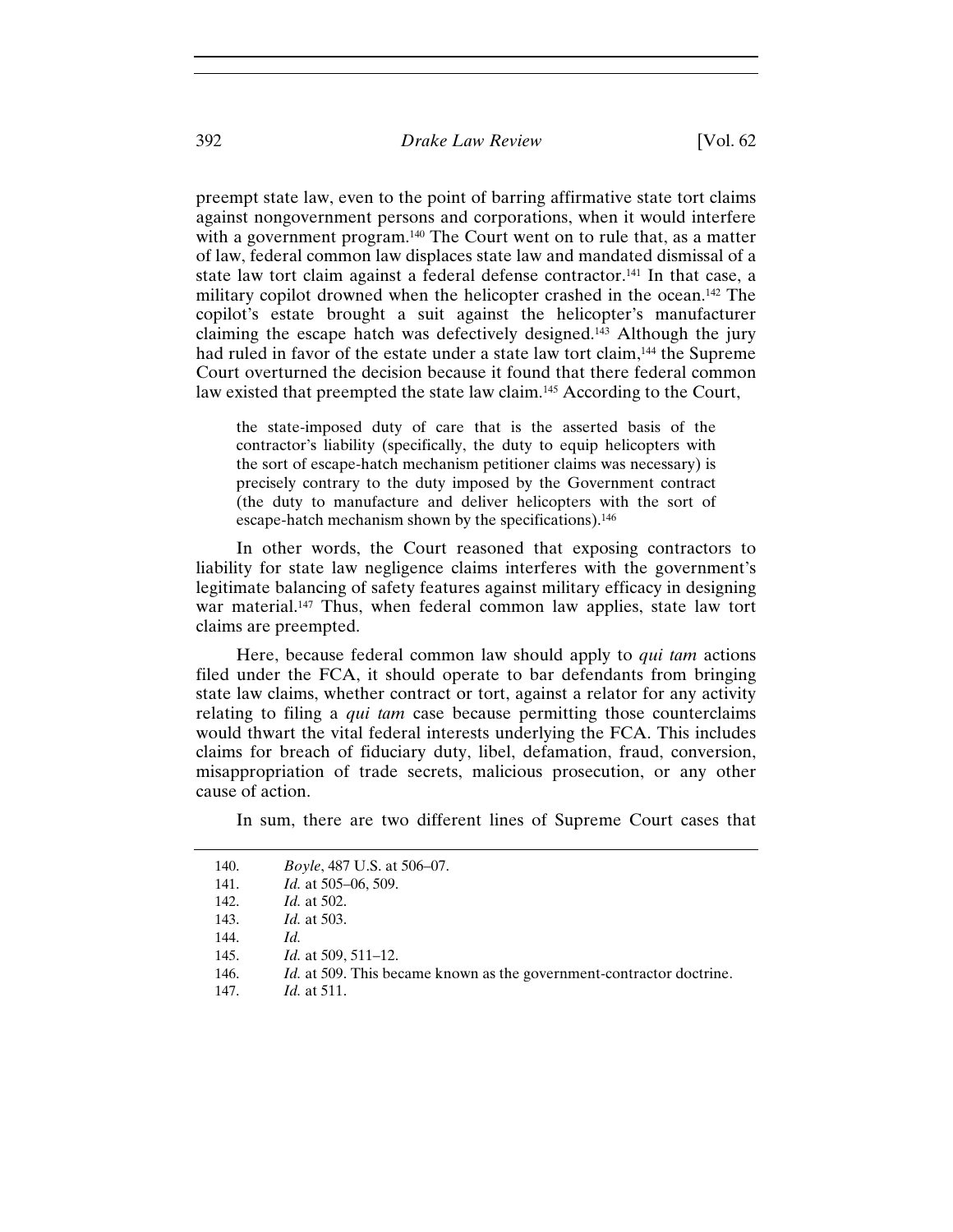preempt state law, even to the point of barring affirmative state tort claims against nongovernment persons and corporations, when it would interfere with a government program.<sup>140</sup> The Court went on to rule that, as a matter of law, federal common law displaces state law and mandated dismissal of a state law tort claim against a federal defense contractor.141 In that case, a military copilot drowned when the helicopter crashed in the ocean.142 The copilot's estate brought a suit against the helicopter's manufacturer claiming the escape hatch was defectively designed.143 Although the jury had ruled in favor of the estate under a state law tort claim,<sup>144</sup> the Supreme Court overturned the decision because it found that there federal common law existed that preempted the state law claim.145 According to the Court,

the state-imposed duty of care that is the asserted basis of the contractor's liability (specifically, the duty to equip helicopters with the sort of escape-hatch mechanism petitioner claims was necessary) is precisely contrary to the duty imposed by the Government contract (the duty to manufacture and deliver helicopters with the sort of escape-hatch mechanism shown by the specifications).<sup>146</sup>

In other words, the Court reasoned that exposing contractors to liability for state law negligence claims interferes with the government's legitimate balancing of safety features against military efficacy in designing war material.<sup>147</sup> Thus, when federal common law applies, state law tort claims are preempted.

Here, because federal common law should apply to *qui tam* actions filed under the FCA, it should operate to bar defendants from bringing state law claims, whether contract or tort, against a relator for any activity relating to filing a *qui tam* case because permitting those counterclaims would thwart the vital federal interests underlying the FCA. This includes claims for breach of fiduciary duty, libel, defamation, fraud, conversion, misappropriation of trade secrets, malicious prosecution, or any other cause of action.

In sum, there are two different lines of Supreme Court cases that

| 140.<br>141. | <i>Boyle</i> , 487 U.S. at 506–07.<br><i>Id.</i> at 505-06, 509.            |
|--------------|-----------------------------------------------------------------------------|
| 142.         | <i>Id.</i> at 502.                                                          |
| 143.         | <i>Id.</i> at 503.                                                          |
| 144.         | Id.                                                                         |
| 145.         | <i>Id.</i> at 509, 511–12.                                                  |
| 146.         | <i>Id.</i> at 509. This became known as the government-contractor doctrine. |
| 147.         | <i>Id.</i> at 511.                                                          |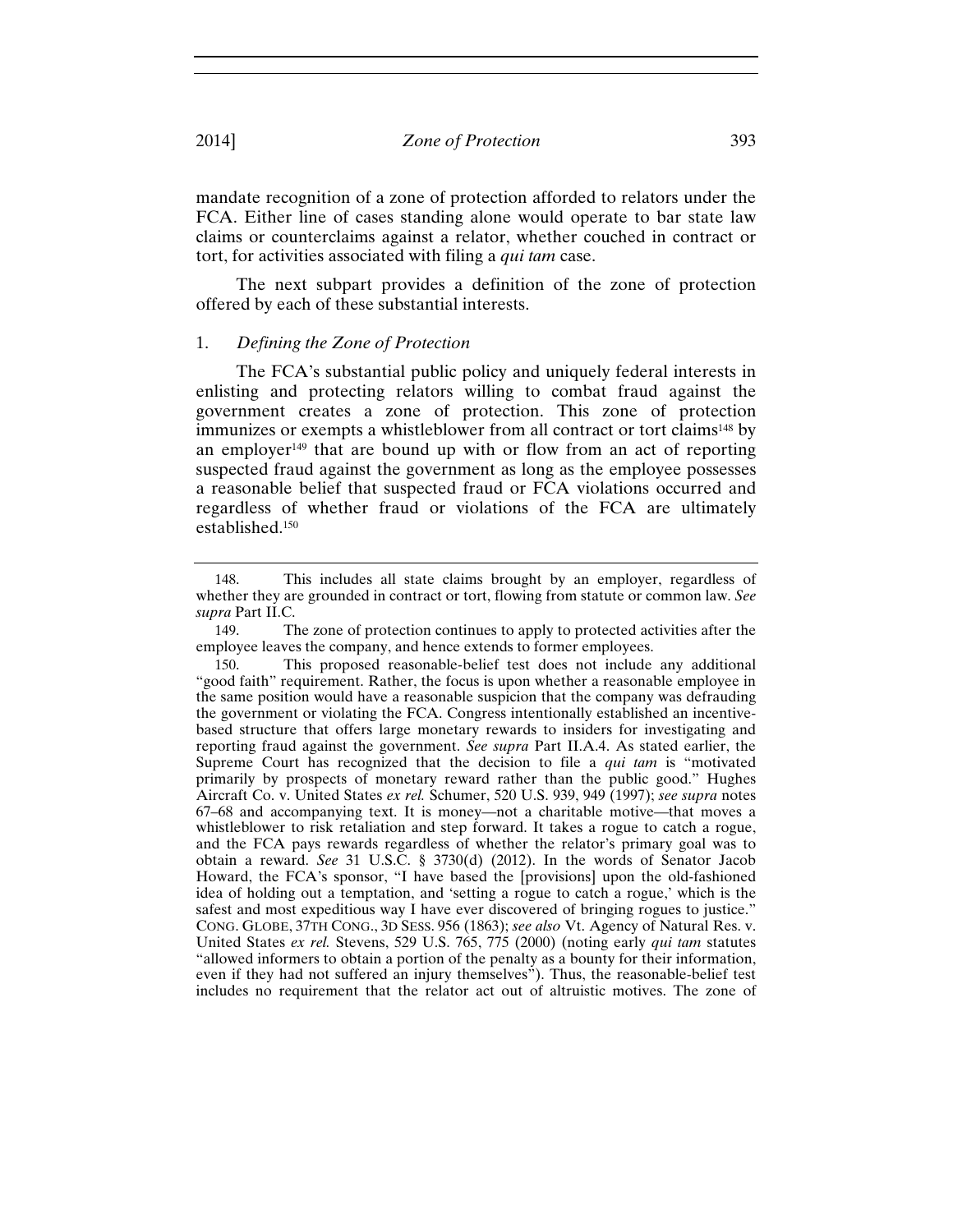mandate recognition of a zone of protection afforded to relators under the FCA. Either line of cases standing alone would operate to bar state law claims or counterclaims against a relator, whether couched in contract or tort, for activities associated with filing a *qui tam* case.

The next subpart provides a definition of the zone of protection offered by each of these substantial interests.

## 1. *Defining the Zone of Protection*

The FCA's substantial public policy and uniquely federal interests in enlisting and protecting relators willing to combat fraud against the government creates a zone of protection. This zone of protection immunizes or exempts a whistleblower from all contract or tort claims<sup>148</sup> by an employer<sup>149</sup> that are bound up with or flow from an act of reporting suspected fraud against the government as long as the employee possesses a reasonable belief that suspected fraud or FCA violations occurred and regardless of whether fraud or violations of the FCA are ultimately established.150

<sup>148.</sup> This includes all state claims brought by an employer, regardless of whether they are grounded in contract or tort, flowing from statute or common law. *See supra* Part II.C.

<sup>149.</sup> The zone of protection continues to apply to protected activities after the employee leaves the company, and hence extends to former employees.

<sup>150.</sup> This proposed reasonable-belief test does not include any additional "good faith" requirement. Rather, the focus is upon whether a reasonable employee in the same position would have a reasonable suspicion that the company was defrauding the government or violating the FCA. Congress intentionally established an incentivebased structure that offers large monetary rewards to insiders for investigating and reporting fraud against the government. *See supra* Part II.A.4. As stated earlier, the Supreme Court has recognized that the decision to file a *qui tam* is "motivated primarily by prospects of monetary reward rather than the public good." Hughes Aircraft Co. v. United States *ex rel.* Schumer, 520 U.S. 939, 949 (1997); *see supra* notes 67–68 and accompanying text. It is money—not a charitable motive—that moves a whistleblower to risk retaliation and step forward. It takes a rogue to catch a rogue, and the FCA pays rewards regardless of whether the relator's primary goal was to obtain a reward. *See* 31 U.S.C. § 3730(d) (2012). In the words of Senator Jacob Howard, the FCA's sponsor, "I have based the [provisions] upon the old-fashioned idea of holding out a temptation, and 'setting a rogue to catch a rogue,' which is the safest and most expeditious way I have ever discovered of bringing rogues to justice." CONG. GLOBE, 37TH CONG., 3D SESS. 956 (1863); *see also* Vt. Agency of Natural Res. v. United States *ex rel.* Stevens, 529 U.S. 765, 775 (2000) (noting early *qui tam* statutes "allowed informers to obtain a portion of the penalty as a bounty for their information, even if they had not suffered an injury themselves"). Thus, the reasonable-belief test includes no requirement that the relator act out of altruistic motives. The zone of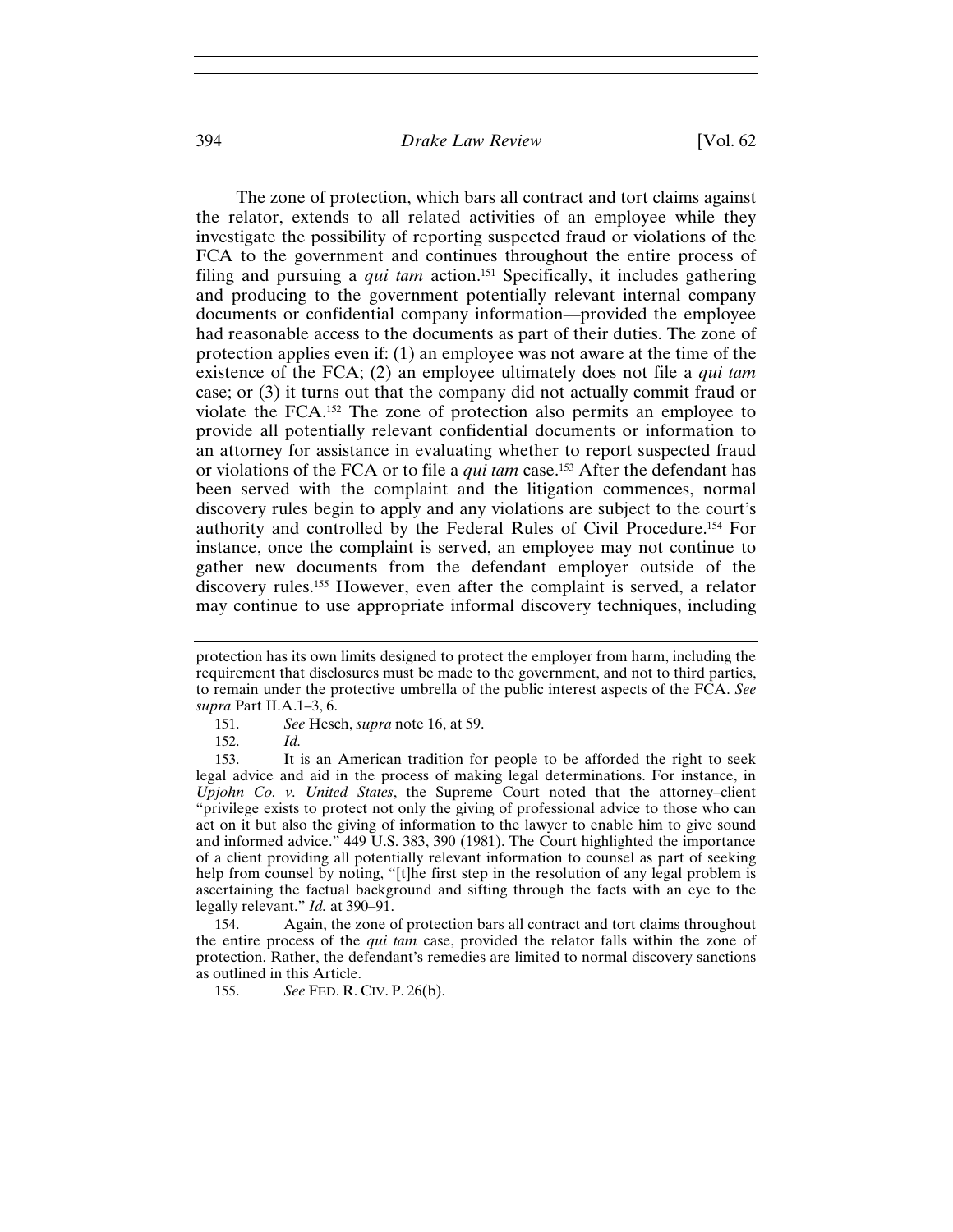## 394 *Drake Law Review* [Vol. 62

The zone of protection, which bars all contract and tort claims against the relator, extends to all related activities of an employee while they investigate the possibility of reporting suspected fraud or violations of the FCA to the government and continues throughout the entire process of filing and pursuing a *qui tam* action.151 Specifically, it includes gathering and producing to the government potentially relevant internal company documents or confidential company information—provided the employee had reasonable access to the documents as part of their duties. The zone of protection applies even if: (1) an employee was not aware at the time of the existence of the FCA; (2) an employee ultimately does not file a *qui tam* case; or (3) it turns out that the company did not actually commit fraud or violate the FCA.152 The zone of protection also permits an employee to provide all potentially relevant confidential documents or information to an attorney for assistance in evaluating whether to report suspected fraud or violations of the FCA or to file a *qui tam* case.153 After the defendant has been served with the complaint and the litigation commences, normal discovery rules begin to apply and any violations are subject to the court's authority and controlled by the Federal Rules of Civil Procedure.154 For instance, once the complaint is served, an employee may not continue to gather new documents from the defendant employer outside of the discovery rules.155 However, even after the complaint is served, a relator may continue to use appropriate informal discovery techniques, including

152. *Id.*

153. It is an American tradition for people to be afforded the right to seek legal advice and aid in the process of making legal determinations. For instance, in *Upjohn Co. v. United States*, the Supreme Court noted that the attorney–client "privilege exists to protect not only the giving of professional advice to those who can act on it but also the giving of information to the lawyer to enable him to give sound and informed advice." 449 U.S. 383, 390 (1981). The Court highlighted the importance of a client providing all potentially relevant information to counsel as part of seeking help from counsel by noting, "[t]he first step in the resolution of any legal problem is ascertaining the factual background and sifting through the facts with an eye to the legally relevant." *Id.* at 390–91.

154. Again, the zone of protection bars all contract and tort claims throughout the entire process of the *qui tam* case, provided the relator falls within the zone of protection. Rather, the defendant's remedies are limited to normal discovery sanctions as outlined in this Article.

155. *See* FED. R. CIV. P. 26(b).

protection has its own limits designed to protect the employer from harm, including the requirement that disclosures must be made to the government, and not to third parties, to remain under the protective umbrella of the public interest aspects of the FCA. *See supra* Part II.A.1–3, 6.

<sup>151.</sup> *See* Hesch, *supra* note 16, at 59.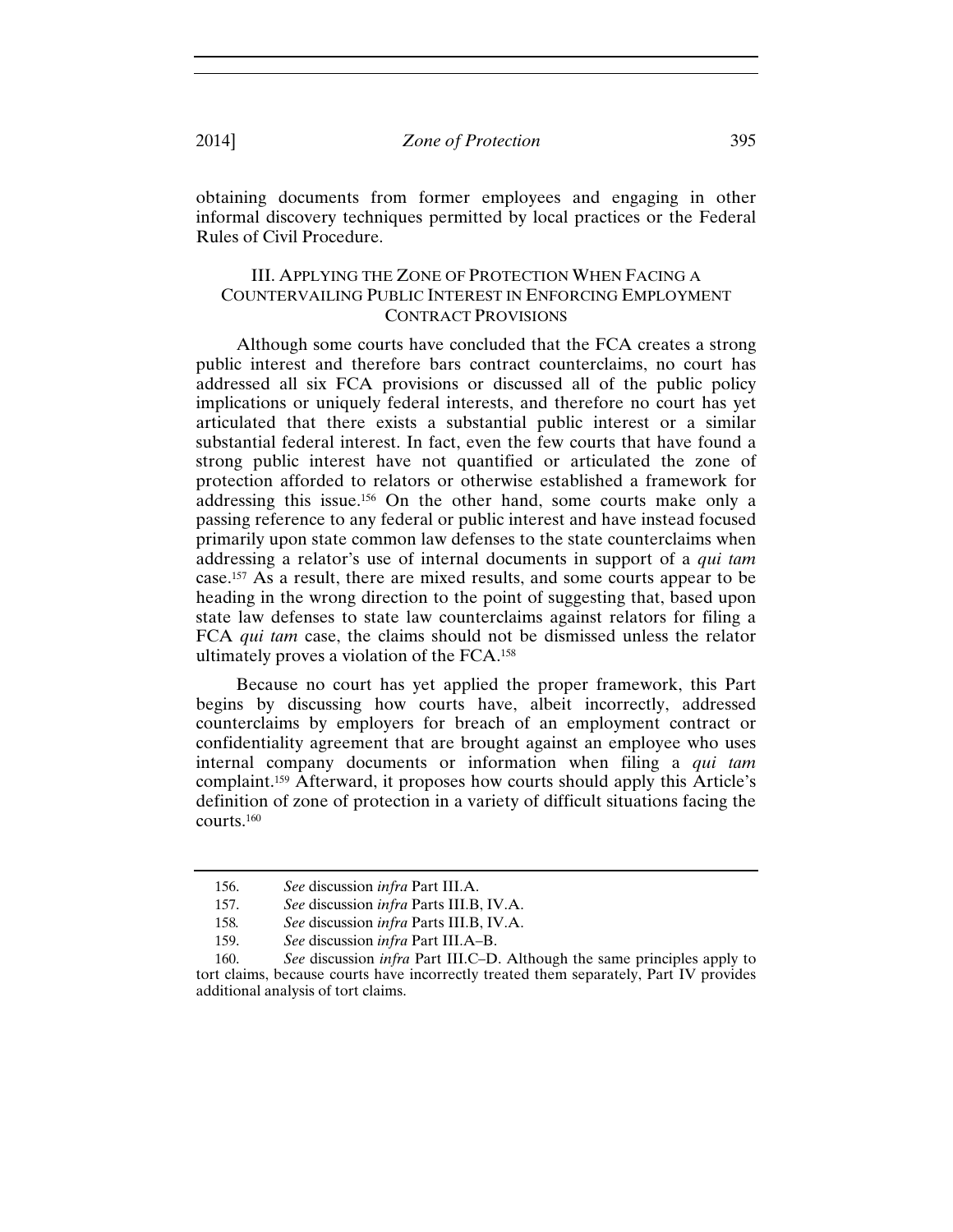obtaining documents from former employees and engaging in other informal discovery techniques permitted by local practices or the Federal Rules of Civil Procedure.

## III. APPLYING THE ZONE OF PROTECTION WHEN FACING A COUNTERVAILING PUBLIC INTEREST IN ENFORCING EMPLOYMENT CONTRACT PROVISIONS

Although some courts have concluded that the FCA creates a strong public interest and therefore bars contract counterclaims, no court has addressed all six FCA provisions or discussed all of the public policy implications or uniquely federal interests, and therefore no court has yet articulated that there exists a substantial public interest or a similar substantial federal interest. In fact, even the few courts that have found a strong public interest have not quantified or articulated the zone of protection afforded to relators or otherwise established a framework for addressing this issue.156 On the other hand, some courts make only a passing reference to any federal or public interest and have instead focused primarily upon state common law defenses to the state counterclaims when addressing a relator's use of internal documents in support of a *qui tam* case.157 As a result, there are mixed results, and some courts appear to be heading in the wrong direction to the point of suggesting that, based upon state law defenses to state law counterclaims against relators for filing a FCA *qui tam* case, the claims should not be dismissed unless the relator ultimately proves a violation of the FCA.158

Because no court has yet applied the proper framework, this Part begins by discussing how courts have, albeit incorrectly, addressed counterclaims by employers for breach of an employment contract or confidentiality agreement that are brought against an employee who uses internal company documents or information when filing a *qui tam*  complaint.159 Afterward, it proposes how courts should apply this Article's definition of zone of protection in a variety of difficult situations facing the courts.160

<sup>156.</sup> *See* discussion *infra* Part III.A.

<sup>157.</sup> *See* discussion *infra* Parts III.B, IV.A.

<sup>158</sup>*. See* discussion *infra* Parts III.B, IV.A.

<sup>159.</sup> *See* discussion *infra* Part III.A–B.

<sup>160.</sup> *See* discussion *infra* Part III.C–D. Although the same principles apply to tort claims, because courts have incorrectly treated them separately, Part IV provides additional analysis of tort claims.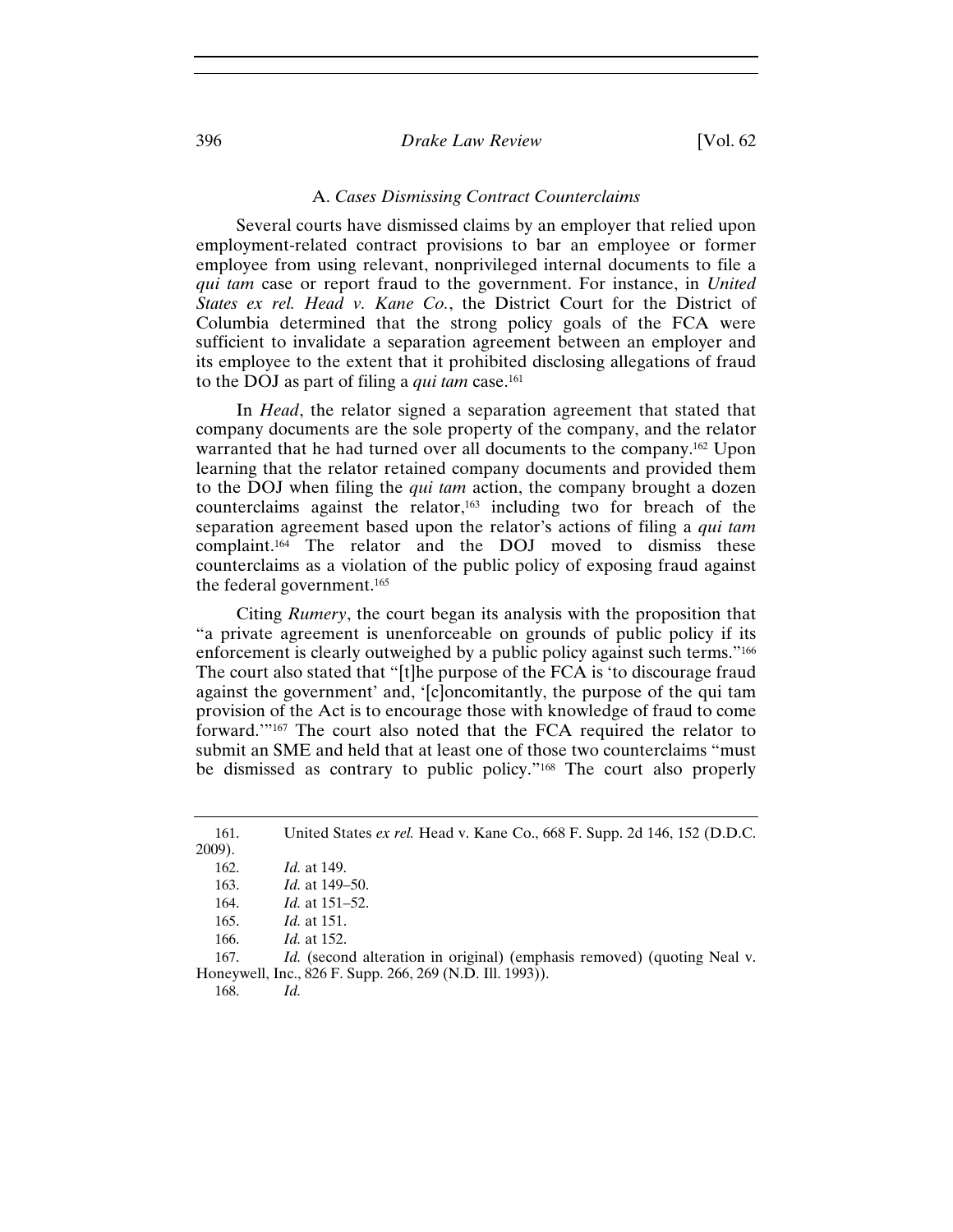## 396 *Drake Law Review* [Vol. 62

#### A. *Cases Dismissing Contract Counterclaims*

Several courts have dismissed claims by an employer that relied upon employment-related contract provisions to bar an employee or former employee from using relevant, nonprivileged internal documents to file a *qui tam* case or report fraud to the government. For instance, in *United States ex rel. Head v. Kane Co.*, the District Court for the District of Columbia determined that the strong policy goals of the FCA were sufficient to invalidate a separation agreement between an employer and its employee to the extent that it prohibited disclosing allegations of fraud to the DOJ as part of filing a *qui tam* case.161

In *Head*, the relator signed a separation agreement that stated that company documents are the sole property of the company, and the relator warranted that he had turned over all documents to the company.162 Upon learning that the relator retained company documents and provided them to the DOJ when filing the *qui tam* action, the company brought a dozen counterclaims against the relator,163 including two for breach of the separation agreement based upon the relator's actions of filing a *qui tam* complaint.164 The relator and the DOJ moved to dismiss these counterclaims as a violation of the public policy of exposing fraud against the federal government.165

Citing *Rumery*, the court began its analysis with the proposition that "a private agreement is unenforceable on grounds of public policy if its enforcement is clearly outweighed by a public policy against such terms."<sup>166</sup> The court also stated that "[t]he purpose of the FCA is 'to discourage fraud against the government' and, '[c]oncomitantly, the purpose of the qui tam provision of the Act is to encourage those with knowledge of fraud to come forward.'"167 The court also noted that the FCA required the relator to submit an SME and held that at least one of those two counterclaims "must be dismissed as contrary to public policy."168 The court also properly

167. *Id.* (second alteration in original) (emphasis removed) (quoting Neal v. Honeywell, Inc., 826 F. Supp. 266, 269 (N.D. Ill. 1993)).

168. *Id.*

<sup>161.</sup> United States *ex rel.* Head v. Kane Co., 668 F. Supp. 2d 146, 152 (D.D.C. 2009).

<sup>162.</sup> *Id.* at 149.

<sup>163.</sup> *Id.* at 149–50.

<sup>164.</sup> *Id.* at 151–52.

<sup>165.</sup> *Id.* at 151.

<sup>166.</sup> *Id.* at 152.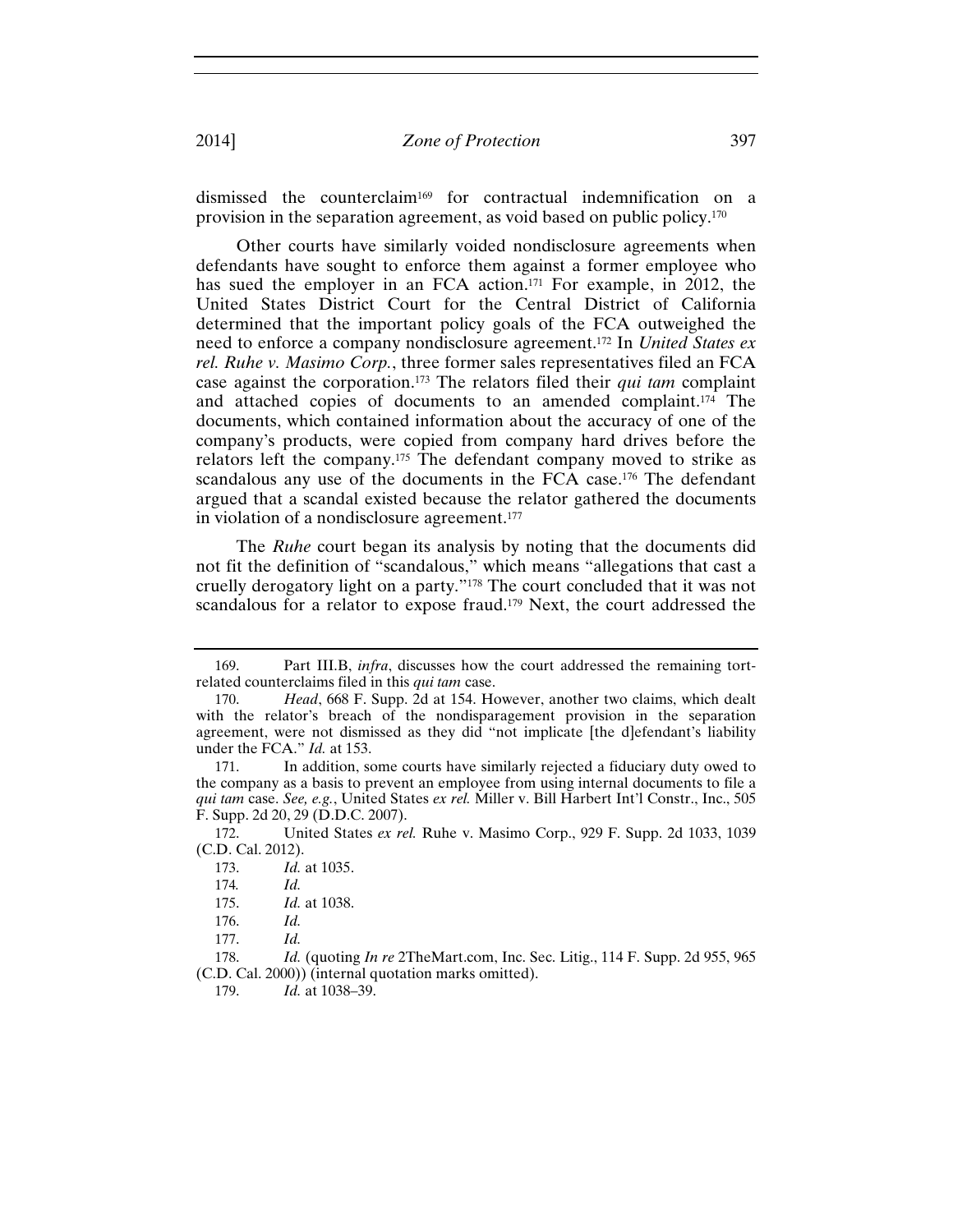dismissed the counterclaim169 for contractual indemnification on a provision in the separation agreement, as void based on public policy.170

Other courts have similarly voided nondisclosure agreements when defendants have sought to enforce them against a former employee who has sued the employer in an FCA action.<sup>171</sup> For example, in 2012, the United States District Court for the Central District of California determined that the important policy goals of the FCA outweighed the need to enforce a company nondisclosure agreement.172 In *United States ex rel. Ruhe v. Masimo Corp.*, three former sales representatives filed an FCA case against the corporation.173 The relators filed their *qui tam* complaint and attached copies of documents to an amended complaint.174 The documents, which contained information about the accuracy of one of the company's products, were copied from company hard drives before the relators left the company.175 The defendant company moved to strike as scandalous any use of the documents in the FCA case.<sup>176</sup> The defendant argued that a scandal existed because the relator gathered the documents in violation of a nondisclosure agreement.177

The *Ruhe* court began its analysis by noting that the documents did not fit the definition of "scandalous," which means "allegations that cast a cruelly derogatory light on a party."178 The court concluded that it was not scandalous for a relator to expose fraud.179 Next, the court addressed the

179. *Id.* at 1038–39.

<sup>169.</sup> Part III.B, *infra*, discusses how the court addressed the remaining tortrelated counterclaims filed in this *qui tam* case.

<sup>170.</sup> *Head*, 668 F. Supp. 2d at 154. However, another two claims, which dealt with the relator's breach of the nondisparagement provision in the separation agreement, were not dismissed as they did "not implicate [the d]efendant's liability under the FCA." *Id.* at 153.

<sup>171.</sup> In addition, some courts have similarly rejected a fiduciary duty owed to the company as a basis to prevent an employee from using internal documents to file a *qui tam* case. *See, e.g.*, United States *ex rel.* Miller v. Bill Harbert Int'l Constr., Inc., 505 F. Supp. 2d 20, 29 (D.D.C. 2007).

<sup>172.</sup> United States *ex rel.* Ruhe v. Masimo Corp., 929 F. Supp. 2d 1033, 1039 (C.D. Cal. 2012).

<sup>173.</sup> *Id.* at 1035.

<sup>174</sup>*. Id.*

<sup>175.</sup> *Id.* at 1038.

<sup>176.</sup> *Id.*

<sup>177.</sup> *Id.*

<sup>178.</sup> *Id.* (quoting *In re* 2TheMart.com, Inc. Sec. Litig., 114 F. Supp. 2d 955, 965 (C.D. Cal. 2000)) (internal quotation marks omitted).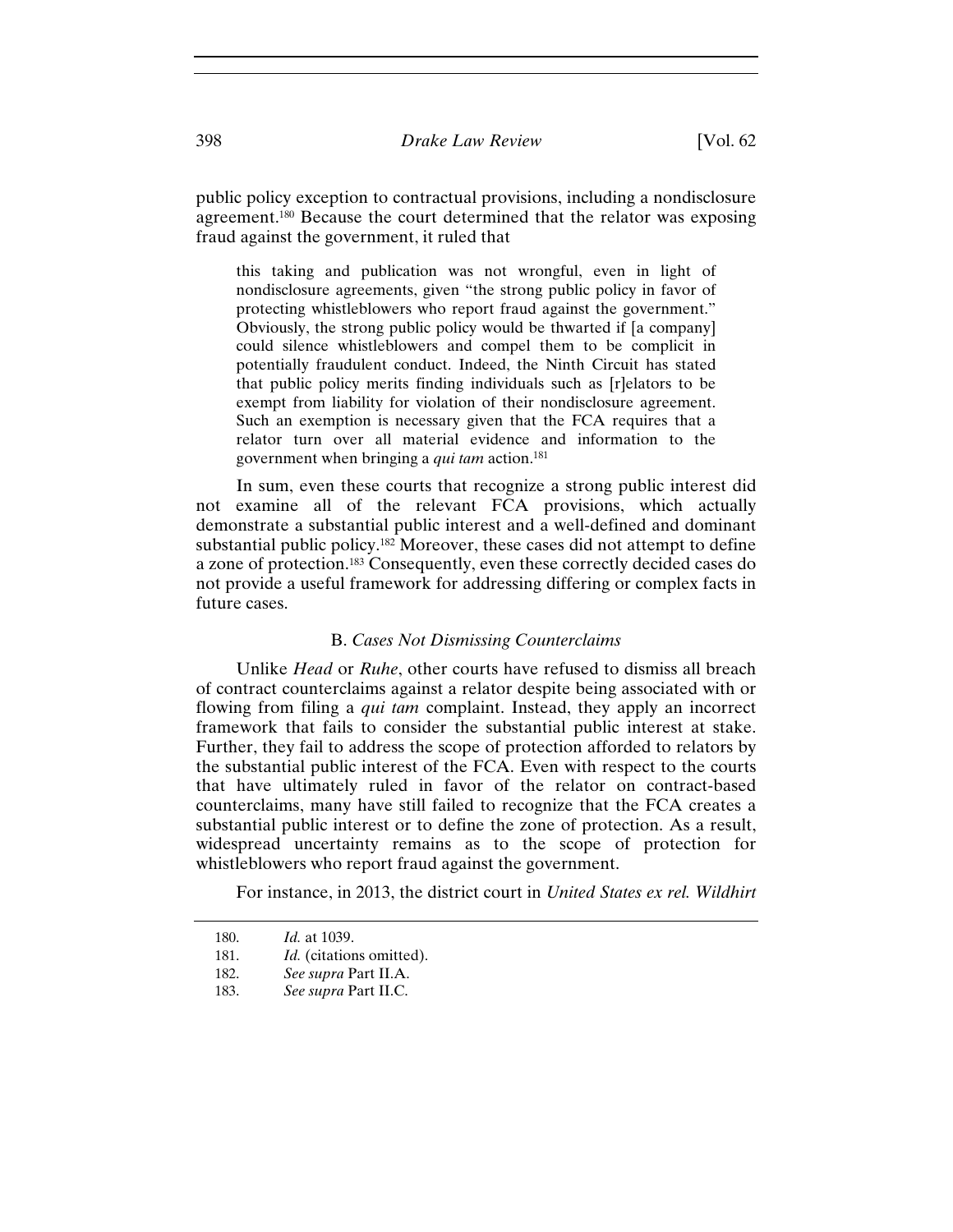public policy exception to contractual provisions, including a nondisclosure agreement.180 Because the court determined that the relator was exposing fraud against the government, it ruled that

this taking and publication was not wrongful, even in light of nondisclosure agreements, given "the strong public policy in favor of protecting whistleblowers who report fraud against the government." Obviously, the strong public policy would be thwarted if [a company] could silence whistleblowers and compel them to be complicit in potentially fraudulent conduct. Indeed, the Ninth Circuit has stated that public policy merits finding individuals such as [r]elators to be exempt from liability for violation of their nondisclosure agreement. Such an exemption is necessary given that the FCA requires that a relator turn over all material evidence and information to the government when bringing a *qui tam* action.181

In sum, even these courts that recognize a strong public interest did not examine all of the relevant FCA provisions, which actually demonstrate a substantial public interest and a well-defined and dominant substantial public policy.182 Moreover, these cases did not attempt to define a zone of protection.183 Consequently, even these correctly decided cases do not provide a useful framework for addressing differing or complex facts in future cases.

## B. *Cases Not Dismissing Counterclaims*

Unlike *Head* or *Ruhe*, other courts have refused to dismiss all breach of contract counterclaims against a relator despite being associated with or flowing from filing a *qui tam* complaint. Instead, they apply an incorrect framework that fails to consider the substantial public interest at stake. Further, they fail to address the scope of protection afforded to relators by the substantial public interest of the FCA. Even with respect to the courts that have ultimately ruled in favor of the relator on contract-based counterclaims, many have still failed to recognize that the FCA creates a substantial public interest or to define the zone of protection. As a result, widespread uncertainty remains as to the scope of protection for whistleblowers who report fraud against the government.

For instance, in 2013, the district court in *United States ex rel. Wildhirt* 

182. *See supra* Part II.A.

<sup>180.</sup> *Id.* at 1039.

<sup>181.</sup> *Id.* (citations omitted).

<sup>183.</sup> *See supra* Part II.C.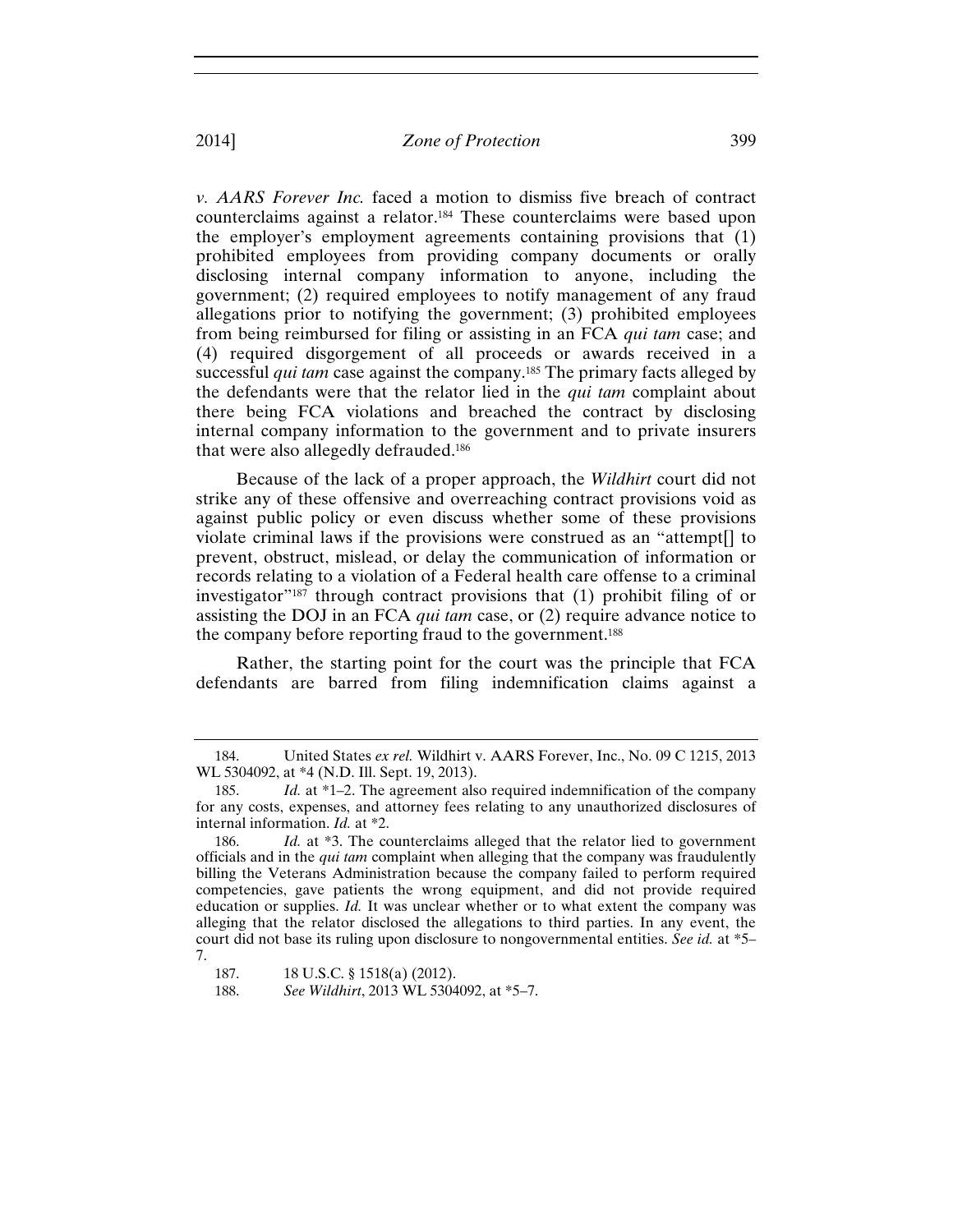*v. AARS Forever Inc.* faced a motion to dismiss five breach of contract counterclaims against a relator.184 These counterclaims were based upon the employer's employment agreements containing provisions that (1) prohibited employees from providing company documents or orally disclosing internal company information to anyone, including the government; (2) required employees to notify management of any fraud allegations prior to notifying the government; (3) prohibited employees from being reimbursed for filing or assisting in an FCA *qui tam* case; and (4) required disgorgement of all proceeds or awards received in a successful *qui tam* case against the company.<sup>185</sup> The primary facts alleged by the defendants were that the relator lied in the *qui tam* complaint about there being FCA violations and breached the contract by disclosing internal company information to the government and to private insurers that were also allegedly defrauded.186

Because of the lack of a proper approach, the *Wildhirt* court did not strike any of these offensive and overreaching contract provisions void as against public policy or even discuss whether some of these provisions violate criminal laws if the provisions were construed as an "attempt[] to prevent, obstruct, mislead, or delay the communication of information or records relating to a violation of a Federal health care offense to a criminal investigator"187 through contract provisions that (1) prohibit filing of or assisting the DOJ in an FCA *qui tam* case, or (2) require advance notice to the company before reporting fraud to the government.188

Rather, the starting point for the court was the principle that FCA defendants are barred from filing indemnification claims against a

<sup>184.</sup> United States *ex rel.* Wildhirt v. AARS Forever, Inc., No. 09 C 1215, 2013 WL 5304092, at \*4 (N.D. Ill. Sept. 19, 2013).

<sup>185.</sup> *Id.* at \*1–2. The agreement also required indemnification of the company for any costs, expenses, and attorney fees relating to any unauthorized disclosures of internal information. *Id.* at \*2.

<sup>186.</sup> *Id.* at \*3. The counterclaims alleged that the relator lied to government officials and in the *qui tam* complaint when alleging that the company was fraudulently billing the Veterans Administration because the company failed to perform required competencies, gave patients the wrong equipment, and did not provide required education or supplies. *Id.* It was unclear whether or to what extent the company was alleging that the relator disclosed the allegations to third parties. In any event, the court did not base its ruling upon disclosure to nongovernmental entities. *See id.* at \*5– 7.

<sup>187. 18</sup> U.S.C. § 1518(a) (2012).

<sup>188.</sup> *See Wildhirt*, 2013 WL 5304092, at \*5–7.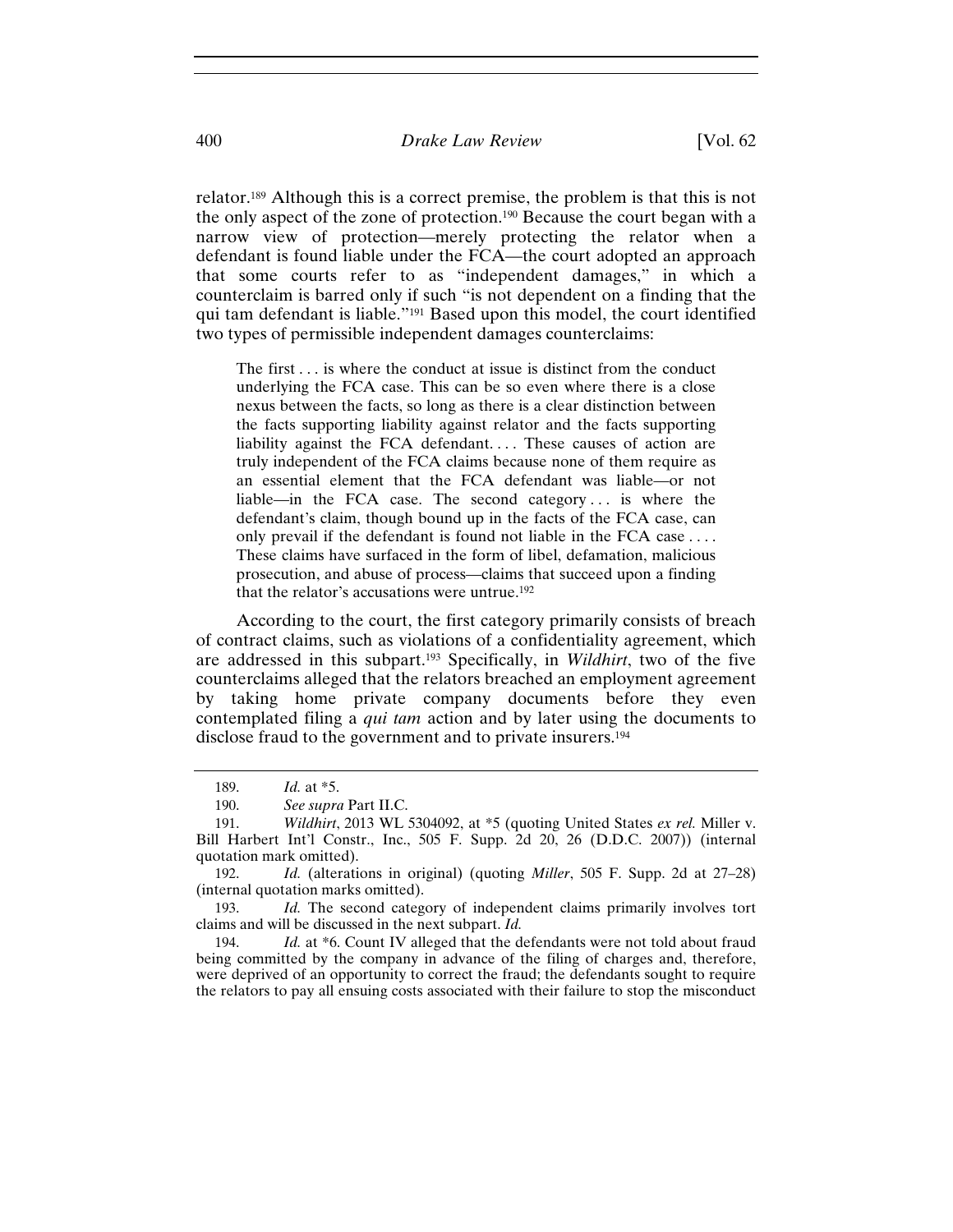relator.189 Although this is a correct premise, the problem is that this is not the only aspect of the zone of protection.190 Because the court began with a narrow view of protection—merely protecting the relator when a defendant is found liable under the FCA—the court adopted an approach that some courts refer to as "independent damages," in which a counterclaim is barred only if such "is not dependent on a finding that the qui tam defendant is liable."191 Based upon this model, the court identified two types of permissible independent damages counterclaims:

The first . . . is where the conduct at issue is distinct from the conduct underlying the FCA case. This can be so even where there is a close nexus between the facts, so long as there is a clear distinction between the facts supporting liability against relator and the facts supporting liability against the FCA defendant.... These causes of action are truly independent of the FCA claims because none of them require as an essential element that the FCA defendant was liable—or not liable—in the FCA case. The second category . . . is where the defendant's claim, though bound up in the facts of the FCA case, can only prevail if the defendant is found not liable in the FCA case . . . . These claims have surfaced in the form of libel, defamation, malicious prosecution, and abuse of process—claims that succeed upon a finding that the relator's accusations were untrue.192

According to the court, the first category primarily consists of breach of contract claims, such as violations of a confidentiality agreement, which are addressed in this subpart.193 Specifically, in *Wildhirt*, two of the five counterclaims alleged that the relators breached an employment agreement by taking home private company documents before they even contemplated filing a *qui tam* action and by later using the documents to disclose fraud to the government and to private insurers.194

193. *Id.* The second category of independent claims primarily involves tort claims and will be discussed in the next subpart. *Id.*

194. *Id.* at \*6. Count IV alleged that the defendants were not told about fraud being committed by the company in advance of the filing of charges and, therefore, were deprived of an opportunity to correct the fraud; the defendants sought to require the relators to pay all ensuing costs associated with their failure to stop the misconduct

<sup>189.</sup> *Id.* at \*5.

<sup>190.</sup> *See supra* Part II.C.

<sup>191.</sup> *Wildhirt*, 2013 WL 5304092, at \*5 (quoting United States *ex rel.* Miller v. Bill Harbert Int'l Constr., Inc., 505 F. Supp. 2d 20, 26 (D.D.C. 2007)) (internal quotation mark omitted).

<sup>192.</sup> *Id.* (alterations in original) (quoting *Miller*, 505 F. Supp. 2d at 27–28) (internal quotation marks omitted).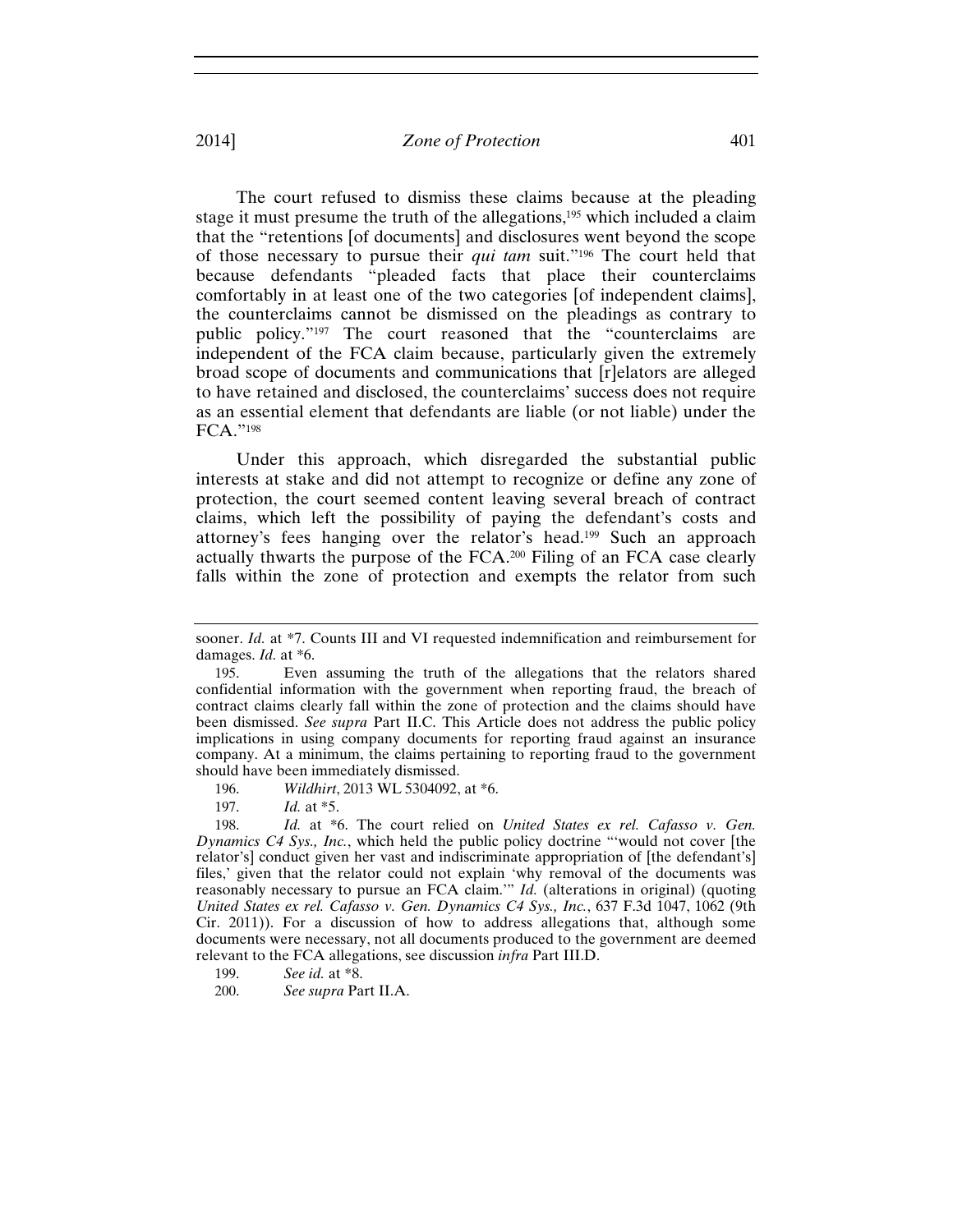The court refused to dismiss these claims because at the pleading stage it must presume the truth of the allegations,<sup>195</sup> which included a claim that the "retentions [of documents] and disclosures went beyond the scope of those necessary to pursue their *qui tam* suit."196 The court held that because defendants "pleaded facts that place their counterclaims comfortably in at least one of the two categories [of independent claims], the counterclaims cannot be dismissed on the pleadings as contrary to public policy."197 The court reasoned that the "counterclaims are independent of the FCA claim because, particularly given the extremely broad scope of documents and communications that [r]elators are alleged to have retained and disclosed, the counterclaims' success does not require as an essential element that defendants are liable (or not liable) under the FCA."198

Under this approach, which disregarded the substantial public interests at stake and did not attempt to recognize or define any zone of protection, the court seemed content leaving several breach of contract claims, which left the possibility of paying the defendant's costs and attorney's fees hanging over the relator's head.199 Such an approach actually thwarts the purpose of the FCA.200 Filing of an FCA case clearly falls within the zone of protection and exempts the relator from such

sooner. *Id.* at \*7. Counts III and VI requested indemnification and reimbursement for damages. *Id.* at \*6.

<sup>195.</sup> Even assuming the truth of the allegations that the relators shared confidential information with the government when reporting fraud, the breach of contract claims clearly fall within the zone of protection and the claims should have been dismissed. *See supra* Part II.C. This Article does not address the public policy implications in using company documents for reporting fraud against an insurance company. At a minimum, the claims pertaining to reporting fraud to the government should have been immediately dismissed.

<sup>196.</sup> *Wildhirt*, 2013 WL 5304092, at \*6.

<sup>197.</sup> *Id.* at \*5.

<sup>198.</sup> *Id.* at \*6. The court relied on *United States ex rel. Cafasso v. Gen. Dynamics C4 Sys., Inc.*, which held the public policy doctrine "'would not cover [the relator's] conduct given her vast and indiscriminate appropriation of [the defendant's] files,' given that the relator could not explain 'why removal of the documents was reasonably necessary to pursue an FCA claim.'" *Id.* (alterations in original) (quoting *United States ex rel. Cafasso v. Gen. Dynamics C4 Sys., Inc.*, 637 F.3d 1047, 1062 (9th Cir. 2011)). For a discussion of how to address allegations that, although some documents were necessary, not all documents produced to the government are deemed relevant to the FCA allegations, see discussion *infra* Part III.D.

<sup>199.</sup> *See id.* at \*8.

<sup>200.</sup> *See supra* Part II.A.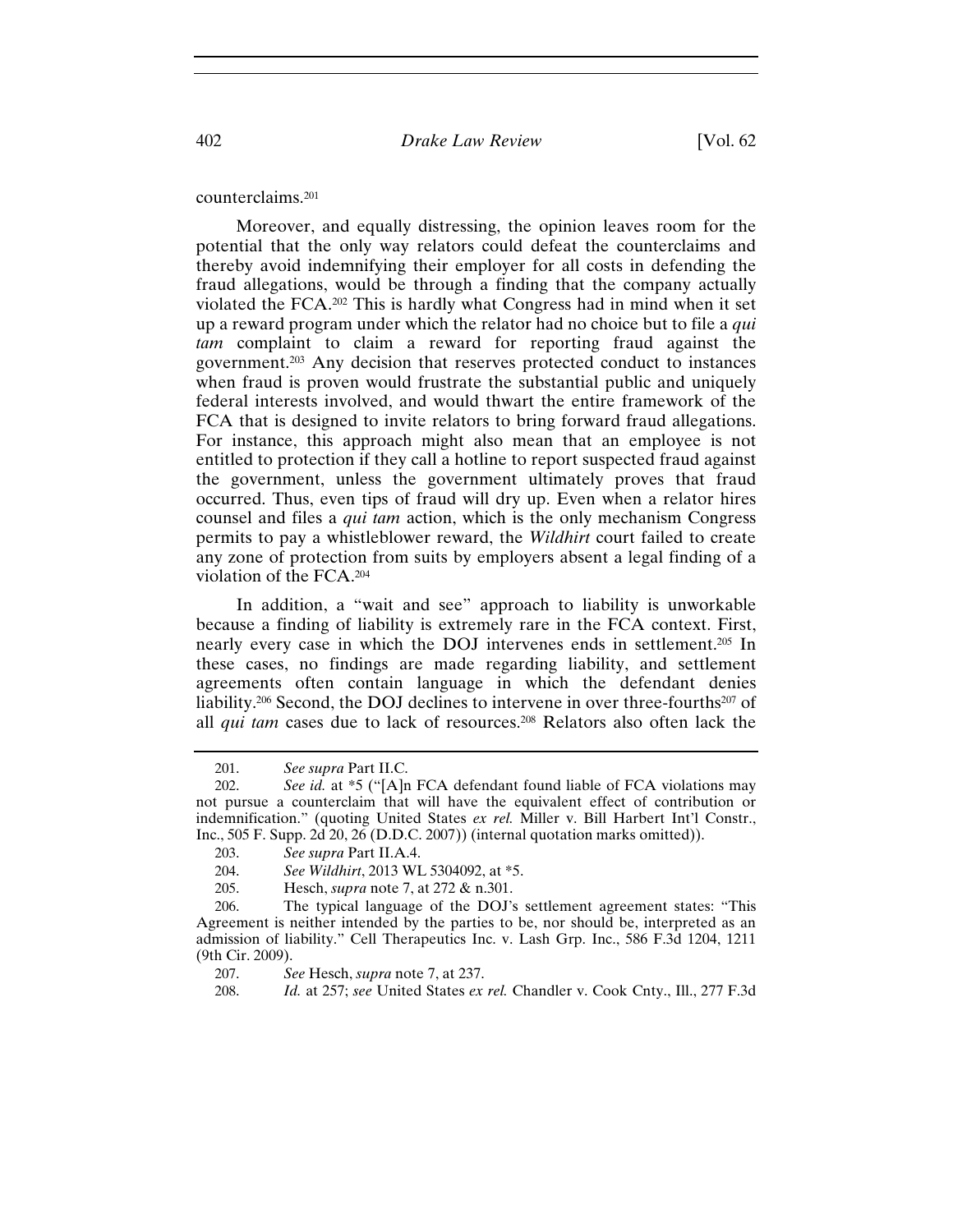counterclaims.201

Moreover, and equally distressing, the opinion leaves room for the potential that the only way relators could defeat the counterclaims and thereby avoid indemnifying their employer for all costs in defending the fraud allegations, would be through a finding that the company actually violated the FCA.202 This is hardly what Congress had in mind when it set up a reward program under which the relator had no choice but to file a *qui tam* complaint to claim a reward for reporting fraud against the government.203 Any decision that reserves protected conduct to instances when fraud is proven would frustrate the substantial public and uniquely federal interests involved, and would thwart the entire framework of the FCA that is designed to invite relators to bring forward fraud allegations. For instance, this approach might also mean that an employee is not entitled to protection if they call a hotline to report suspected fraud against the government, unless the government ultimately proves that fraud occurred. Thus, even tips of fraud will dry up. Even when a relator hires counsel and files a *qui tam* action, which is the only mechanism Congress permits to pay a whistleblower reward, the *Wildhirt* court failed to create any zone of protection from suits by employers absent a legal finding of a violation of the FCA.204

In addition, a "wait and see" approach to liability is unworkable because a finding of liability is extremely rare in the FCA context. First, nearly every case in which the DOJ intervenes ends in settlement.205 In these cases, no findings are made regarding liability, and settlement agreements often contain language in which the defendant denies liability.206 Second, the DOJ declines to intervene in over three-fourths207 of all *qui tam* cases due to lack of resources.<sup>208</sup> Relators also often lack the

<sup>201.</sup> *See supra* Part II.C.

<sup>202.</sup> *See id.* at \*5 ("[A]n FCA defendant found liable of FCA violations may not pursue a counterclaim that will have the equivalent effect of contribution or indemnification." (quoting United States *ex rel.* Miller v. Bill Harbert Int'l Constr., Inc., 505 F. Supp. 2d 20, 26 (D.D.C. 2007)) (internal quotation marks omitted)).

<sup>203.</sup> *See supra* Part II.A.4.

<sup>204.</sup> *See Wildhirt*, 2013 WL 5304092, at \*5.

<sup>205.</sup> Hesch, *supra* note 7, at 272 & n.301.

<sup>206.</sup> The typical language of the DOJ's settlement agreement states: "This Agreement is neither intended by the parties to be, nor should be, interpreted as an admission of liability." Cell Therapeutics Inc. v. Lash Grp. Inc., 586 F.3d 1204, 1211 (9th Cir. 2009).

<sup>207.</sup> *See* Hesch, *supra* note 7, at 237.

<sup>208.</sup> *Id.* at 257; *see* United States *ex rel.* Chandler v. Cook Cnty., Ill., 277 F.3d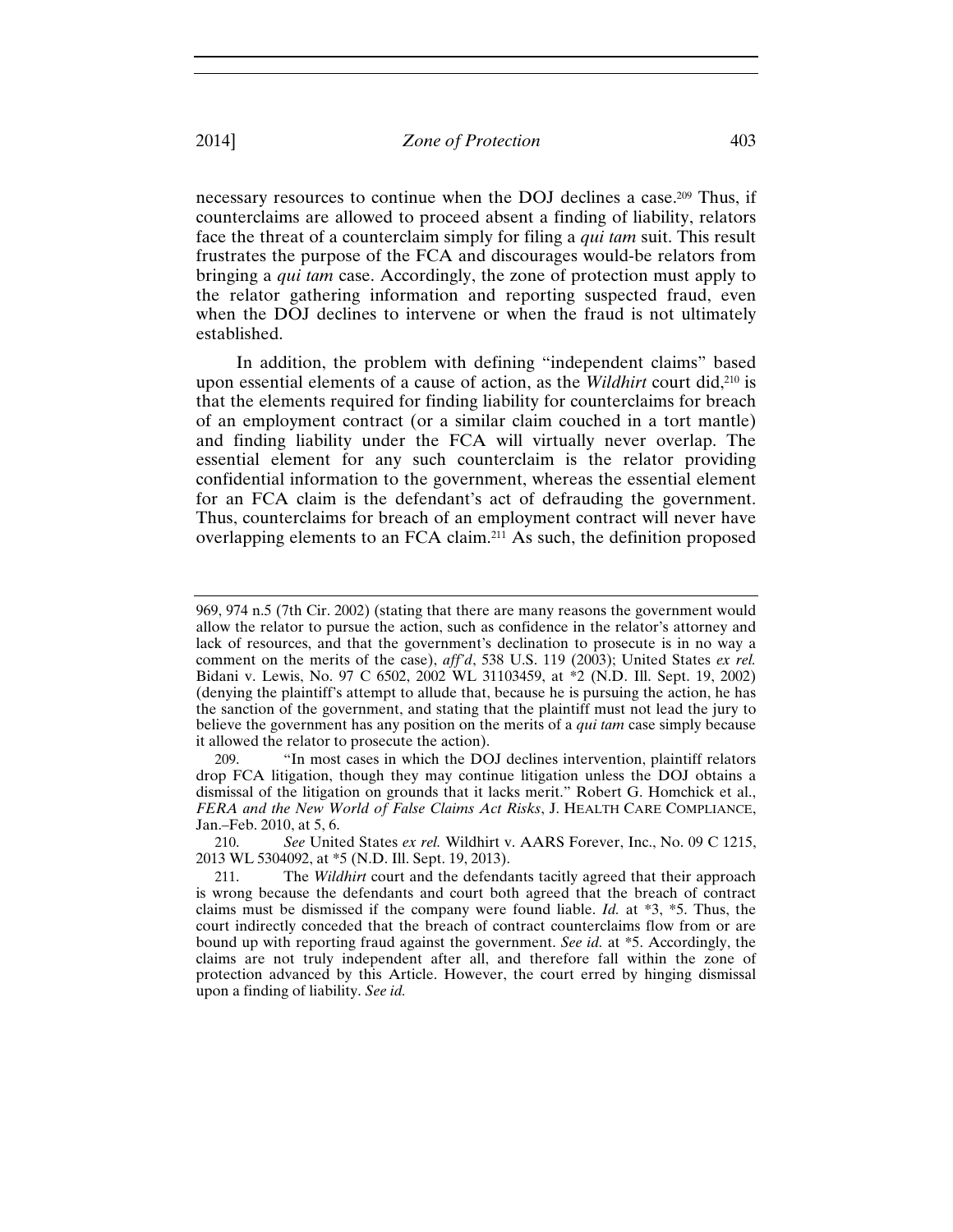necessary resources to continue when the DOJ declines a case.209 Thus, if counterclaims are allowed to proceed absent a finding of liability, relators face the threat of a counterclaim simply for filing a *qui tam* suit. This result frustrates the purpose of the FCA and discourages would-be relators from bringing a *qui tam* case. Accordingly, the zone of protection must apply to the relator gathering information and reporting suspected fraud, even when the DOJ declines to intervene or when the fraud is not ultimately established.

In addition, the problem with defining "independent claims" based upon essential elements of a cause of action, as the *Wildhirt* court did,210 is that the elements required for finding liability for counterclaims for breach of an employment contract (or a similar claim couched in a tort mantle) and finding liability under the FCA will virtually never overlap. The essential element for any such counterclaim is the relator providing confidential information to the government, whereas the essential element for an FCA claim is the defendant's act of defrauding the government. Thus, counterclaims for breach of an employment contract will never have overlapping elements to an FCA claim.211 As such, the definition proposed

<sup>969, 974</sup> n.5 (7th Cir. 2002) (stating that there are many reasons the government would allow the relator to pursue the action, such as confidence in the relator's attorney and lack of resources, and that the government's declination to prosecute is in no way a comment on the merits of the case), *aff'd*, 538 U.S. 119 (2003); United States *ex rel.* Bidani v. Lewis, No. 97 C 6502, 2002 WL 31103459, at \*2 (N.D. Ill. Sept. 19, 2002) (denying the plaintiff's attempt to allude that, because he is pursuing the action, he has the sanction of the government, and stating that the plaintiff must not lead the jury to believe the government has any position on the merits of a *qui tam* case simply because it allowed the relator to prosecute the action).

<sup>209. &</sup>quot;In most cases in which the DOJ declines intervention, plaintiff relators drop FCA litigation, though they may continue litigation unless the DOJ obtains a dismissal of the litigation on grounds that it lacks merit." Robert G. Homchick et al., *FERA and the New World of False Claims Act Risks*, J. HEALTH CARE COMPLIANCE, Jan.–Feb. 2010, at 5, 6.

<sup>210.</sup> *See* United States *ex rel.* Wildhirt v. AARS Forever, Inc., No. 09 C 1215, 2013 WL 5304092, at \*5 (N.D. Ill. Sept. 19, 2013).

<sup>211.</sup> The *Wildhirt* court and the defendants tacitly agreed that their approach is wrong because the defendants and court both agreed that the breach of contract claims must be dismissed if the company were found liable. *Id.* at \*3, \*5. Thus, the court indirectly conceded that the breach of contract counterclaims flow from or are bound up with reporting fraud against the government. *See id.* at \*5. Accordingly, the claims are not truly independent after all, and therefore fall within the zone of protection advanced by this Article. However, the court erred by hinging dismissal upon a finding of liability. *See id.*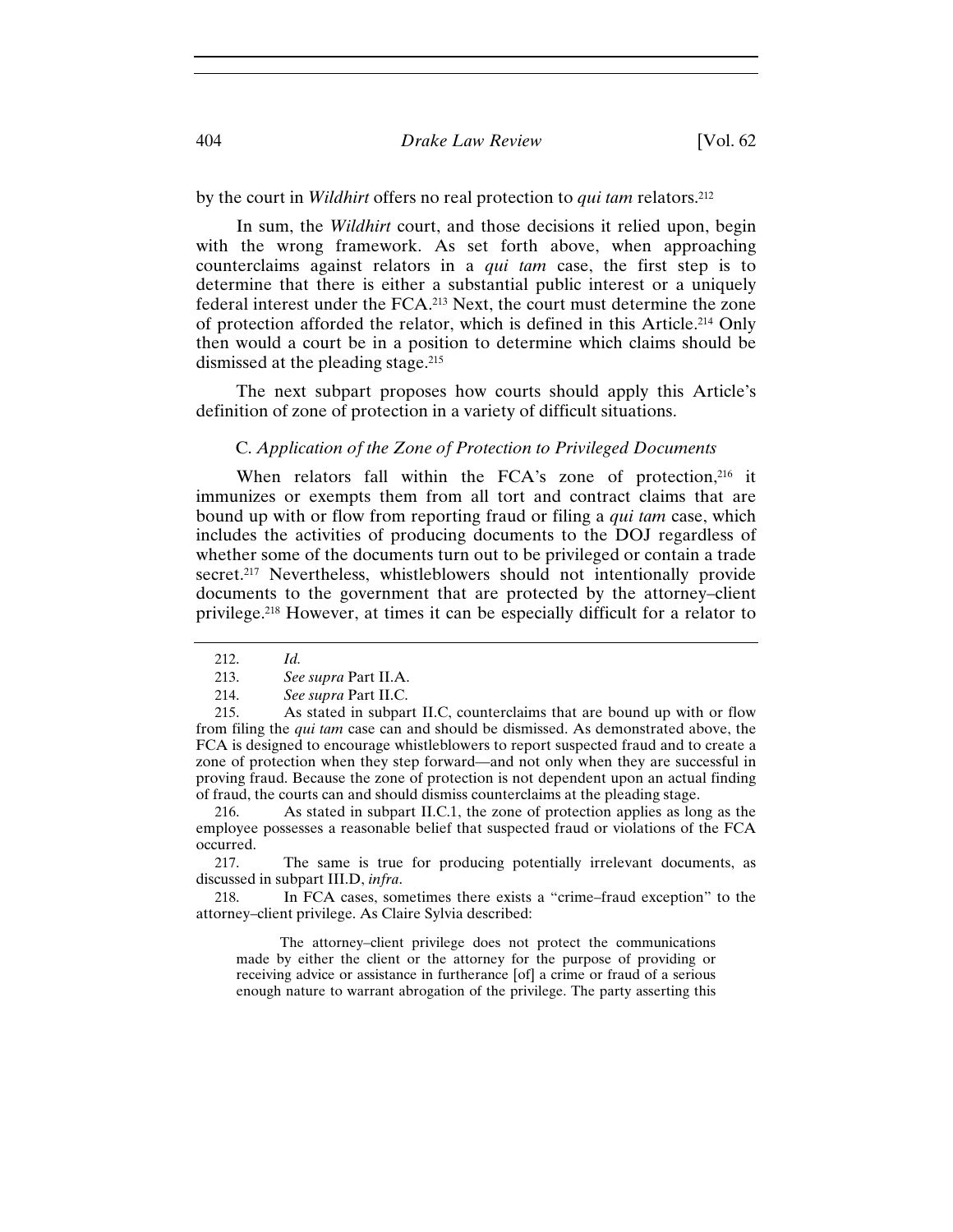## 404 *Drake Law Review* [Vol. 62

by the court in *Wildhirt* offers no real protection to *qui tam* relators.212

In sum, the *Wildhirt* court, and those decisions it relied upon, begin with the wrong framework. As set forth above, when approaching counterclaims against relators in a *qui tam* case, the first step is to determine that there is either a substantial public interest or a uniquely federal interest under the FCA.213 Next, the court must determine the zone of protection afforded the relator, which is defined in this Article.214 Only then would a court be in a position to determine which claims should be dismissed at the pleading stage.215

The next subpart proposes how courts should apply this Article's definition of zone of protection in a variety of difficult situations.

## C. *Application of the Zone of Protection to Privileged Documents*

When relators fall within the FCA's zone of protection, $216$  it immunizes or exempts them from all tort and contract claims that are bound up with or flow from reporting fraud or filing a *qui tam* case, which includes the activities of producing documents to the DOJ regardless of whether some of the documents turn out to be privileged or contain a trade secret.<sup>217</sup> Nevertheless, whistleblowers should not intentionally provide documents to the government that are protected by the attorney–client privilege.218 However, at times it can be especially difficult for a relator to

214. *See supra* Part II.C.

216. As stated in subpart II.C.1, the zone of protection applies as long as the employee possesses a reasonable belief that suspected fraud or violations of the FCA occurred.

217. The same is true for producing potentially irrelevant documents, as discussed in subpart III.D, *infra*.

218. In FCA cases, sometimes there exists a "crime–fraud exception" to the attorney–client privilege. As Claire Sylvia described:

 The attorney–client privilege does not protect the communications made by either the client or the attorney for the purpose of providing or receiving advice or assistance in furtherance [of] a crime or fraud of a serious enough nature to warrant abrogation of the privilege. The party asserting this

<sup>212.</sup> *Id.*

<sup>213.</sup> *See supra* Part II.A.

<sup>215.</sup> As stated in subpart II.C, counterclaims that are bound up with or flow from filing the *qui tam* case can and should be dismissed. As demonstrated above, the FCA is designed to encourage whistleblowers to report suspected fraud and to create a zone of protection when they step forward—and not only when they are successful in proving fraud. Because the zone of protection is not dependent upon an actual finding of fraud, the courts can and should dismiss counterclaims at the pleading stage.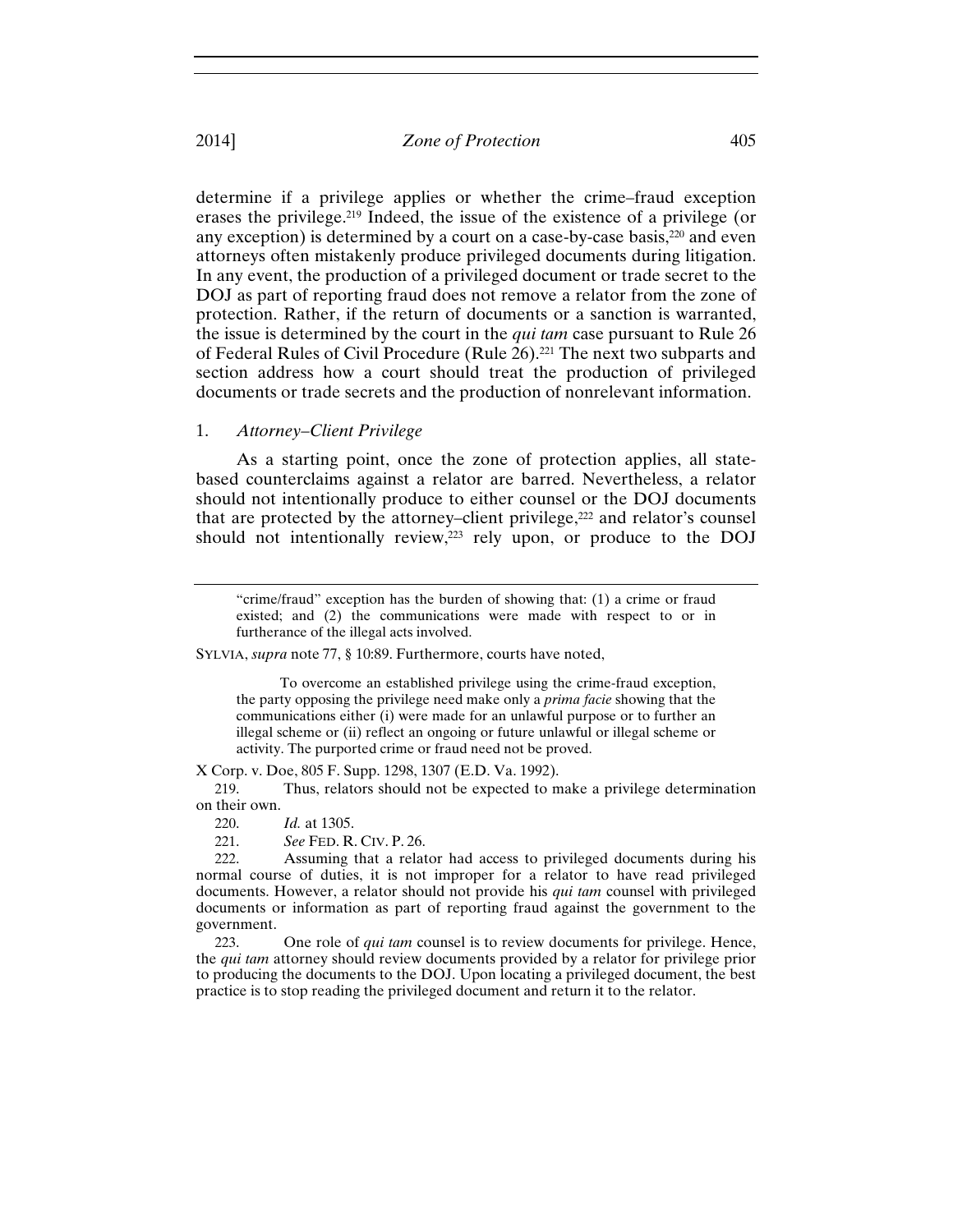determine if a privilege applies or whether the crime–fraud exception erases the privilege.219 Indeed, the issue of the existence of a privilege (or any exception) is determined by a court on a case-by-case basis,<sup>220</sup> and even attorneys often mistakenly produce privileged documents during litigation. In any event, the production of a privileged document or trade secret to the DOJ as part of reporting fraud does not remove a relator from the zone of protection. Rather, if the return of documents or a sanction is warranted, the issue is determined by the court in the *qui tam* case pursuant to Rule 26 of Federal Rules of Civil Procedure (Rule 26).221 The next two subparts and section address how a court should treat the production of privileged documents or trade secrets and the production of nonrelevant information.

## 1. *Attorney–Client Privilege*

As a starting point, once the zone of protection applies, all statebased counterclaims against a relator are barred. Nevertheless, a relator should not intentionally produce to either counsel or the DOJ documents that are protected by the attorney–client privilege,<sup>222</sup> and relator's counsel should not intentionally review,<sup>223</sup> rely upon, or produce to the DOJ

SYLVIA, *supra* note 77, § 10:89. Furthermore, courts have noted,

 To overcome an established privilege using the crime-fraud exception, the party opposing the privilege need make only a *prima facie* showing that the communications either (i) were made for an unlawful purpose or to further an illegal scheme or (ii) reflect an ongoing or future unlawful or illegal scheme or activity. The purported crime or fraud need not be proved.

X Corp. v. Doe, 805 F. Supp. 1298, 1307 (E.D. Va. 1992).

219. Thus, relators should not be expected to make a privilege determination on their own.

220. *Id.* at 1305.

221. *See* FED. R. CIV. P. 26.

222. Assuming that a relator had access to privileged documents during his normal course of duties, it is not improper for a relator to have read privileged documents. However, a relator should not provide his *qui tam* counsel with privileged documents or information as part of reporting fraud against the government to the government.

223. One role of *qui tam* counsel is to review documents for privilege. Hence, the *qui tam* attorney should review documents provided by a relator for privilege prior to producing the documents to the DOJ. Upon locating a privileged document, the best practice is to stop reading the privileged document and return it to the relator.

<sup>&</sup>quot;crime/fraud" exception has the burden of showing that: (1) a crime or fraud existed; and (2) the communications were made with respect to or in furtherance of the illegal acts involved.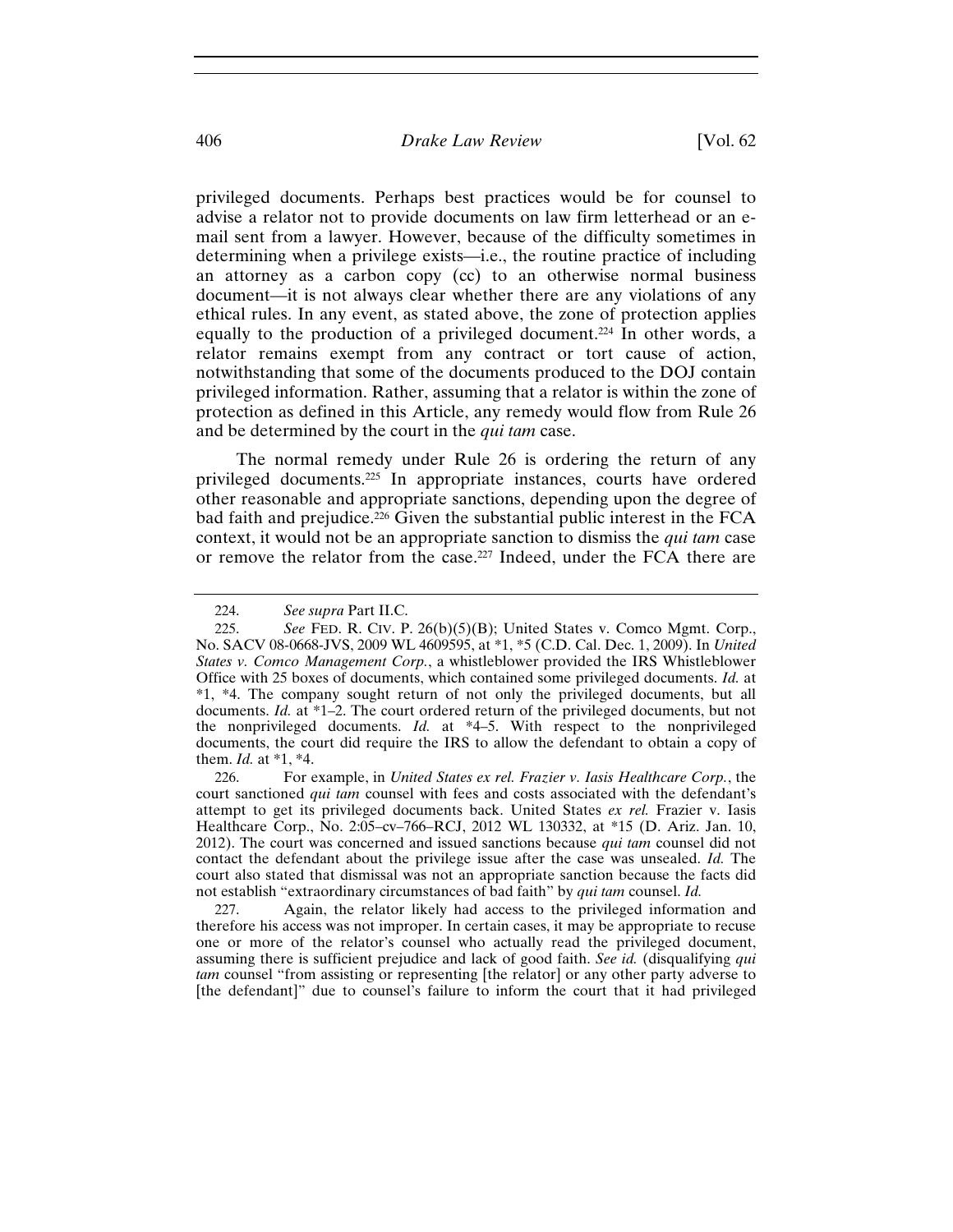privileged documents. Perhaps best practices would be for counsel to advise a relator not to provide documents on law firm letterhead or an email sent from a lawyer. However, because of the difficulty sometimes in determining when a privilege exists—i.e., the routine practice of including an attorney as a carbon copy (cc) to an otherwise normal business document—it is not always clear whether there are any violations of any ethical rules. In any event, as stated above, the zone of protection applies equally to the production of a privileged document.224 In other words, a relator remains exempt from any contract or tort cause of action, notwithstanding that some of the documents produced to the DOJ contain privileged information. Rather, assuming that a relator is within the zone of protection as defined in this Article, any remedy would flow from Rule 26 and be determined by the court in the *qui tam* case.

The normal remedy under Rule 26 is ordering the return of any privileged documents.225 In appropriate instances, courts have ordered other reasonable and appropriate sanctions, depending upon the degree of bad faith and prejudice.226 Given the substantial public interest in the FCA context, it would not be an appropriate sanction to dismiss the *qui tam* case or remove the relator from the case.227 Indeed, under the FCA there are

226. For example, in *United States ex rel. Frazier v. Iasis Healthcare Corp.*, the court sanctioned *qui tam* counsel with fees and costs associated with the defendant's attempt to get its privileged documents back. United States *ex rel.* Frazier v. Iasis Healthcare Corp., No. 2:05–cv–766–RCJ, 2012 WL 130332, at \*15 (D. Ariz. Jan. 10, 2012). The court was concerned and issued sanctions because *qui tam* counsel did not contact the defendant about the privilege issue after the case was unsealed. *Id.* The court also stated that dismissal was not an appropriate sanction because the facts did not establish "extraordinary circumstances of bad faith" by *qui tam* counsel. *Id.* 

227. Again, the relator likely had access to the privileged information and therefore his access was not improper. In certain cases, it may be appropriate to recuse one or more of the relator's counsel who actually read the privileged document, assuming there is sufficient prejudice and lack of good faith. *See id.* (disqualifying *qui tam* counsel "from assisting or representing [the relator] or any other party adverse to [the defendant]" due to counsel's failure to inform the court that it had privileged

<sup>224.</sup> *See supra* Part II.C.

<sup>225.</sup> *See* FED. R. CIV. P. 26(b)(5)(B); United States v. Comco Mgmt. Corp., No. SACV 08-0668-JVS, 2009 WL 4609595, at \*1, \*5 (C.D. Cal. Dec. 1, 2009). In *United States v. Comco Management Corp.*, a whistleblower provided the IRS Whistleblower Office with 25 boxes of documents, which contained some privileged documents. *Id.* at \*1, \*4. The company sought return of not only the privileged documents, but all documents. *Id.* at \*1–2. The court ordered return of the privileged documents, but not the nonprivileged documents. *Id.* at \*4–5. With respect to the nonprivileged documents, the court did require the IRS to allow the defendant to obtain a copy of them. *Id.* at \*1, \*4.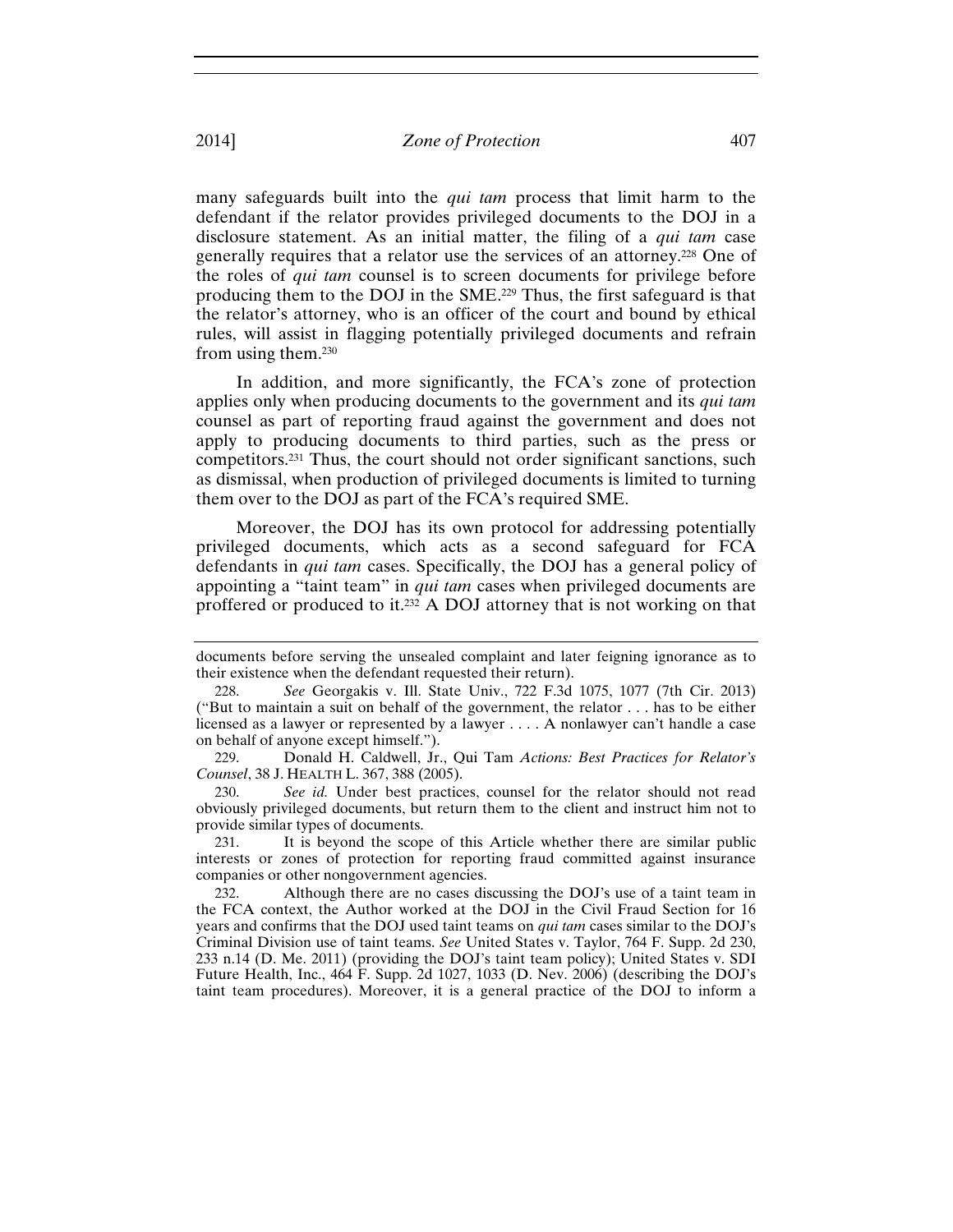many safeguards built into the *qui tam* process that limit harm to the defendant if the relator provides privileged documents to the DOJ in a disclosure statement. As an initial matter, the filing of a *qui tam* case generally requires that a relator use the services of an attorney.228 One of the roles of *qui tam* counsel is to screen documents for privilege before producing them to the DOJ in the SME.229 Thus, the first safeguard is that the relator's attorney, who is an officer of the court and bound by ethical rules, will assist in flagging potentially privileged documents and refrain from using them.230

In addition, and more significantly, the FCA's zone of protection applies only when producing documents to the government and its *qui tam* counsel as part of reporting fraud against the government and does not apply to producing documents to third parties, such as the press or competitors.231 Thus, the court should not order significant sanctions, such as dismissal, when production of privileged documents is limited to turning them over to the DOJ as part of the FCA's required SME.

Moreover, the DOJ has its own protocol for addressing potentially privileged documents, which acts as a second safeguard for FCA defendants in *qui tam* cases. Specifically, the DOJ has a general policy of appointing a "taint team" in *qui tam* cases when privileged documents are proffered or produced to it.232 A DOJ attorney that is not working on that

229. Donald H. Caldwell, Jr., Qui Tam *Actions: Best Practices for Relator's Counsel*, 38 J. HEALTH L. 367, 388 (2005).

230. *See id.* Under best practices, counsel for the relator should not read obviously privileged documents, but return them to the client and instruct him not to provide similar types of documents.

231. It is beyond the scope of this Article whether there are similar public interests or zones of protection for reporting fraud committed against insurance companies or other nongovernment agencies.

232. Although there are no cases discussing the DOJ's use of a taint team in the FCA context, the Author worked at the DOJ in the Civil Fraud Section for 16 years and confirms that the DOJ used taint teams on *qui tam* cases similar to the DOJ's Criminal Division use of taint teams. *See* United States v. Taylor, 764 F. Supp. 2d 230, 233 n.14 (D. Me. 2011) (providing the DOJ's taint team policy); United States v. SDI Future Health, Inc., 464 F. Supp. 2d 1027, 1033 (D. Nev. 2006) (describing the DOJ's taint team procedures). Moreover, it is a general practice of the DOJ to inform a

documents before serving the unsealed complaint and later feigning ignorance as to their existence when the defendant requested their return).

<sup>228.</sup> *See* Georgakis v. Ill. State Univ., 722 F.3d 1075, 1077 (7th Cir. 2013) ("But to maintain a suit on behalf of the government, the relator . . . has to be either licensed as a lawyer or represented by a lawyer . . . . A nonlawyer can't handle a case on behalf of anyone except himself.").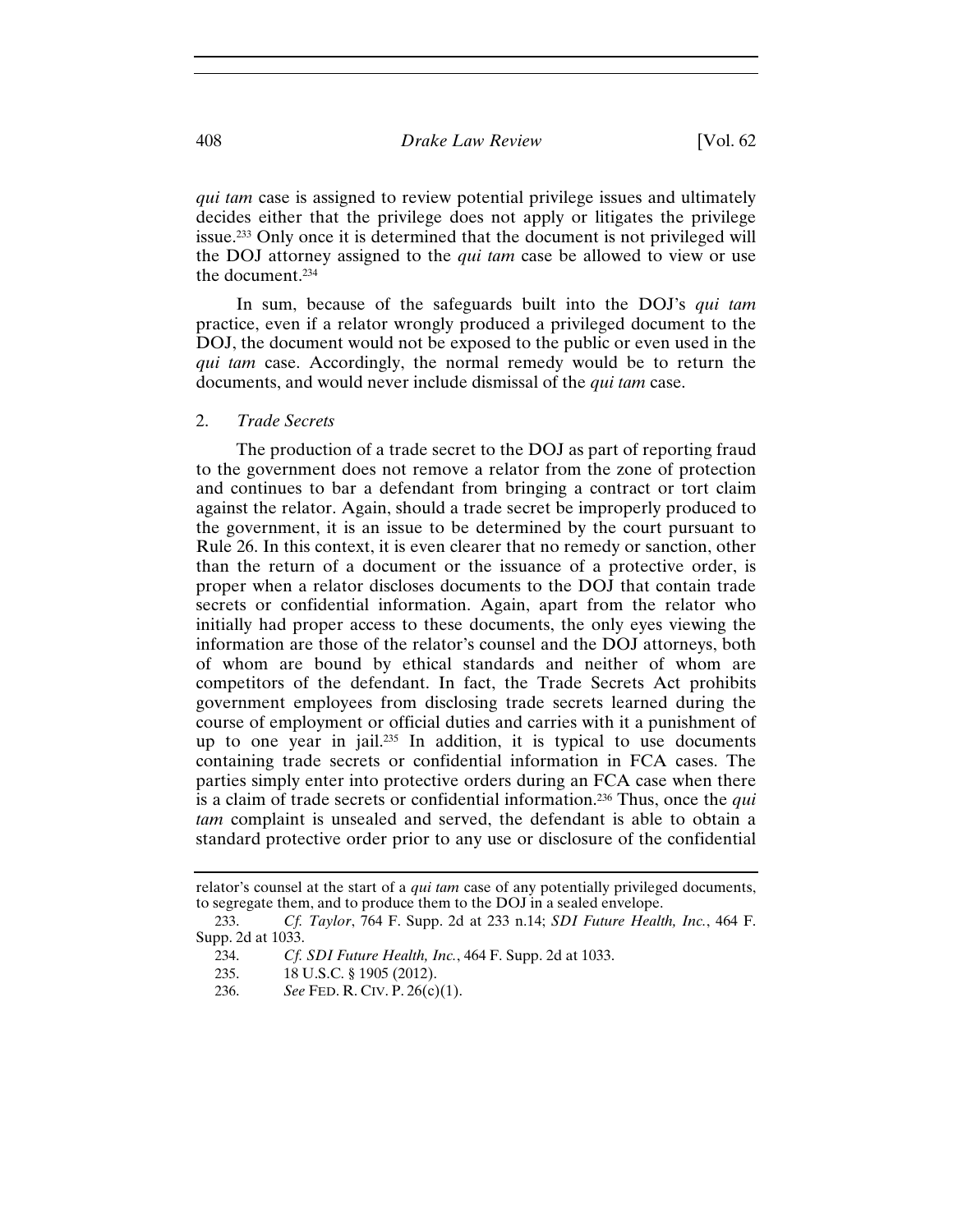*qui tam* case is assigned to review potential privilege issues and ultimately decides either that the privilege does not apply or litigates the privilege issue.233 Only once it is determined that the document is not privileged will the DOJ attorney assigned to the *qui tam* case be allowed to view or use the document.234

In sum, because of the safeguards built into the DOJ's *qui tam* practice, even if a relator wrongly produced a privileged document to the DOJ, the document would not be exposed to the public or even used in the *qui tam* case. Accordingly, the normal remedy would be to return the documents, and would never include dismissal of the *qui tam* case.

2. *Trade Secrets* 

The production of a trade secret to the DOJ as part of reporting fraud to the government does not remove a relator from the zone of protection and continues to bar a defendant from bringing a contract or tort claim against the relator. Again, should a trade secret be improperly produced to the government, it is an issue to be determined by the court pursuant to Rule 26. In this context, it is even clearer that no remedy or sanction, other than the return of a document or the issuance of a protective order, is proper when a relator discloses documents to the DOJ that contain trade secrets or confidential information. Again, apart from the relator who initially had proper access to these documents, the only eyes viewing the information are those of the relator's counsel and the DOJ attorneys, both of whom are bound by ethical standards and neither of whom are competitors of the defendant. In fact, the Trade Secrets Act prohibits government employees from disclosing trade secrets learned during the course of employment or official duties and carries with it a punishment of up to one year in jail.<sup>235</sup> In addition, it is typical to use documents containing trade secrets or confidential information in FCA cases. The parties simply enter into protective orders during an FCA case when there is a claim of trade secrets or confidential information.236 Thus, once the *qui tam* complaint is unsealed and served, the defendant is able to obtain a standard protective order prior to any use or disclosure of the confidential

236. *See* FED. R. CIV. P. 26(c)(1).

relator's counsel at the start of a *qui tam* case of any potentially privileged documents, to segregate them, and to produce them to the DOJ in a sealed envelope.

<sup>233.</sup> *Cf. Taylor*, 764 F. Supp. 2d at 233 n.14; *SDI Future Health, Inc.*, 464 F. Supp. 2d at 1033.

<sup>234.</sup> *Cf. SDI Future Health, Inc.*, 464 F. Supp. 2d at 1033.

<sup>235. 18</sup> U.S.C. § 1905 (2012).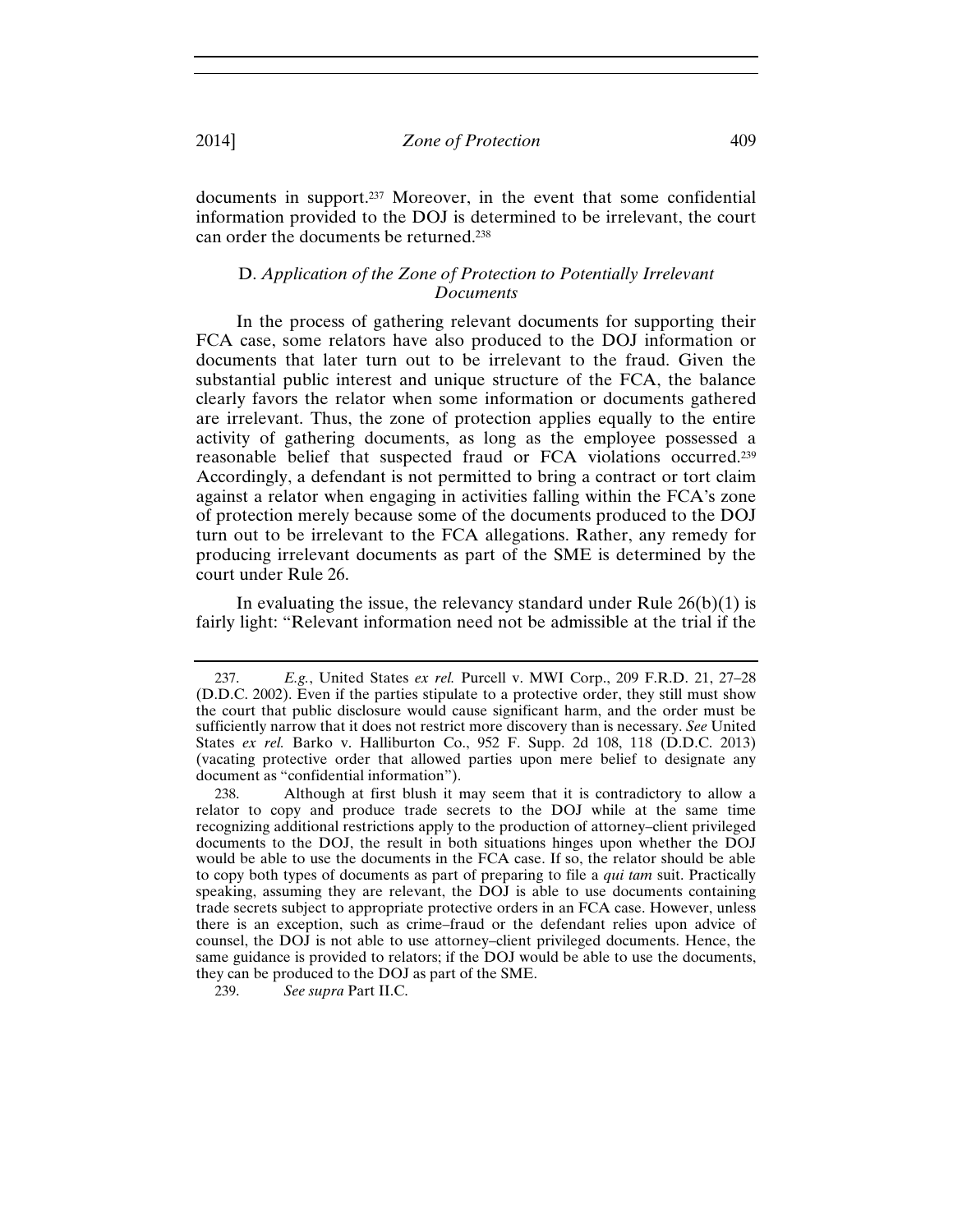documents in support.237 Moreover, in the event that some confidential information provided to the DOJ is determined to be irrelevant, the court can order the documents be returned.238

## D. *Application of the Zone of Protection to Potentially Irrelevant Documents*

In the process of gathering relevant documents for supporting their FCA case, some relators have also produced to the DOJ information or documents that later turn out to be irrelevant to the fraud. Given the substantial public interest and unique structure of the FCA, the balance clearly favors the relator when some information or documents gathered are irrelevant. Thus, the zone of protection applies equally to the entire activity of gathering documents, as long as the employee possessed a reasonable belief that suspected fraud or FCA violations occurred.239 Accordingly, a defendant is not permitted to bring a contract or tort claim against a relator when engaging in activities falling within the FCA's zone of protection merely because some of the documents produced to the DOJ turn out to be irrelevant to the FCA allegations. Rather, any remedy for producing irrelevant documents as part of the SME is determined by the court under Rule 26.

In evaluating the issue, the relevancy standard under Rule  $26(b)(1)$  is fairly light: "Relevant information need not be admissible at the trial if the

<sup>237.</sup> *E.g.*, United States *ex rel.* Purcell v. MWI Corp., 209 F.R.D. 21, 27–28 (D.D.C. 2002). Even if the parties stipulate to a protective order, they still must show the court that public disclosure would cause significant harm, and the order must be sufficiently narrow that it does not restrict more discovery than is necessary. *See* United States *ex rel.* Barko v. Halliburton Co., 952 F. Supp. 2d 108, 118 (D.D.C. 2013) (vacating protective order that allowed parties upon mere belief to designate any document as "confidential information").

<sup>238.</sup> Although at first blush it may seem that it is contradictory to allow a relator to copy and produce trade secrets to the DOJ while at the same time recognizing additional restrictions apply to the production of attorney–client privileged documents to the DOJ, the result in both situations hinges upon whether the DOJ would be able to use the documents in the FCA case. If so, the relator should be able to copy both types of documents as part of preparing to file a *qui tam* suit. Practically speaking, assuming they are relevant, the DOJ is able to use documents containing trade secrets subject to appropriate protective orders in an FCA case. However, unless there is an exception, such as crime–fraud or the defendant relies upon advice of counsel, the DOJ is not able to use attorney–client privileged documents. Hence, the same guidance is provided to relators; if the DOJ would be able to use the documents, they can be produced to the DOJ as part of the SME.

<sup>239.</sup> *See supra* Part II.C.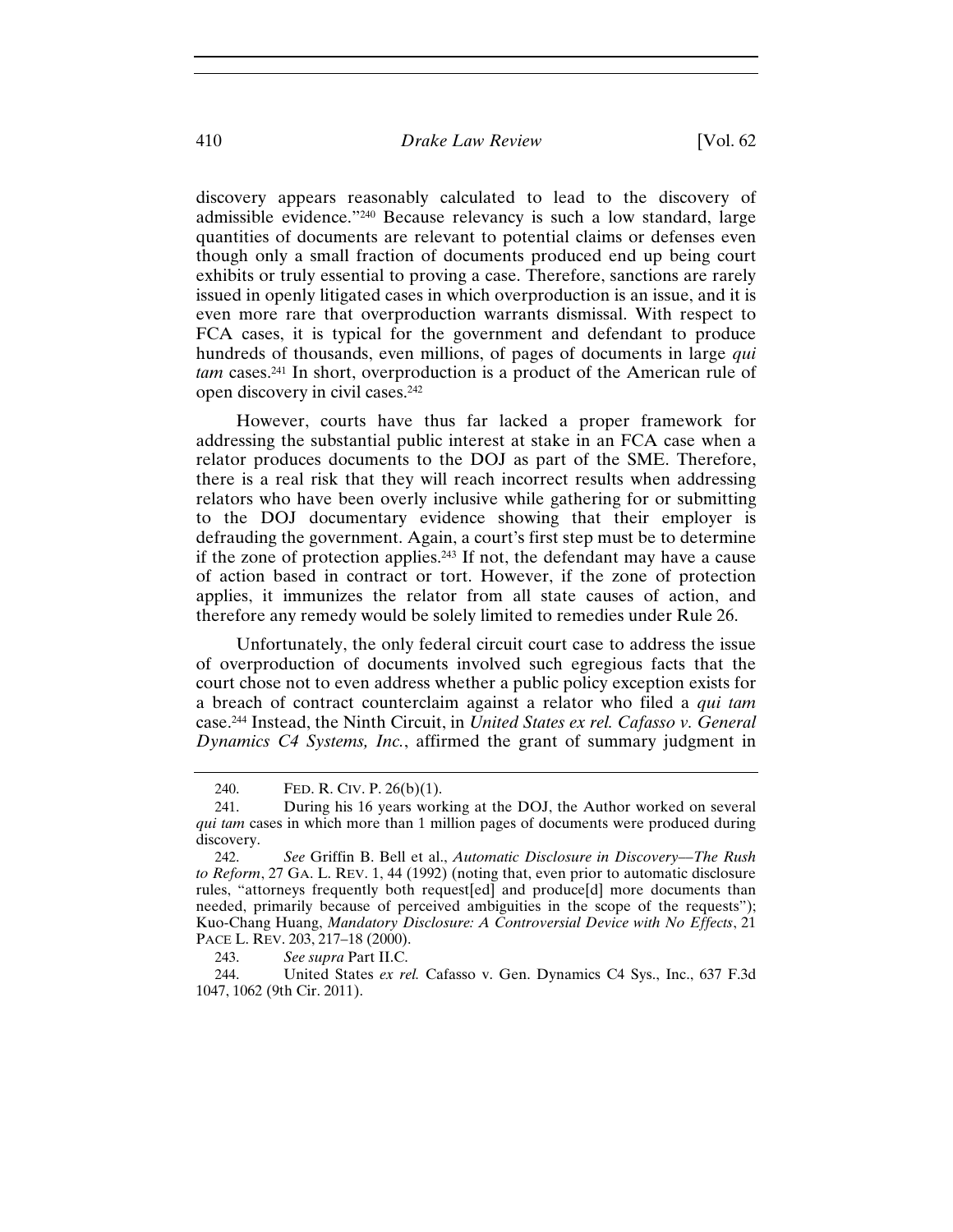discovery appears reasonably calculated to lead to the discovery of admissible evidence."240 Because relevancy is such a low standard, large quantities of documents are relevant to potential claims or defenses even though only a small fraction of documents produced end up being court exhibits or truly essential to proving a case. Therefore, sanctions are rarely issued in openly litigated cases in which overproduction is an issue, and it is even more rare that overproduction warrants dismissal. With respect to FCA cases, it is typical for the government and defendant to produce hundreds of thousands, even millions, of pages of documents in large *qui tam* cases.241 In short, overproduction is a product of the American rule of open discovery in civil cases.242

However, courts have thus far lacked a proper framework for addressing the substantial public interest at stake in an FCA case when a relator produces documents to the DOJ as part of the SME. Therefore, there is a real risk that they will reach incorrect results when addressing relators who have been overly inclusive while gathering for or submitting to the DOJ documentary evidence showing that their employer is defrauding the government. Again, a court's first step must be to determine if the zone of protection applies.243 If not, the defendant may have a cause of action based in contract or tort. However, if the zone of protection applies, it immunizes the relator from all state causes of action, and therefore any remedy would be solely limited to remedies under Rule 26.

Unfortunately, the only federal circuit court case to address the issue of overproduction of documents involved such egregious facts that the court chose not to even address whether a public policy exception exists for a breach of contract counterclaim against a relator who filed a *qui tam* case.244 Instead, the Ninth Circuit, in *United States ex rel. Cafasso v. General Dynamics C4 Systems, Inc.*, affirmed the grant of summary judgment in

243. *See supra* Part II.C.

244. United States *ex rel.* Cafasso v. Gen. Dynamics C4 Sys., Inc., 637 F.3d 1047, 1062 (9th Cir. 2011).

<sup>240.</sup> FED. R. CIV. P. 26(b)(1).

<sup>241.</sup> During his 16 years working at the DOJ, the Author worked on several *qui tam* cases in which more than 1 million pages of documents were produced during discovery.

<sup>242.</sup> *See* Griffin B. Bell et al., *Automatic Disclosure in Discovery–*–*The Rush to Reform*, 27 GA. L. REV. 1, 44 (1992) (noting that, even prior to automatic disclosure rules, "attorneys frequently both request[ed] and produce[d] more documents than needed, primarily because of perceived ambiguities in the scope of the requests"); Kuo-Chang Huang, *Mandatory Disclosure: A Controversial Device with No Effects*, 21 PACE L. REV. 203, 217–18 (2000).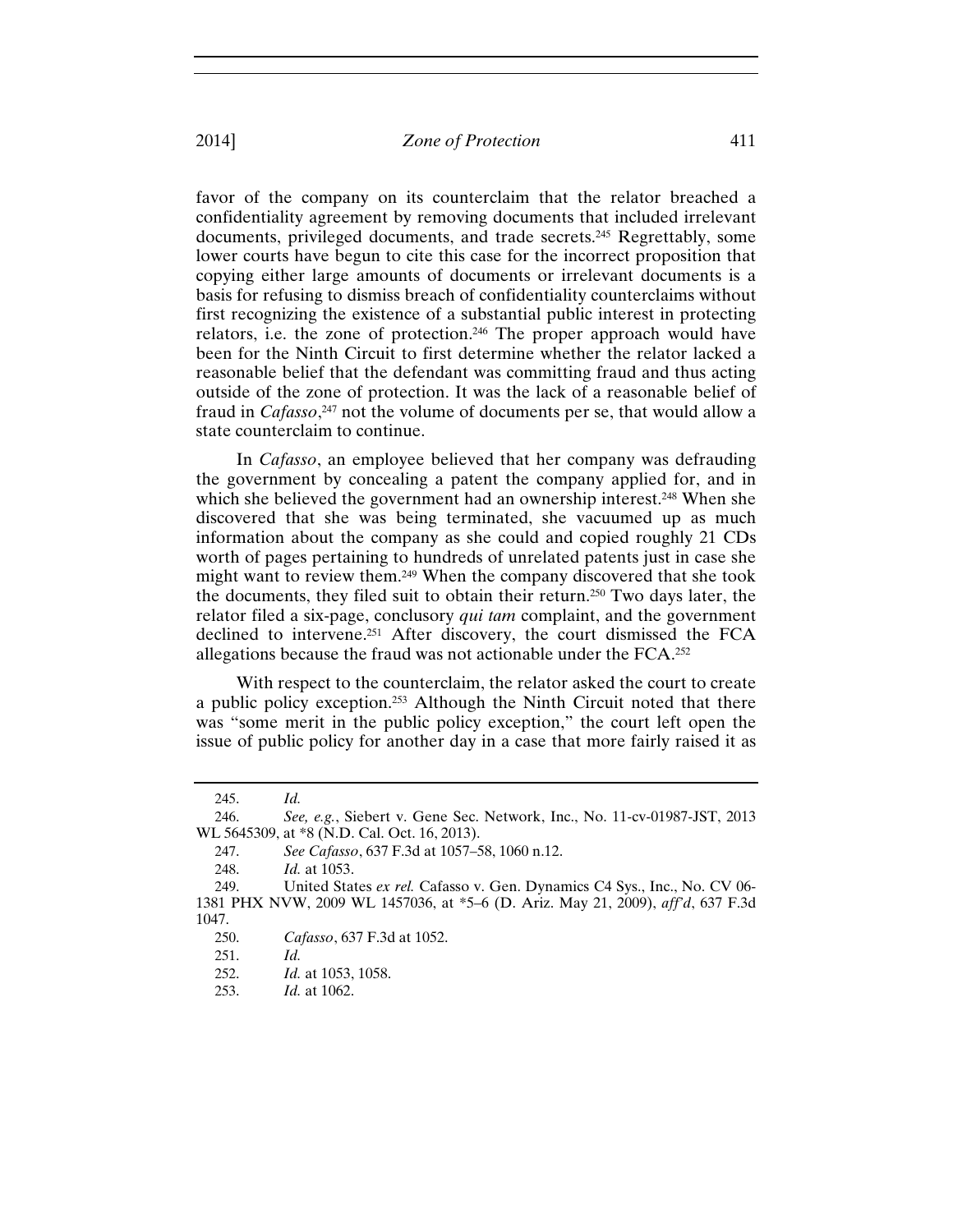favor of the company on its counterclaim that the relator breached a confidentiality agreement by removing documents that included irrelevant documents, privileged documents, and trade secrets.245 Regrettably, some lower courts have begun to cite this case for the incorrect proposition that copying either large amounts of documents or irrelevant documents is a basis for refusing to dismiss breach of confidentiality counterclaims without first recognizing the existence of a substantial public interest in protecting relators, i.e. the zone of protection.246 The proper approach would have been for the Ninth Circuit to first determine whether the relator lacked a reasonable belief that the defendant was committing fraud and thus acting outside of the zone of protection. It was the lack of a reasonable belief of fraud in *Cafasso*, 247 not the volume of documents per se, that would allow a state counterclaim to continue.

In *Cafasso*, an employee believed that her company was defrauding the government by concealing a patent the company applied for, and in which she believed the government had an ownership interest.<sup>248</sup> When she discovered that she was being terminated, she vacuumed up as much information about the company as she could and copied roughly 21 CDs worth of pages pertaining to hundreds of unrelated patents just in case she might want to review them.249 When the company discovered that she took the documents, they filed suit to obtain their return.250 Two days later, the relator filed a six-page, conclusory *qui tam* complaint, and the government declined to intervene.251 After discovery, the court dismissed the FCA allegations because the fraud was not actionable under the FCA.252

With respect to the counterclaim, the relator asked the court to create a public policy exception.253 Although the Ninth Circuit noted that there was "some merit in the public policy exception," the court left open the issue of public policy for another day in a case that more fairly raised it as

<sup>245.</sup> *Id.*

<sup>246.</sup> *See, e.g.*, Siebert v. Gene Sec. Network, Inc., No. 11-cv-01987-JST, 2013 WL 5645309, at \*8 (N.D. Cal. Oct. 16, 2013).

<sup>247.</sup> *See Cafasso*, 637 F.3d at 1057–58, 1060 n.12.

<sup>248.</sup> *Id.* at 1053.

<sup>249.</sup> United States *ex rel.* Cafasso v. Gen. Dynamics C4 Sys., Inc., No. CV 06- 1381 PHX NVW, 2009 WL 1457036, at \*5–6 (D. Ariz. May 21, 2009), *aff'd*, 637 F.3d 1047.

<sup>250.</sup> *Cafasso*, 637 F.3d at 1052.

<sup>251.</sup> *Id.*

<sup>252.</sup> *Id.* at 1053, 1058.

<sup>253.</sup> *Id.* at 1062.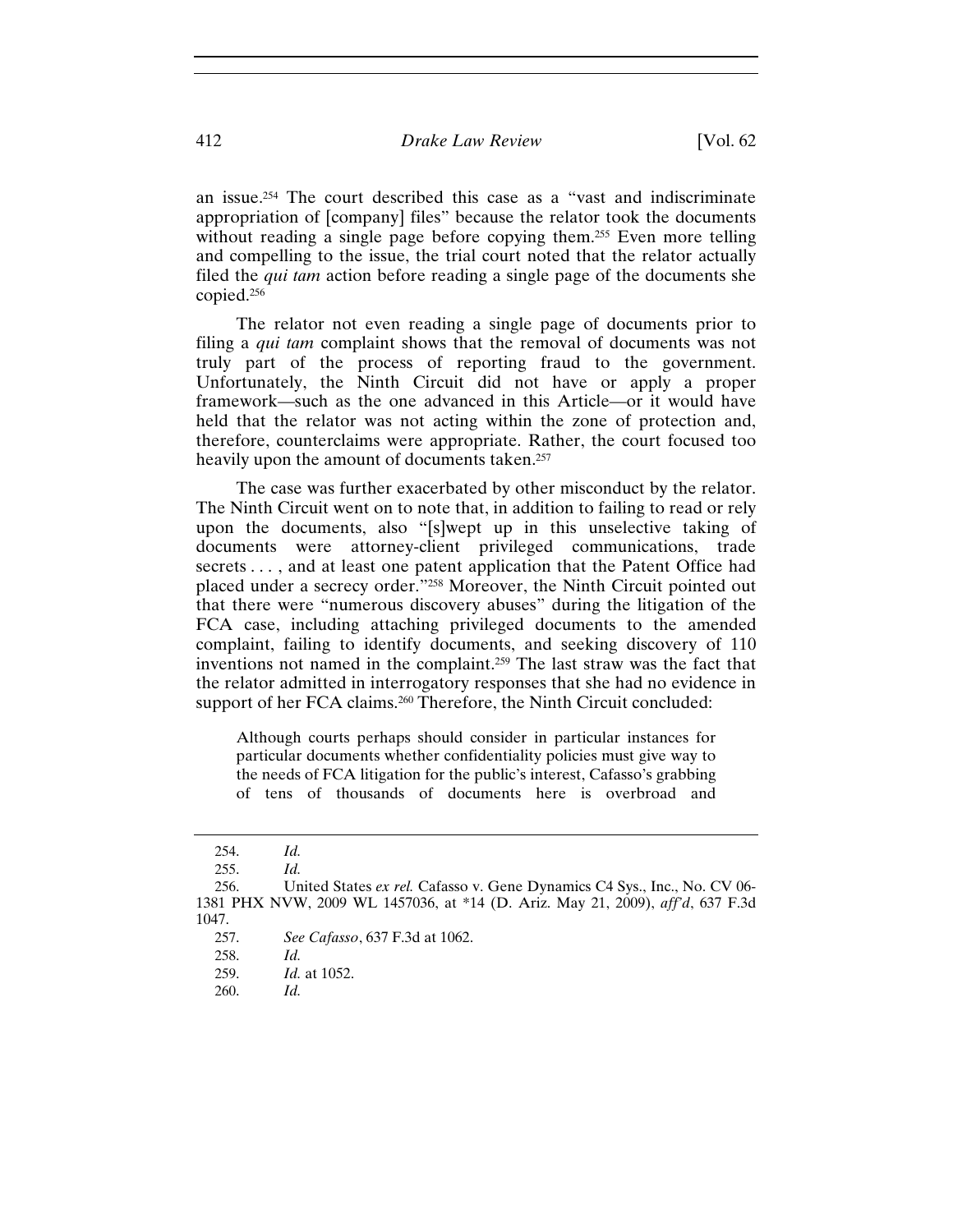an issue.254 The court described this case as a "vast and indiscriminate appropriation of [company] files" because the relator took the documents without reading a single page before copying them.<sup>255</sup> Even more telling and compelling to the issue, the trial court noted that the relator actually filed the *qui tam* action before reading a single page of the documents she copied.256

The relator not even reading a single page of documents prior to filing a *qui tam* complaint shows that the removal of documents was not truly part of the process of reporting fraud to the government. Unfortunately, the Ninth Circuit did not have or apply a proper framework—such as the one advanced in this Article—or it would have held that the relator was not acting within the zone of protection and, therefore, counterclaims were appropriate. Rather, the court focused too heavily upon the amount of documents taken.<sup>257</sup>

The case was further exacerbated by other misconduct by the relator. The Ninth Circuit went on to note that, in addition to failing to read or rely upon the documents, also "[s]wept up in this unselective taking of documents were attorney-client privileged communications, trade secrets . . . , and at least one patent application that the Patent Office had placed under a secrecy order."258 Moreover, the Ninth Circuit pointed out that there were "numerous discovery abuses" during the litigation of the FCA case, including attaching privileged documents to the amended complaint, failing to identify documents, and seeking discovery of 110 inventions not named in the complaint.259 The last straw was the fact that the relator admitted in interrogatory responses that she had no evidence in support of her FCA claims.<sup>260</sup> Therefore, the Ninth Circuit concluded:

Although courts perhaps should consider in particular instances for particular documents whether confidentiality policies must give way to the needs of FCA litigation for the public's interest, Cafasso's grabbing of tens of thousands of documents here is overbroad and

259. *Id.* at 1052.

<sup>254.</sup> *Id.*

<sup>255.</sup> *Id.*

<sup>256.</sup> United States *ex rel.* Cafasso v. Gene Dynamics C4 Sys., Inc., No. CV 06- 1381 PHX NVW, 2009 WL 1457036, at \*14 (D. Ariz. May 21, 2009), *aff'd*, 637 F.3d 1047.

<sup>257.</sup> *See Cafasso*, 637 F.3d at 1062.

<sup>258.</sup> *Id.*

<sup>260.</sup> *Id.*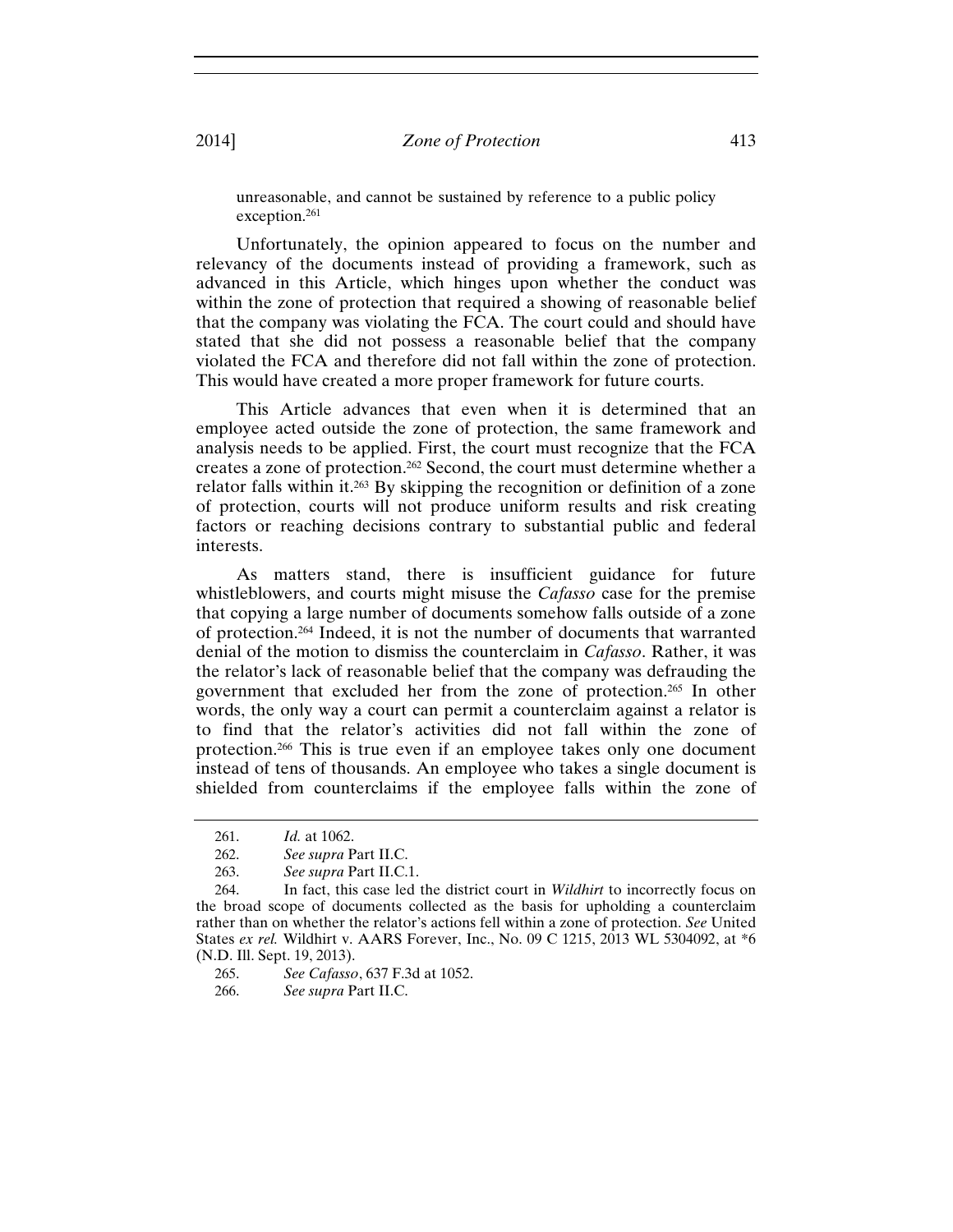unreasonable, and cannot be sustained by reference to a public policy exception.261

Unfortunately, the opinion appeared to focus on the number and relevancy of the documents instead of providing a framework, such as advanced in this Article, which hinges upon whether the conduct was within the zone of protection that required a showing of reasonable belief that the company was violating the FCA. The court could and should have stated that she did not possess a reasonable belief that the company violated the FCA and therefore did not fall within the zone of protection. This would have created a more proper framework for future courts.

This Article advances that even when it is determined that an employee acted outside the zone of protection, the same framework and analysis needs to be applied. First, the court must recognize that the FCA creates a zone of protection.262 Second, the court must determine whether a relator falls within it.263 By skipping the recognition or definition of a zone of protection, courts will not produce uniform results and risk creating factors or reaching decisions contrary to substantial public and federal interests.

As matters stand, there is insufficient guidance for future whistleblowers, and courts might misuse the *Cafasso* case for the premise that copying a large number of documents somehow falls outside of a zone of protection.264 Indeed, it is not the number of documents that warranted denial of the motion to dismiss the counterclaim in *Cafasso*. Rather, it was the relator's lack of reasonable belief that the company was defrauding the government that excluded her from the zone of protection.265 In other words, the only way a court can permit a counterclaim against a relator is to find that the relator's activities did not fall within the zone of protection.266 This is true even if an employee takes only one document instead of tens of thousands. An employee who takes a single document is shielded from counterclaims if the employee falls within the zone of

265. *See Cafasso*, 637 F.3d at 1052.

266. *See supra* Part II.C.

<sup>261.</sup> *Id.* at 1062.

<sup>262.</sup> *See supra* Part II.C.

<sup>263.</sup> *See supra* Part II.C.1.

<sup>264.</sup> In fact, this case led the district court in *Wildhirt* to incorrectly focus on the broad scope of documents collected as the basis for upholding a counterclaim rather than on whether the relator's actions fell within a zone of protection. *See* United States *ex rel.* Wildhirt v. AARS Forever, Inc., No. 09 C 1215, 2013 WL 5304092, at \*6 (N.D. Ill. Sept. 19, 2013).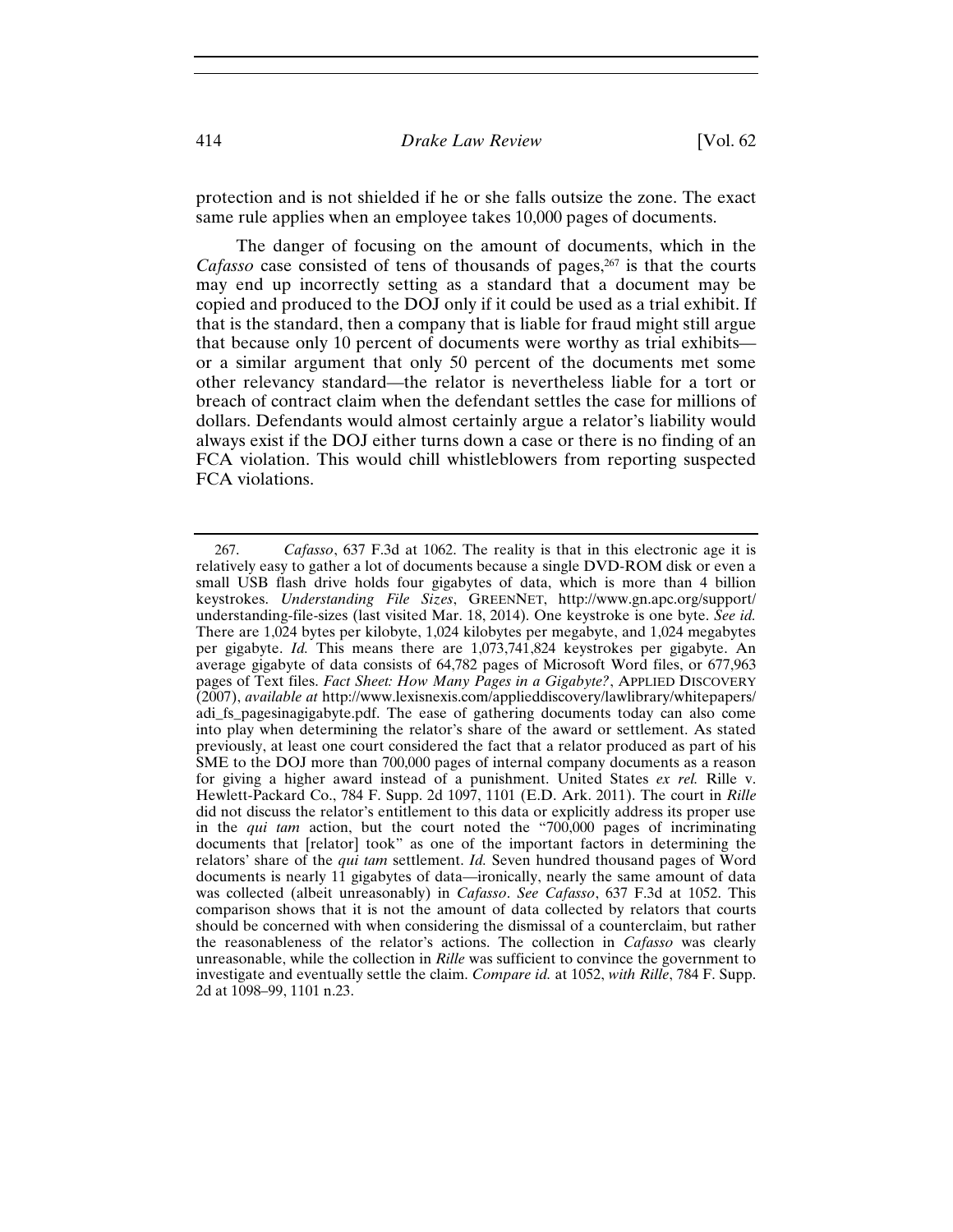protection and is not shielded if he or she falls outsize the zone. The exact same rule applies when an employee takes 10,000 pages of documents.

The danger of focusing on the amount of documents, which in the *Cafasso* case consisted of tens of thousands of pages,<sup>267</sup> is that the courts may end up incorrectly setting as a standard that a document may be copied and produced to the DOJ only if it could be used as a trial exhibit. If that is the standard, then a company that is liable for fraud might still argue that because only 10 percent of documents were worthy as trial exhibits or a similar argument that only 50 percent of the documents met some other relevancy standard—the relator is nevertheless liable for a tort or breach of contract claim when the defendant settles the case for millions of dollars. Defendants would almost certainly argue a relator's liability would always exist if the DOJ either turns down a case or there is no finding of an FCA violation. This would chill whistleblowers from reporting suspected FCA violations.

<sup>267.</sup> *Cafasso*, 637 F.3d at 1062. The reality is that in this electronic age it is relatively easy to gather a lot of documents because a single DVD-ROM disk or even a small USB flash drive holds four gigabytes of data, which is more than 4 billion keystrokes. *Understanding File Sizes*, GREENNET, http://www.gn.apc.org/support/ understanding-file-sizes (last visited Mar. 18, 2014). One keystroke is one byte. *See id.*  There are 1,024 bytes per kilobyte, 1,024 kilobytes per megabyte, and 1,024 megabytes per gigabyte. *Id.* This means there are 1,073,741,824 keystrokes per gigabyte. An average gigabyte of data consists of 64,782 pages of Microsoft Word files, or 677,963 pages of Text files. *Fact Sheet: How Many Pages in a Gigabyte?*, APPLIED DISCOVERY (2007), *available at* http://www.lexisnexis.com/applieddiscovery/lawlibrary/whitepapers/ adi\_fs\_pagesinagigabyte.pdf. The ease of gathering documents today can also come into play when determining the relator's share of the award or settlement. As stated previously, at least one court considered the fact that a relator produced as part of his SME to the DOJ more than 700,000 pages of internal company documents as a reason for giving a higher award instead of a punishment. United States *ex rel.* Rille v. Hewlett-Packard Co., 784 F. Supp. 2d 1097, 1101 (E.D. Ark. 2011). The court in *Rille* did not discuss the relator's entitlement to this data or explicitly address its proper use in the *qui tam* action, but the court noted the "700,000 pages of incriminating documents that [relator] took" as one of the important factors in determining the relators' share of the *qui tam* settlement. *Id.* Seven hundred thousand pages of Word documents is nearly 11 gigabytes of data—ironically, nearly the same amount of data was collected (albeit unreasonably) in *Cafasso*. *See Cafasso*, 637 F.3d at 1052. This comparison shows that it is not the amount of data collected by relators that courts should be concerned with when considering the dismissal of a counterclaim, but rather the reasonableness of the relator's actions. The collection in *Cafasso* was clearly unreasonable, while the collection in *Rille* was sufficient to convince the government to investigate and eventually settle the claim. *Compare id.* at 1052, *with Rille*, 784 F. Supp. 2d at 1098–99, 1101 n.23.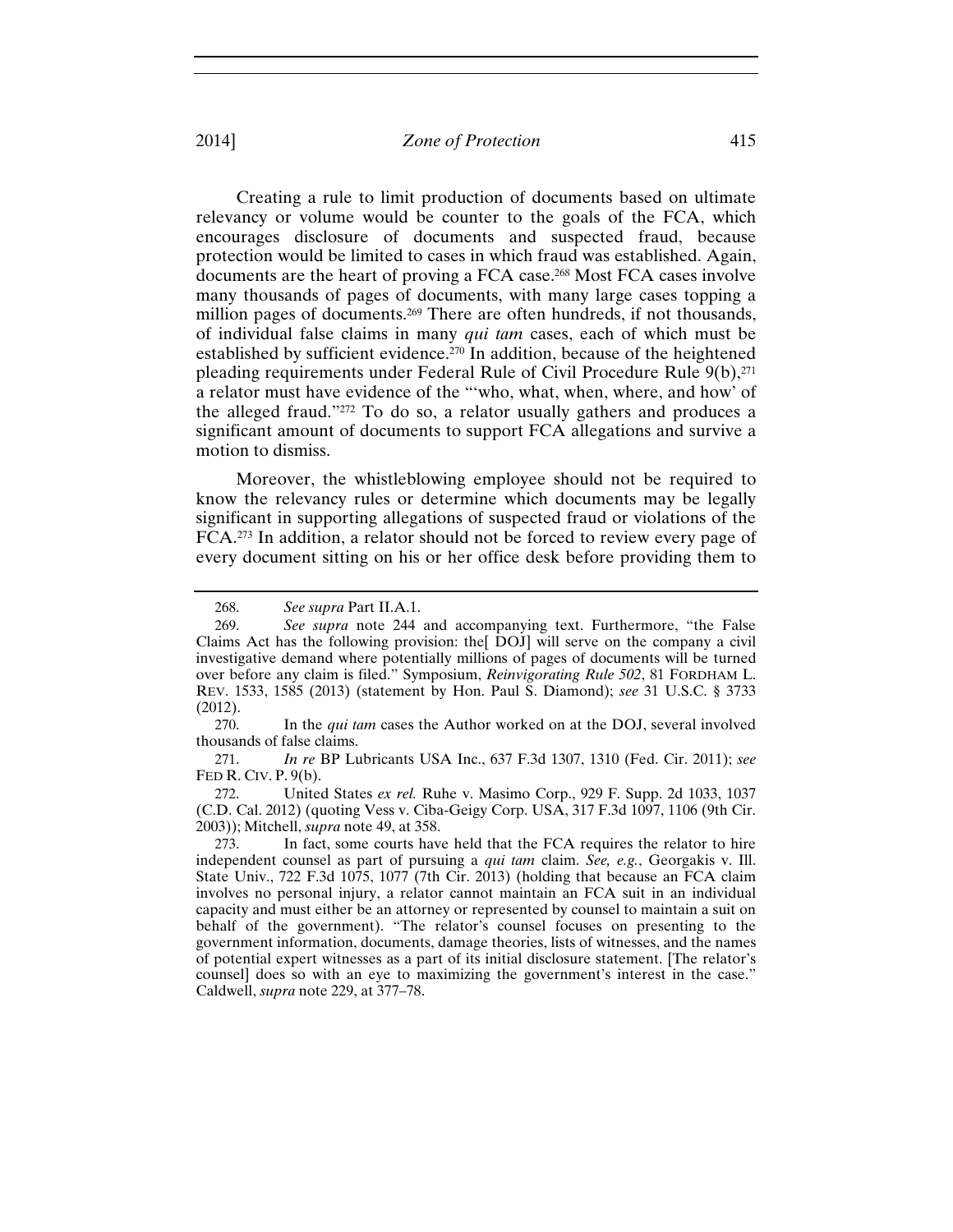Creating a rule to limit production of documents based on ultimate relevancy or volume would be counter to the goals of the FCA, which encourages disclosure of documents and suspected fraud, because protection would be limited to cases in which fraud was established. Again, documents are the heart of proving a FCA case.268 Most FCA cases involve many thousands of pages of documents, with many large cases topping a million pages of documents.<sup>269</sup> There are often hundreds, if not thousands, of individual false claims in many *qui tam* cases, each of which must be established by sufficient evidence.<sup>270</sup> In addition, because of the heightened pleading requirements under Federal Rule of Civil Procedure Rule  $9(b)$ ,<sup>271</sup> a relator must have evidence of the "'who, what, when, where, and how' of the alleged fraud."272 To do so, a relator usually gathers and produces a significant amount of documents to support FCA allegations and survive a motion to dismiss.

Moreover, the whistleblowing employee should not be required to know the relevancy rules or determine which documents may be legally significant in supporting allegations of suspected fraud or violations of the FCA.273 In addition, a relator should not be forced to review every page of every document sitting on his or her office desk before providing them to

271. *In re* BP Lubricants USA Inc., 637 F.3d 1307, 1310 (Fed. Cir. 2011); *see*  FED R. CIV. P. 9(b).

272. United States *ex rel.* Ruhe v. Masimo Corp., 929 F. Supp. 2d 1033, 1037 (C.D. Cal. 2012) (quoting Vess v. Ciba-Geigy Corp. USA, 317 F.3d 1097, 1106 (9th Cir. 2003)); Mitchell, *supra* note 49, at 358.

<sup>268.</sup> *See supra* Part II.A.1.

<sup>269.</sup> *See supra* note 244 and accompanying text. Furthermore, "the False Claims Act has the following provision: the[ DOJ] will serve on the company a civil investigative demand where potentially millions of pages of documents will be turned over before any claim is filed." Symposium, *Reinvigorating Rule 502*, 81 FORDHAM L. REV. 1533, 1585 (2013) (statement by Hon. Paul S. Diamond); *see* 31 U.S.C. § 3733 (2012).

<sup>270.</sup> In the *qui tam* cases the Author worked on at the DOJ, several involved thousands of false claims.

<sup>273.</sup> In fact, some courts have held that the FCA requires the relator to hire independent counsel as part of pursuing a *qui tam* claim. *See, e.g.*, Georgakis v. Ill. State Univ., 722 F.3d 1075, 1077 (7th Cir. 2013) (holding that because an FCA claim involves no personal injury, a relator cannot maintain an FCA suit in an individual capacity and must either be an attorney or represented by counsel to maintain a suit on behalf of the government). "The relator's counsel focuses on presenting to the government information, documents, damage theories, lists of witnesses, and the names of potential expert witnesses as a part of its initial disclosure statement. [The relator's counsel] does so with an eye to maximizing the government's interest in the case." Caldwell, *supra* note 229, at 377–78.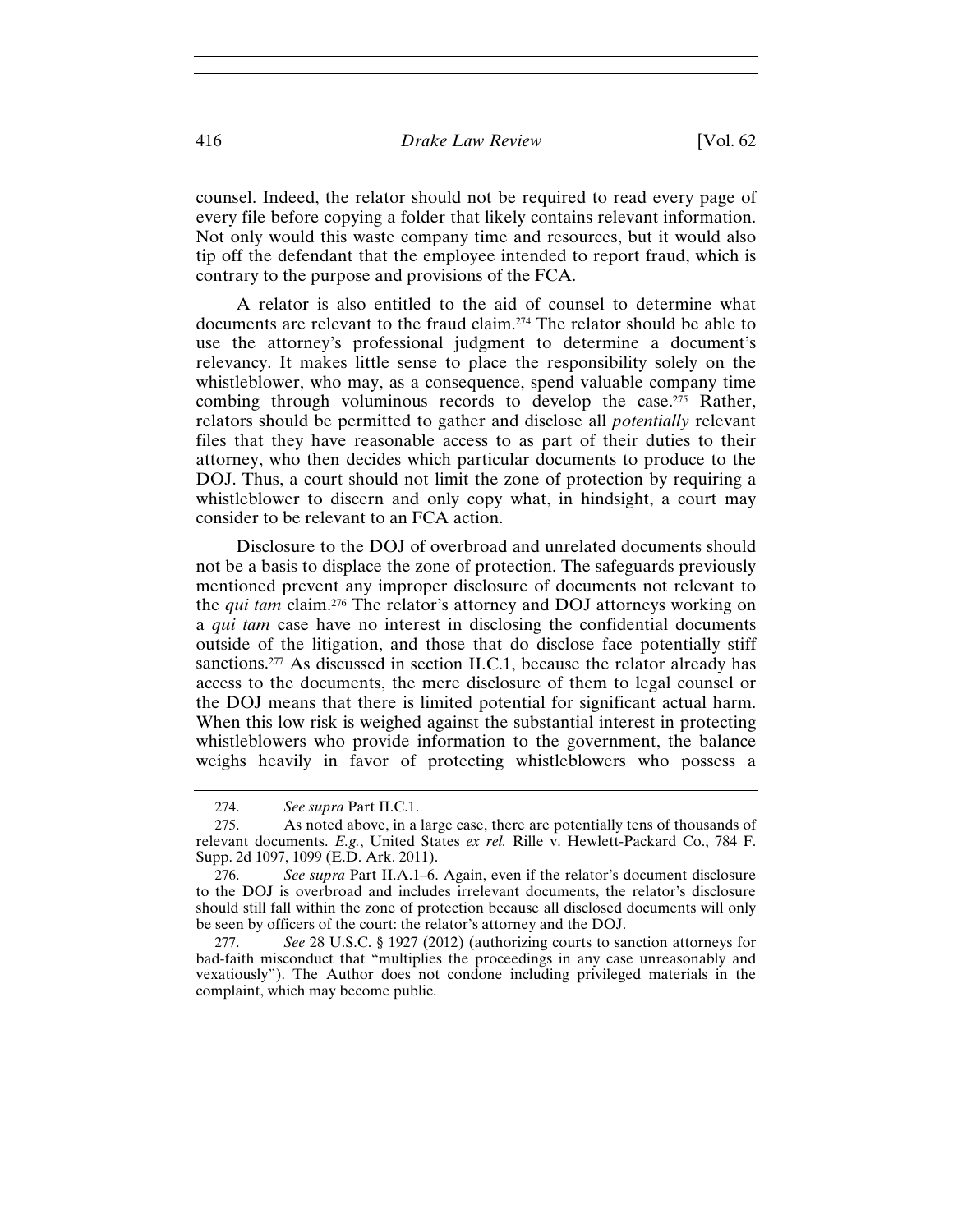counsel. Indeed, the relator should not be required to read every page of every file before copying a folder that likely contains relevant information. Not only would this waste company time and resources, but it would also tip off the defendant that the employee intended to report fraud, which is contrary to the purpose and provisions of the FCA.

A relator is also entitled to the aid of counsel to determine what documents are relevant to the fraud claim.274 The relator should be able to use the attorney's professional judgment to determine a document's relevancy. It makes little sense to place the responsibility solely on the whistleblower, who may, as a consequence, spend valuable company time combing through voluminous records to develop the case.275 Rather, relators should be permitted to gather and disclose all *potentially* relevant files that they have reasonable access to as part of their duties to their attorney, who then decides which particular documents to produce to the DOJ. Thus, a court should not limit the zone of protection by requiring a whistleblower to discern and only copy what, in hindsight, a court may consider to be relevant to an FCA action.

Disclosure to the DOJ of overbroad and unrelated documents should not be a basis to displace the zone of protection. The safeguards previously mentioned prevent any improper disclosure of documents not relevant to the *qui tam* claim.276 The relator's attorney and DOJ attorneys working on a *qui tam* case have no interest in disclosing the confidential documents outside of the litigation, and those that do disclose face potentially stiff sanctions.<sup>277</sup> As discussed in section II.C.1, because the relator already has access to the documents, the mere disclosure of them to legal counsel or the DOJ means that there is limited potential for significant actual harm. When this low risk is weighed against the substantial interest in protecting whistleblowers who provide information to the government, the balance weighs heavily in favor of protecting whistleblowers who possess a

<sup>274.</sup> *See supra* Part II.C.1.

<sup>275.</sup> As noted above, in a large case, there are potentially tens of thousands of relevant documents. *E.g.*, United States *ex rel.* Rille v. Hewlett-Packard Co., 784 F. Supp. 2d 1097, 1099 (E.D. Ark. 2011).

<sup>276.</sup> *See supra* Part II.A.1–6. Again, even if the relator's document disclosure to the DOJ is overbroad and includes irrelevant documents, the relator's disclosure should still fall within the zone of protection because all disclosed documents will only be seen by officers of the court: the relator's attorney and the DOJ.

<sup>277.</sup> *See* 28 U.S.C. § 1927 (2012) (authorizing courts to sanction attorneys for bad-faith misconduct that "multiplies the proceedings in any case unreasonably and vexatiously"). The Author does not condone including privileged materials in the complaint, which may become public.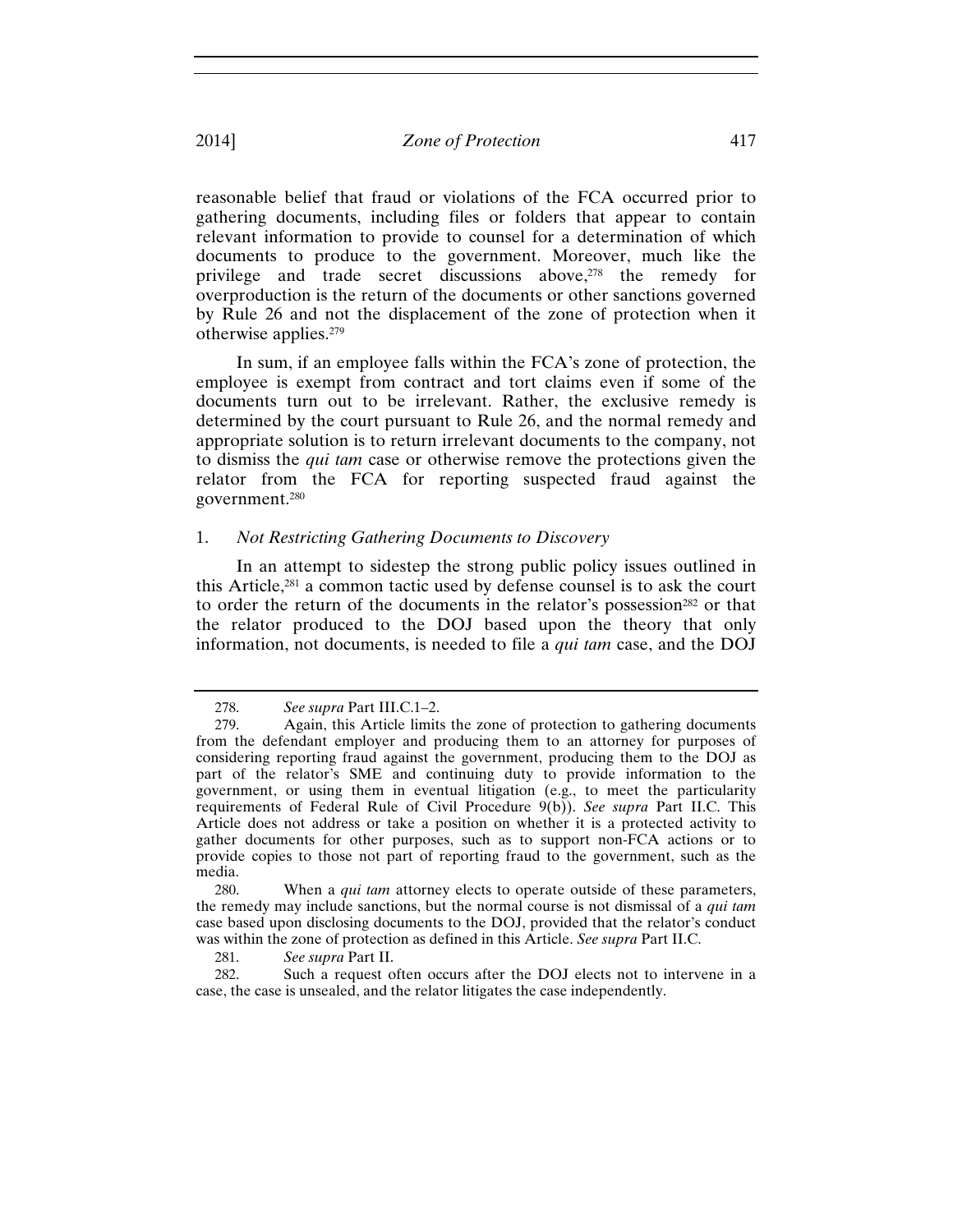reasonable belief that fraud or violations of the FCA occurred prior to gathering documents, including files or folders that appear to contain relevant information to provide to counsel for a determination of which documents to produce to the government. Moreover, much like the privilege and trade secret discussions above,278 the remedy for overproduction is the return of the documents or other sanctions governed by Rule 26 and not the displacement of the zone of protection when it otherwise applies.279

In sum, if an employee falls within the FCA's zone of protection, the employee is exempt from contract and tort claims even if some of the documents turn out to be irrelevant. Rather, the exclusive remedy is determined by the court pursuant to Rule 26, and the normal remedy and appropriate solution is to return irrelevant documents to the company, not to dismiss the *qui tam* case or otherwise remove the protections given the relator from the FCA for reporting suspected fraud against the government.280

## 1. *Not Restricting Gathering Documents to Discovery*

In an attempt to sidestep the strong public policy issues outlined in this Article,281 a common tactic used by defense counsel is to ask the court to order the return of the documents in the relator's possession<sup>282</sup> or that the relator produced to the DOJ based upon the theory that only information, not documents, is needed to file a *qui tam* case, and the DOJ

280. When a *qui tam* attorney elects to operate outside of these parameters, the remedy may include sanctions, but the normal course is not dismissal of a *qui tam* case based upon disclosing documents to the DOJ, provided that the relator's conduct was within the zone of protection as defined in this Article. *See supra* Part II.C.

281. *See supra* Part II.

282. Such a request often occurs after the DOJ elects not to intervene in a case, the case is unsealed, and the relator litigates the case independently.

<sup>278.</sup> *See supra* Part III.C.1–2.

<sup>279.</sup> Again, this Article limits the zone of protection to gathering documents from the defendant employer and producing them to an attorney for purposes of considering reporting fraud against the government, producing them to the DOJ as part of the relator's SME and continuing duty to provide information to the government, or using them in eventual litigation (e.g., to meet the particularity requirements of Federal Rule of Civil Procedure 9(b)). *See supra* Part II.C. This Article does not address or take a position on whether it is a protected activity to gather documents for other purposes, such as to support non-FCA actions or to provide copies to those not part of reporting fraud to the government, such as the media.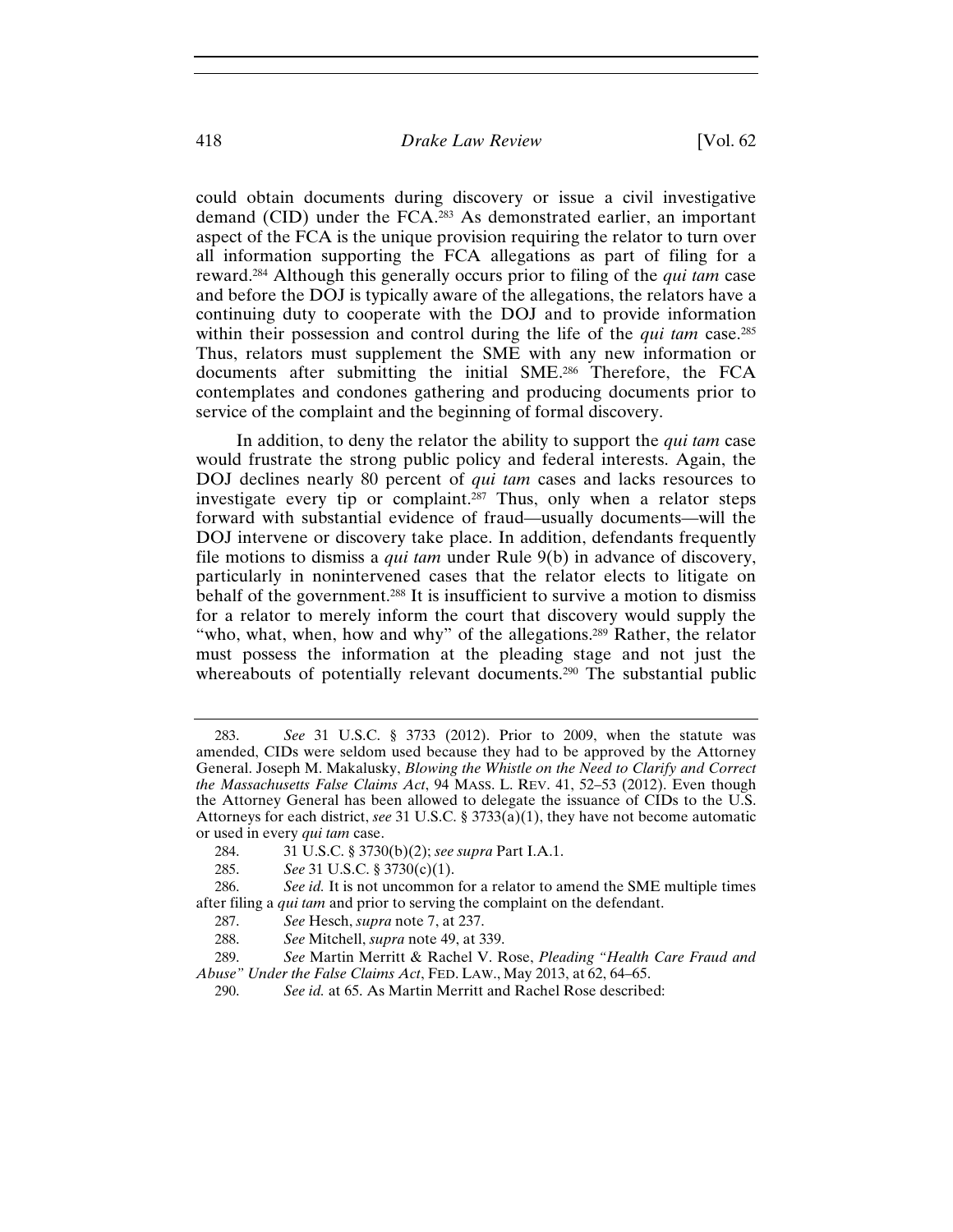could obtain documents during discovery or issue a civil investigative demand (CID) under the FCA.283 As demonstrated earlier, an important aspect of the FCA is the unique provision requiring the relator to turn over all information supporting the FCA allegations as part of filing for a reward.284 Although this generally occurs prior to filing of the *qui tam* case and before the DOJ is typically aware of the allegations, the relators have a continuing duty to cooperate with the DOJ and to provide information within their possession and control during the life of the *qui tam* case.<sup>285</sup> Thus, relators must supplement the SME with any new information or documents after submitting the initial SME.286 Therefore, the FCA contemplates and condones gathering and producing documents prior to service of the complaint and the beginning of formal discovery.

In addition, to deny the relator the ability to support the *qui tam* case would frustrate the strong public policy and federal interests. Again, the DOJ declines nearly 80 percent of *qui tam* cases and lacks resources to investigate every tip or complaint.<sup>287</sup> Thus, only when a relator steps forward with substantial evidence of fraud—usually documents—will the DOJ intervene or discovery take place. In addition, defendants frequently file motions to dismiss a *qui tam* under Rule 9(b) in advance of discovery, particularly in nonintervened cases that the relator elects to litigate on behalf of the government.<sup>288</sup> It is insufficient to survive a motion to dismiss for a relator to merely inform the court that discovery would supply the "who, what, when, how and why" of the allegations.<sup>289</sup> Rather, the relator must possess the information at the pleading stage and not just the whereabouts of potentially relevant documents.<sup>290</sup> The substantial public

<sup>283.</sup> *See* 31 U.S.C. § 3733 (2012). Prior to 2009, when the statute was amended, CIDs were seldom used because they had to be approved by the Attorney General. Joseph M. Makalusky, *Blowing the Whistle on the Need to Clarify and Correct the Massachusetts False Claims Act*, 94 MASS. L. REV. 41, 52–53 (2012). Even though the Attorney General has been allowed to delegate the issuance of CIDs to the U.S. Attorneys for each district, *see* 31 U.S.C. § 3733(a)(1), they have not become automatic or used in every *qui tam* case.

<sup>284. 31</sup> U.S.C. § 3730(b)(2); *see supra* Part I.A.1.

<sup>285.</sup> *See* 31 U.S.C. § 3730(c)(1).

<sup>286.</sup> *See id.* It is not uncommon for a relator to amend the SME multiple times after filing a *qui tam* and prior to serving the complaint on the defendant.

<sup>287.</sup> *See* Hesch, *supra* note 7, at 237.

<sup>288.</sup> *See* Mitchell, *supra* note 49, at 339.

<sup>289.</sup> *See* Martin Merritt & Rachel V. Rose, *Pleading "Health Care Fraud and Abuse" Under the False Claims Act*, FED. LAW., May 2013, at 62, 64–65.

<sup>290.</sup> *See id.* at 65. As Martin Merritt and Rachel Rose described: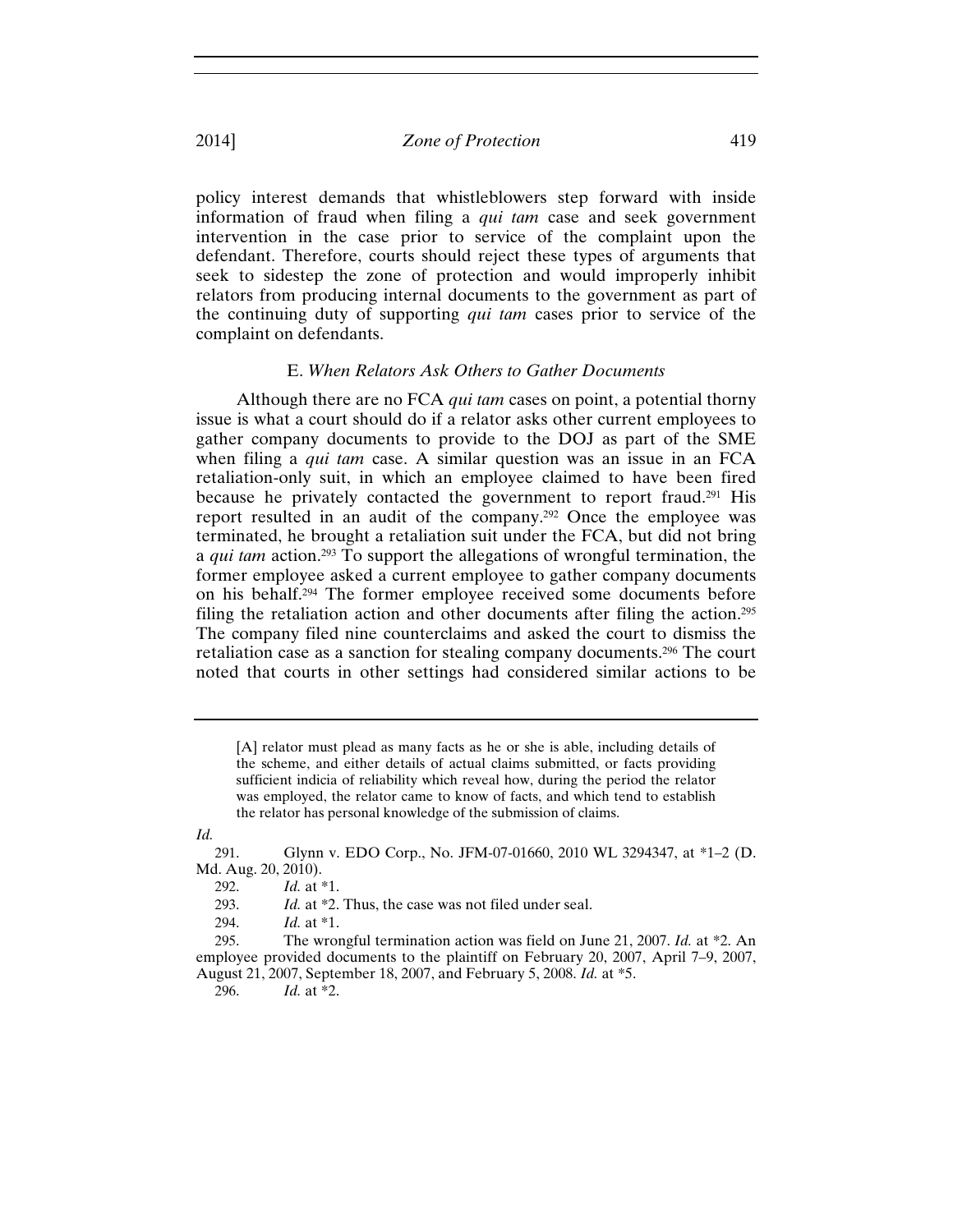policy interest demands that whistleblowers step forward with inside information of fraud when filing a *qui tam* case and seek government intervention in the case prior to service of the complaint upon the defendant. Therefore, courts should reject these types of arguments that seek to sidestep the zone of protection and would improperly inhibit relators from producing internal documents to the government as part of the continuing duty of supporting *qui tam* cases prior to service of the complaint on defendants.

## E. *When Relators Ask Others to Gather Documents*

Although there are no FCA *qui tam* cases on point, a potential thorny issue is what a court should do if a relator asks other current employees to gather company documents to provide to the DOJ as part of the SME when filing a *qui tam* case. A similar question was an issue in an FCA retaliation-only suit, in which an employee claimed to have been fired because he privately contacted the government to report fraud.291 His report resulted in an audit of the company.292 Once the employee was terminated, he brought a retaliation suit under the FCA, but did not bring a *qui tam* action.293 To support the allegations of wrongful termination, the former employee asked a current employee to gather company documents on his behalf.294 The former employee received some documents before filing the retaliation action and other documents after filing the action.295 The company filed nine counterclaims and asked the court to dismiss the retaliation case as a sanction for stealing company documents.296 The court noted that courts in other settings had considered similar actions to be

*Id.*

<sup>[</sup>A] relator must plead as many facts as he or she is able, including details of the scheme, and either details of actual claims submitted, or facts providing sufficient indicia of reliability which reveal how, during the period the relator was employed, the relator came to know of facts, and which tend to establish the relator has personal knowledge of the submission of claims.

<sup>291.</sup> Glynn v. EDO Corp., No. JFM-07-01660, 2010 WL 3294347, at \*1–2 (D. Md. Aug. 20, 2010).

<sup>292.</sup> *Id.* at \*1.

<sup>293.</sup> *Id.* at \*2. Thus, the case was not filed under seal.

<sup>294.</sup> *Id.* at \*1.

<sup>295.</sup> The wrongful termination action was field on June 21, 2007. *Id.* at \*2. An employee provided documents to the plaintiff on February 20, 2007, April 7–9, 2007, August 21, 2007, September 18, 2007, and February 5, 2008. *Id.* at \*5.

<sup>296.</sup> *Id.* at \*2.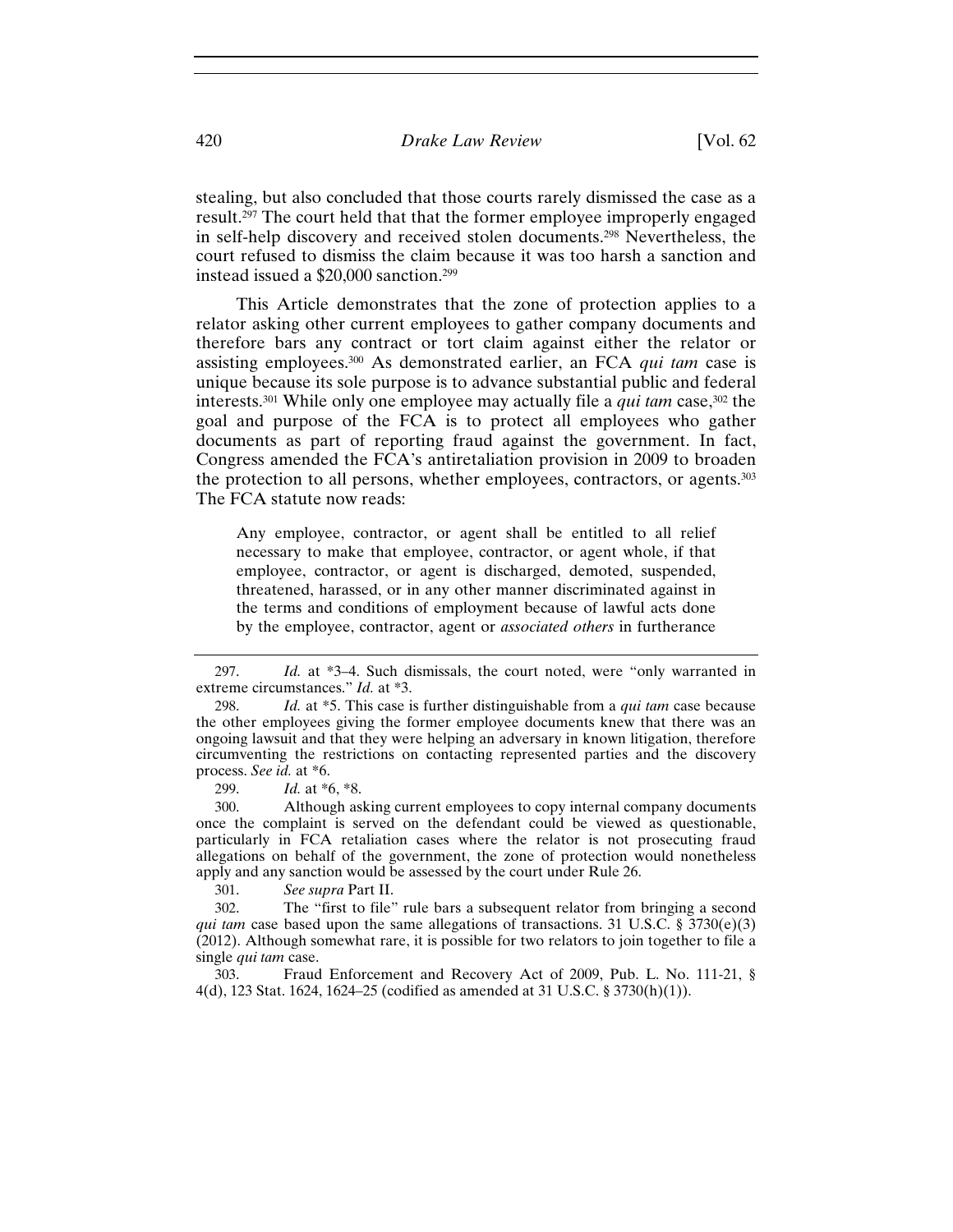stealing, but also concluded that those courts rarely dismissed the case as a result.297 The court held that that the former employee improperly engaged in self-help discovery and received stolen documents.298 Nevertheless, the court refused to dismiss the claim because it was too harsh a sanction and instead issued a \$20,000 sanction.299

This Article demonstrates that the zone of protection applies to a relator asking other current employees to gather company documents and therefore bars any contract or tort claim against either the relator or assisting employees.300 As demonstrated earlier, an FCA *qui tam* case is unique because its sole purpose is to advance substantial public and federal interests.301 While only one employee may actually file a *qui tam* case,302 the goal and purpose of the FCA is to protect all employees who gather documents as part of reporting fraud against the government. In fact, Congress amended the FCA's antiretaliation provision in 2009 to broaden the protection to all persons, whether employees, contractors, or agents.303 The FCA statute now reads:

Any employee, contractor, or agent shall be entitled to all relief necessary to make that employee, contractor, or agent whole, if that employee, contractor, or agent is discharged, demoted, suspended, threatened, harassed, or in any other manner discriminated against in the terms and conditions of employment because of lawful acts done by the employee, contractor, agent or *associated others* in furtherance

299. *Id.* at \*6, \*8.

300. Although asking current employees to copy internal company documents once the complaint is served on the defendant could be viewed as questionable, particularly in FCA retaliation cases where the relator is not prosecuting fraud allegations on behalf of the government, the zone of protection would nonetheless apply and any sanction would be assessed by the court under Rule 26.

301. *See supra* Part II.

302. The "first to file" rule bars a subsequent relator from bringing a second *qui tam* case based upon the same allegations of transactions. 31 U.S.C. § 3730(e)(3) (2012). Although somewhat rare, it is possible for two relators to join together to file a single *qui tam* case.

303. Fraud Enforcement and Recovery Act of 2009, Pub. L. No. 111-21, § 4(d), 123 Stat. 1624, 1624–25 (codified as amended at 31 U.S.C. § 3730(h)(1)).

<sup>297.</sup> *Id.* at \*3–4. Such dismissals, the court noted, were "only warranted in extreme circumstances." *Id.* at \*3.

<sup>298.</sup> *Id.* at \*5. This case is further distinguishable from a *qui tam* case because the other employees giving the former employee documents knew that there was an ongoing lawsuit and that they were helping an adversary in known litigation, therefore circumventing the restrictions on contacting represented parties and the discovery process. *See id.* at \*6.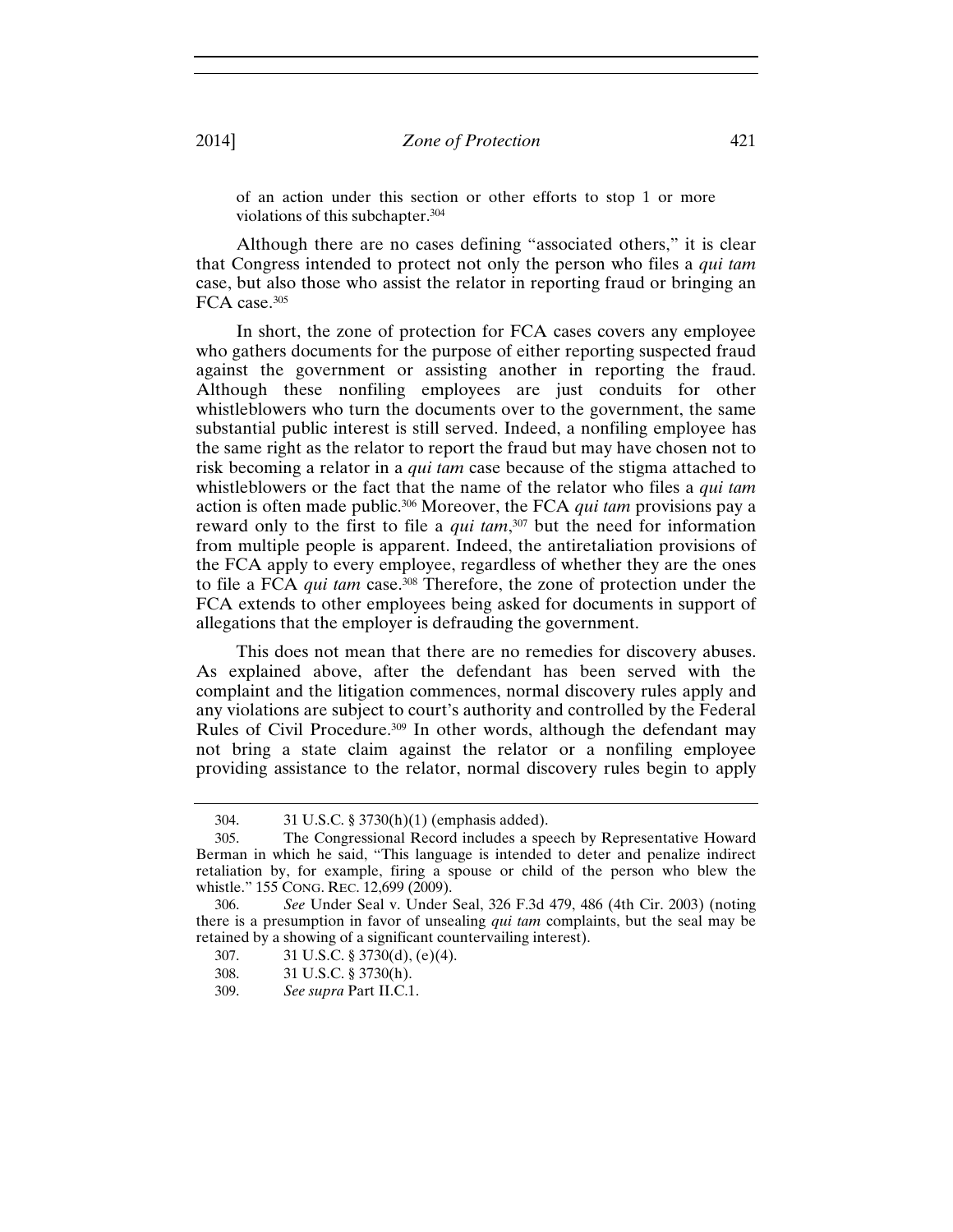of an action under this section or other efforts to stop 1 or more violations of this subchapter.304

Although there are no cases defining "associated others," it is clear that Congress intended to protect not only the person who files a *qui tam*  case, but also those who assist the relator in reporting fraud or bringing an FCA case.<sup>305</sup>

In short, the zone of protection for FCA cases covers any employee who gathers documents for the purpose of either reporting suspected fraud against the government or assisting another in reporting the fraud. Although these nonfiling employees are just conduits for other whistleblowers who turn the documents over to the government, the same substantial public interest is still served. Indeed, a nonfiling employee has the same right as the relator to report the fraud but may have chosen not to risk becoming a relator in a *qui tam* case because of the stigma attached to whistleblowers or the fact that the name of the relator who files a *qui tam* action is often made public.306 Moreover, the FCA *qui tam* provisions pay a reward only to the first to file a *qui tam*, 307 but the need for information from multiple people is apparent. Indeed, the antiretaliation provisions of the FCA apply to every employee, regardless of whether they are the ones to file a FCA *qui tam* case.308 Therefore, the zone of protection under the FCA extends to other employees being asked for documents in support of allegations that the employer is defrauding the government.

This does not mean that there are no remedies for discovery abuses. As explained above, after the defendant has been served with the complaint and the litigation commences, normal discovery rules apply and any violations are subject to court's authority and controlled by the Federal Rules of Civil Procedure.309 In other words, although the defendant may not bring a state claim against the relator or a nonfiling employee providing assistance to the relator, normal discovery rules begin to apply

<sup>304. 31</sup> U.S.C. § 3730(h)(1) (emphasis added).

<sup>305.</sup> The Congressional Record includes a speech by Representative Howard Berman in which he said, "This language is intended to deter and penalize indirect retaliation by, for example, firing a spouse or child of the person who blew the whistle." 155 CONG. REC. 12,699 (2009).

<sup>306.</sup> *See* Under Seal v. Under Seal, 326 F.3d 479, 486 (4th Cir. 2003) (noting there is a presumption in favor of unsealing *qui tam* complaints, but the seal may be retained by a showing of a significant countervailing interest).

<sup>307. 31</sup> U.S.C. § 3730(d), (e)(4).

<sup>308. 31</sup> U.S.C. § 3730(h).

<sup>309.</sup> *See supra* Part II.C.1.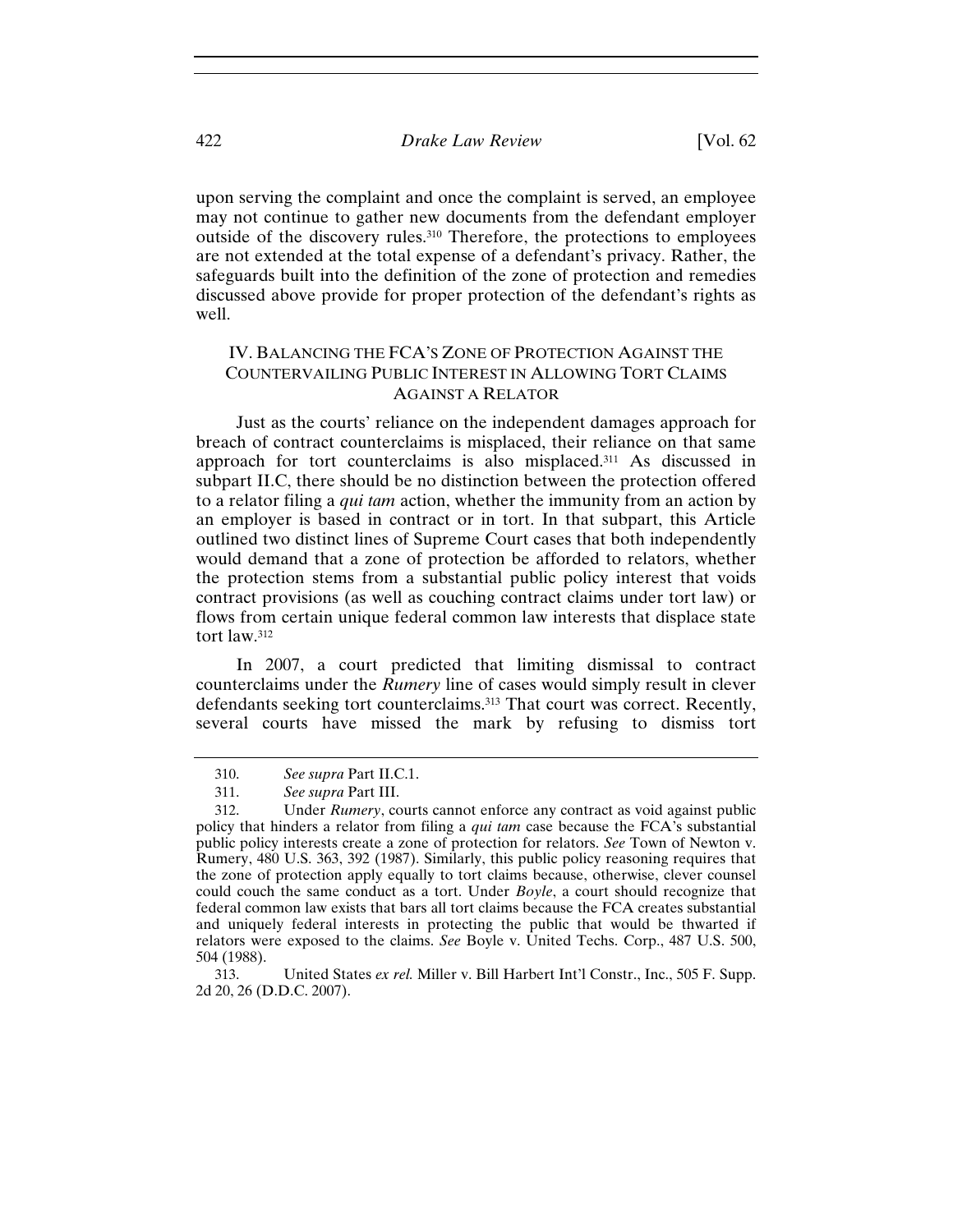upon serving the complaint and once the complaint is served, an employee may not continue to gather new documents from the defendant employer outside of the discovery rules.310 Therefore, the protections to employees are not extended at the total expense of a defendant's privacy. Rather, the safeguards built into the definition of the zone of protection and remedies discussed above provide for proper protection of the defendant's rights as well.

## IV. BALANCING THE FCA'S ZONE OF PROTECTION AGAINST THE COUNTERVAILING PUBLIC INTEREST IN ALLOWING TORT CLAIMS AGAINST A RELATOR

Just as the courts' reliance on the independent damages approach for breach of contract counterclaims is misplaced, their reliance on that same approach for tort counterclaims is also misplaced.311 As discussed in subpart II.C, there should be no distinction between the protection offered to a relator filing a *qui tam* action, whether the immunity from an action by an employer is based in contract or in tort. In that subpart, this Article outlined two distinct lines of Supreme Court cases that both independently would demand that a zone of protection be afforded to relators, whether the protection stems from a substantial public policy interest that voids contract provisions (as well as couching contract claims under tort law) or flows from certain unique federal common law interests that displace state tort law.312

In 2007, a court predicted that limiting dismissal to contract counterclaims under the *Rumery* line of cases would simply result in clever defendants seeking tort counterclaims.313 That court was correct. Recently, several courts have missed the mark by refusing to dismiss tort

<sup>310.</sup> *See supra* Part II.C.1.

<sup>311.</sup> *See supra* Part III.

<sup>312.</sup> Under *Rumery*, courts cannot enforce any contract as void against public policy that hinders a relator from filing a *qui tam* case because the FCA's substantial public policy interests create a zone of protection for relators. *See* Town of Newton v. Rumery, 480 U.S. 363, 392 (1987). Similarly, this public policy reasoning requires that the zone of protection apply equally to tort claims because, otherwise, clever counsel could couch the same conduct as a tort. Under *Boyle*, a court should recognize that federal common law exists that bars all tort claims because the FCA creates substantial and uniquely federal interests in protecting the public that would be thwarted if relators were exposed to the claims. *See* Boyle v. United Techs. Corp., 487 U.S. 500, 504 (1988).

<sup>313.</sup> United States *ex rel.* Miller v. Bill Harbert Int'l Constr., Inc., 505 F. Supp. 2d 20, 26 (D.D.C. 2007).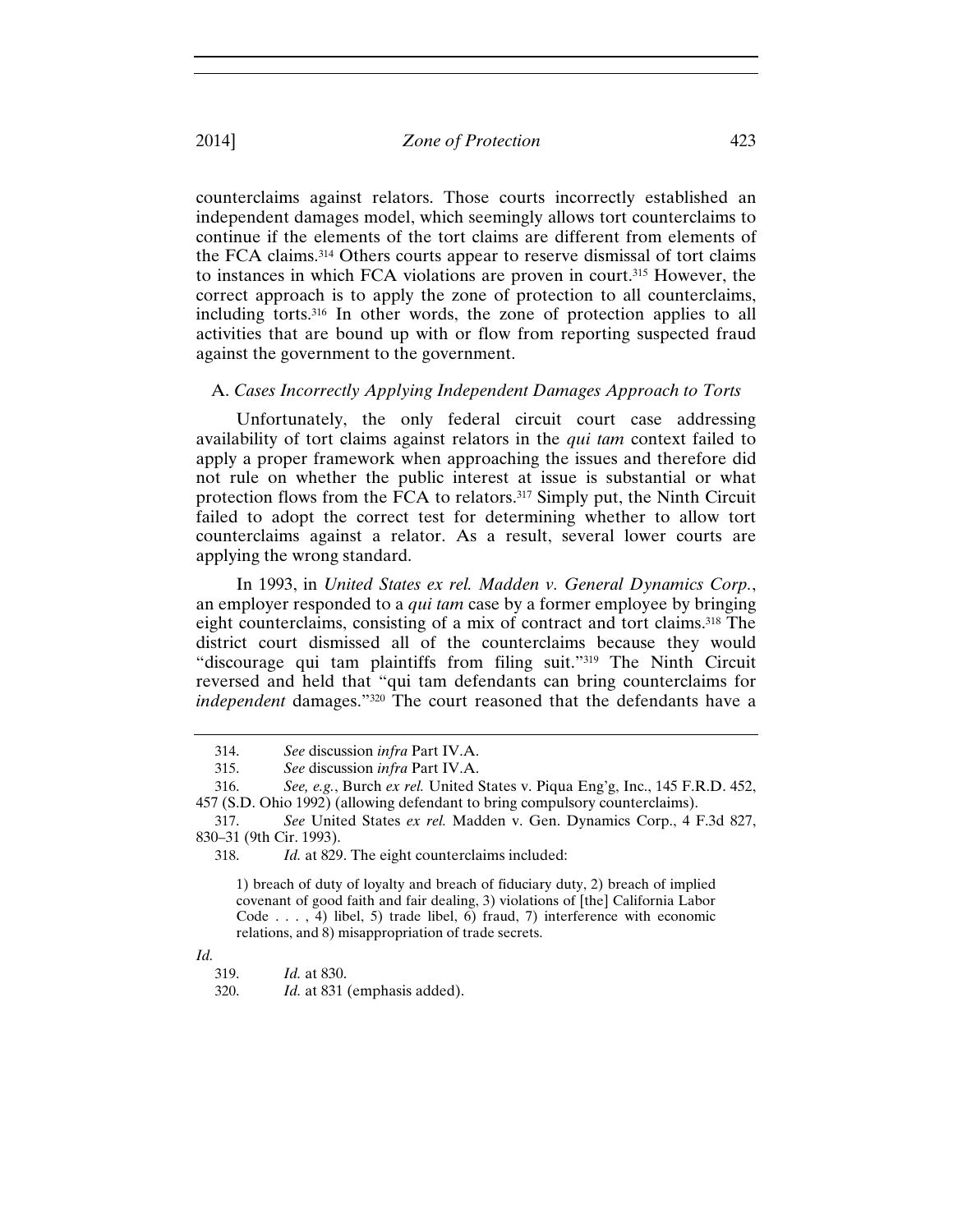counterclaims against relators. Those courts incorrectly established an independent damages model, which seemingly allows tort counterclaims to continue if the elements of the tort claims are different from elements of the FCA claims.314 Others courts appear to reserve dismissal of tort claims to instances in which FCA violations are proven in court.315 However, the correct approach is to apply the zone of protection to all counterclaims, including torts.316 In other words, the zone of protection applies to all activities that are bound up with or flow from reporting suspected fraud against the government to the government.

## A. *Cases Incorrectly Applying Independent Damages Approach to Torts*

Unfortunately, the only federal circuit court case addressing availability of tort claims against relators in the *qui tam* context failed to apply a proper framework when approaching the issues and therefore did not rule on whether the public interest at issue is substantial or what protection flows from the FCA to relators.317 Simply put, the Ninth Circuit failed to adopt the correct test for determining whether to allow tort counterclaims against a relator. As a result, several lower courts are applying the wrong standard.

In 1993, in *United States ex rel. Madden v. General Dynamics Corp.*, an employer responded to a *qui tam* case by a former employee by bringing eight counterclaims, consisting of a mix of contract and tort claims.<sup>318</sup> The district court dismissed all of the counterclaims because they would "discourage qui tam plaintiffs from filing suit."319 The Ninth Circuit reversed and held that "qui tam defendants can bring counterclaims for *independent* damages."320 The court reasoned that the defendants have a

1) breach of duty of loyalty and breach of fiduciary duty, 2) breach of implied covenant of good faith and fair dealing, 3) violations of [the] California Labor Code . . . , 4) libel, 5) trade libel, 6) fraud, 7) interference with economic relations, and 8) misappropriation of trade secrets.

320. *Id.* at 831 (emphasis added).

<sup>314.</sup> *See* discussion *infra* Part IV.A.

<sup>315.</sup> *See* discussion *infra* Part IV.A.

<sup>316.</sup> *See, e.g.*, Burch *ex rel.* United States v. Piqua Eng'g, Inc., 145 F.R.D. 452, 457 (S.D. Ohio 1992) (allowing defendant to bring compulsory counterclaims).

<sup>317.</sup> *See* United States *ex rel.* Madden v. Gen. Dynamics Corp., 4 F.3d 827, 830–31 (9th Cir. 1993).

<sup>318.</sup> *Id.* at 829. The eight counterclaims included:

*Id.*

<sup>319.</sup> *Id.* at 830.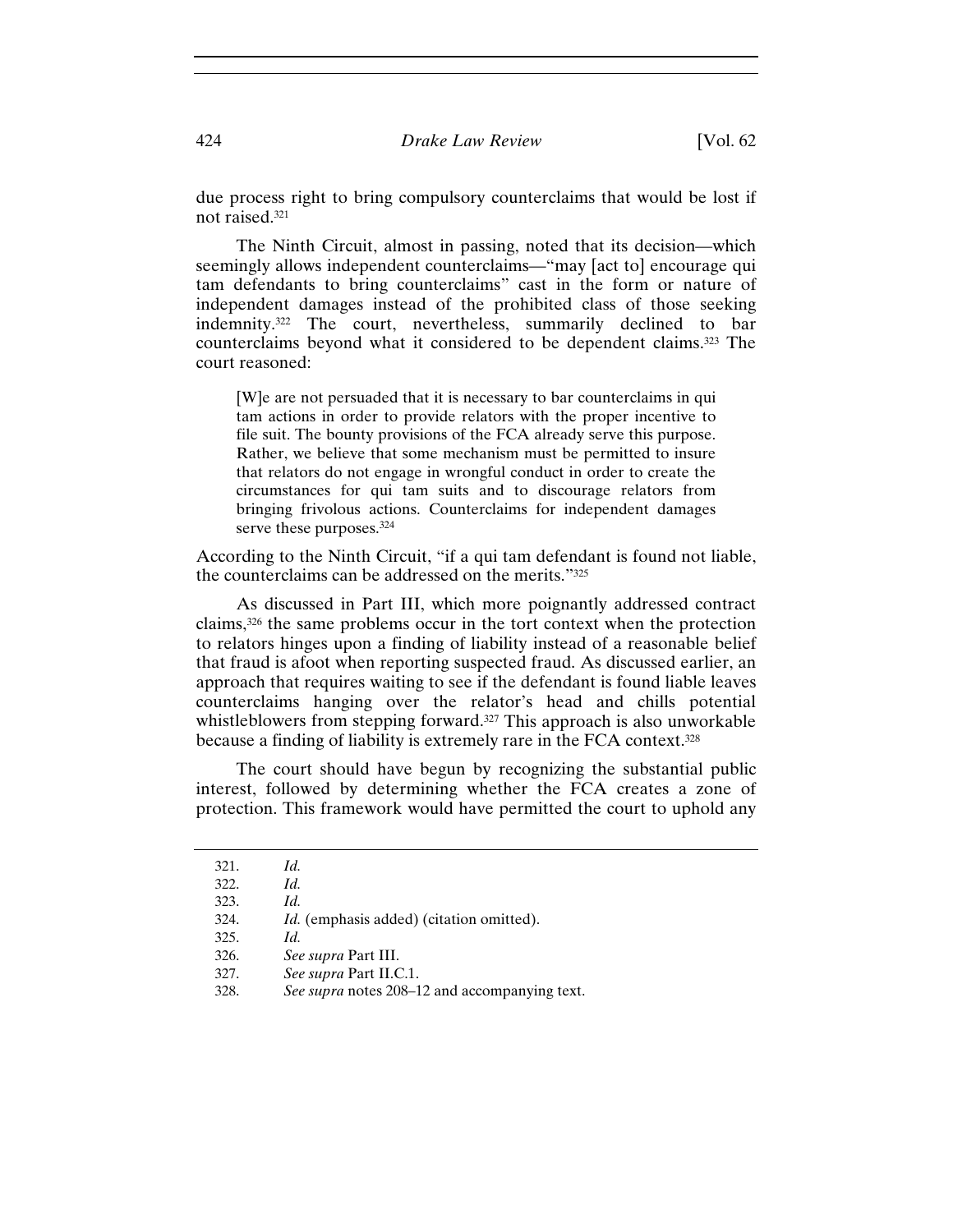due process right to bring compulsory counterclaims that would be lost if not raised.321

The Ninth Circuit, almost in passing, noted that its decision—which seemingly allows independent counterclaims—"may [act to] encourage qui tam defendants to bring counterclaims" cast in the form or nature of independent damages instead of the prohibited class of those seeking indemnity.322 The court, nevertheless, summarily declined to bar counterclaims beyond what it considered to be dependent claims.323 The court reasoned:

[W]e are not persuaded that it is necessary to bar counterclaims in qui tam actions in order to provide relators with the proper incentive to file suit. The bounty provisions of the FCA already serve this purpose. Rather, we believe that some mechanism must be permitted to insure that relators do not engage in wrongful conduct in order to create the circumstances for qui tam suits and to discourage relators from bringing frivolous actions. Counterclaims for independent damages serve these purposes.<sup>324</sup>

According to the Ninth Circuit, "if a qui tam defendant is found not liable, the counterclaims can be addressed on the merits."325

As discussed in Part III, which more poignantly addressed contract claims,326 the same problems occur in the tort context when the protection to relators hinges upon a finding of liability instead of a reasonable belief that fraud is afoot when reporting suspected fraud. As discussed earlier, an approach that requires waiting to see if the defendant is found liable leaves counterclaims hanging over the relator's head and chills potential whistleblowers from stepping forward.<sup>327</sup> This approach is also unworkable because a finding of liability is extremely rare in the FCA context.328

The court should have begun by recognizing the substantial public interest, followed by determining whether the FCA creates a zone of protection. This framework would have permitted the court to uphold any

| 321. | Id.                                             |
|------|-------------------------------------------------|
| 322. | Id.                                             |
| 323. | Id.                                             |
| 324. | <i>Id.</i> (emphasis added) (citation omitted). |
| 325. | Id.                                             |
| 326. | <i>See supra</i> Part III.                      |
| 327. | See supra Part II.C.1.                          |
| 328. | See supra notes 208–12 and accompanying text.   |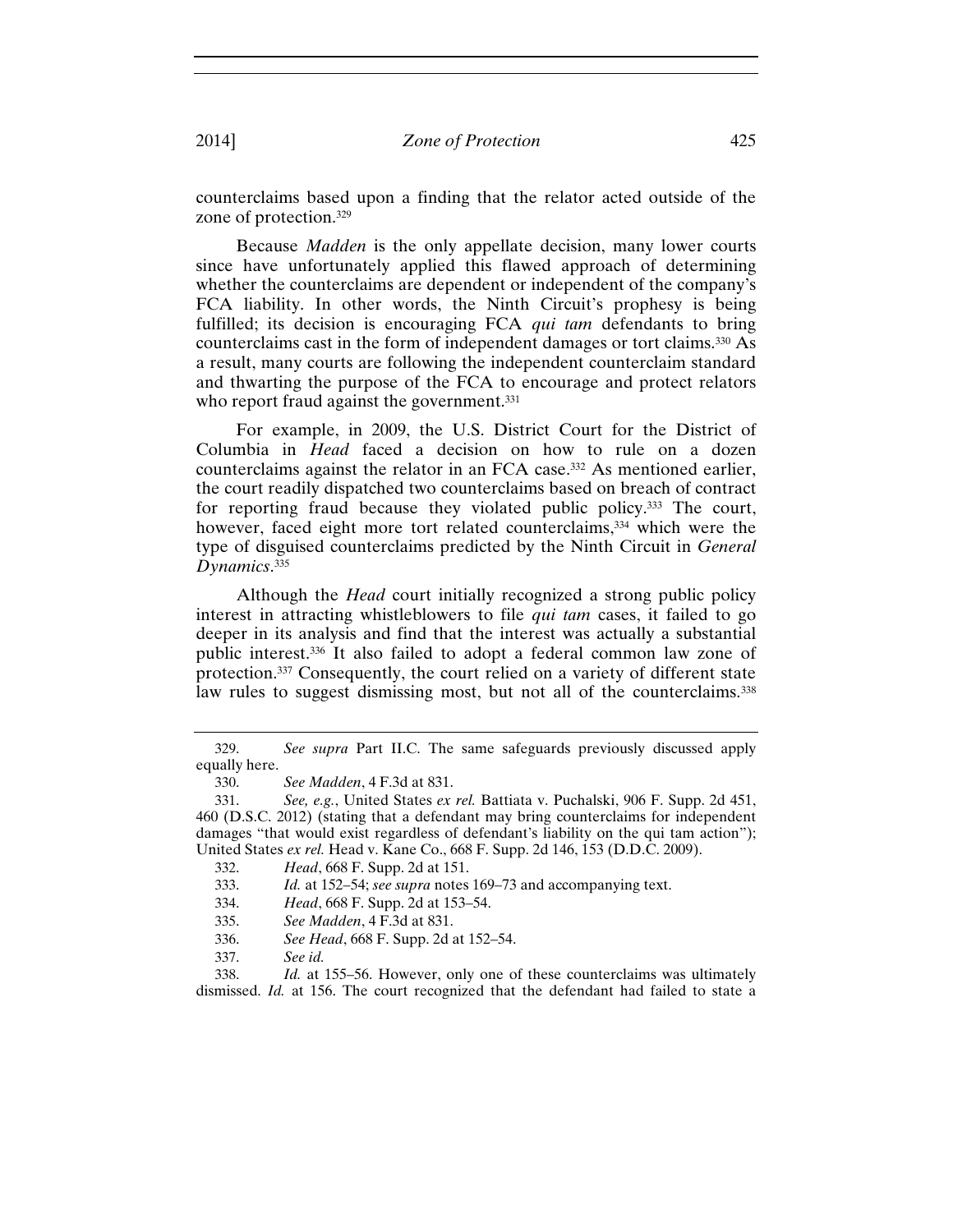counterclaims based upon a finding that the relator acted outside of the zone of protection.329

Because *Madden* is the only appellate decision, many lower courts since have unfortunately applied this flawed approach of determining whether the counterclaims are dependent or independent of the company's FCA liability. In other words, the Ninth Circuit's prophesy is being fulfilled; its decision is encouraging FCA *qui tam* defendants to bring counterclaims cast in the form of independent damages or tort claims.330 As a result, many courts are following the independent counterclaim standard and thwarting the purpose of the FCA to encourage and protect relators who report fraud against the government.<sup>331</sup>

For example, in 2009, the U.S. District Court for the District of Columbia in *Head* faced a decision on how to rule on a dozen counterclaims against the relator in an FCA case.332 As mentioned earlier, the court readily dispatched two counterclaims based on breach of contract for reporting fraud because they violated public policy.333 The court, however, faced eight more tort related counterclaims,<sup>334</sup> which were the type of disguised counterclaims predicted by the Ninth Circuit in *General Dynamics*. 335

Although the *Head* court initially recognized a strong public policy interest in attracting whistleblowers to file *qui tam* cases, it failed to go deeper in its analysis and find that the interest was actually a substantial public interest.336 It also failed to adopt a federal common law zone of protection.337 Consequently, the court relied on a variety of different state law rules to suggest dismissing most, but not all of the counterclaims.<sup>338</sup>

<sup>329.</sup> *See supra* Part II.C. The same safeguards previously discussed apply equally here.

<sup>330.</sup> *See Madden*, 4 F.3d at 831.

<sup>331.</sup> *See, e.g.*, United States *ex rel.* Battiata v. Puchalski, 906 F. Supp. 2d 451, 460 (D.S.C. 2012) (stating that a defendant may bring counterclaims for independent damages "that would exist regardless of defendant's liability on the qui tam action"); United States *ex rel.* Head v. Kane Co., 668 F. Supp. 2d 146, 153 (D.D.C. 2009).

<sup>332.</sup> *Head*, 668 F. Supp. 2d at 151.

<sup>333.</sup> *Id.* at 152–54; *see supra* notes 169–73 and accompanying text.

<sup>334.</sup> *Head*, 668 F. Supp. 2d at 153–54.

<sup>335.</sup> *See Madden*, 4 F.3d at 831.

<sup>336.</sup> *See Head*, 668 F. Supp. 2d at 152–54.

<sup>337.</sup> *See id.*

<sup>338.</sup> *Id.* at 155–56. However, only one of these counterclaims was ultimately dismissed. *Id.* at 156. The court recognized that the defendant had failed to state a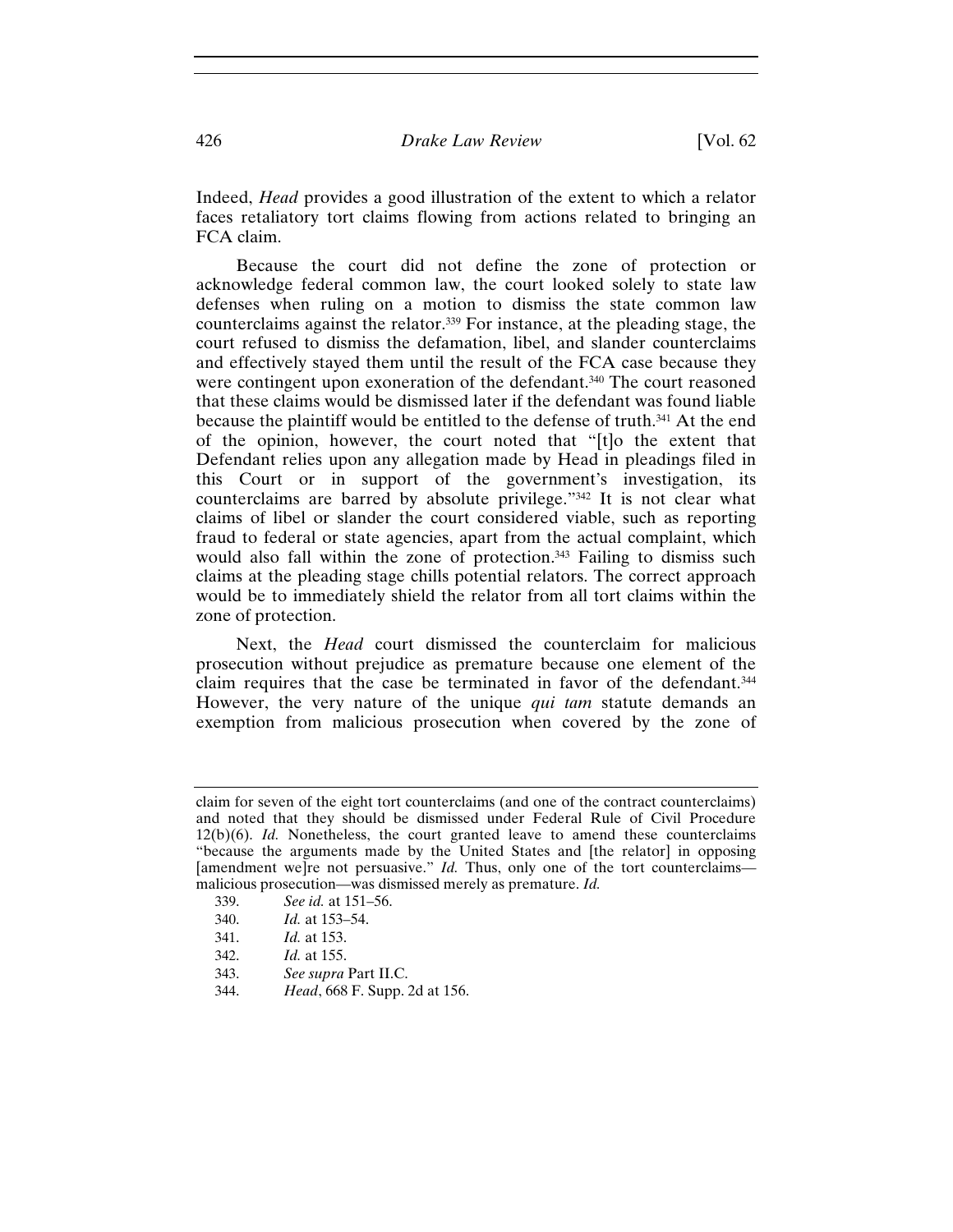Indeed, *Head* provides a good illustration of the extent to which a relator faces retaliatory tort claims flowing from actions related to bringing an FCA claim.

Because the court did not define the zone of protection or acknowledge federal common law, the court looked solely to state law defenses when ruling on a motion to dismiss the state common law counterclaims against the relator.339 For instance, at the pleading stage, the court refused to dismiss the defamation, libel, and slander counterclaims and effectively stayed them until the result of the FCA case because they were contingent upon exoneration of the defendant.340 The court reasoned that these claims would be dismissed later if the defendant was found liable because the plaintiff would be entitled to the defense of truth.341 At the end of the opinion, however, the court noted that "[t]o the extent that Defendant relies upon any allegation made by Head in pleadings filed in this Court or in support of the government's investigation, its counterclaims are barred by absolute privilege."342 It is not clear what claims of libel or slander the court considered viable, such as reporting fraud to federal or state agencies, apart from the actual complaint, which would also fall within the zone of protection.<sup>343</sup> Failing to dismiss such claims at the pleading stage chills potential relators. The correct approach would be to immediately shield the relator from all tort claims within the zone of protection.

Next, the *Head* court dismissed the counterclaim for malicious prosecution without prejudice as premature because one element of the claim requires that the case be terminated in favor of the defendant.344 However, the very nature of the unique *qui tam* statute demands an exemption from malicious prosecution when covered by the zone of

- 339. *See id.* at 151–56.
- 340. *Id.* at 153–54.
- 341. *Id.* at 153.
- 342. *Id.* at 155.
- 343. *See supra* Part II.C.
- 344. *Head*, 668 F. Supp. 2d at 156.

claim for seven of the eight tort counterclaims (and one of the contract counterclaims) and noted that they should be dismissed under Federal Rule of Civil Procedure 12(b)(6). *Id.* Nonetheless, the court granted leave to amend these counterclaims "because the arguments made by the United States and [the relator] in opposing [amendment we]re not persuasive." *Id.* Thus, only one of the tort counterclaims malicious prosecution—was dismissed merely as premature. *Id.*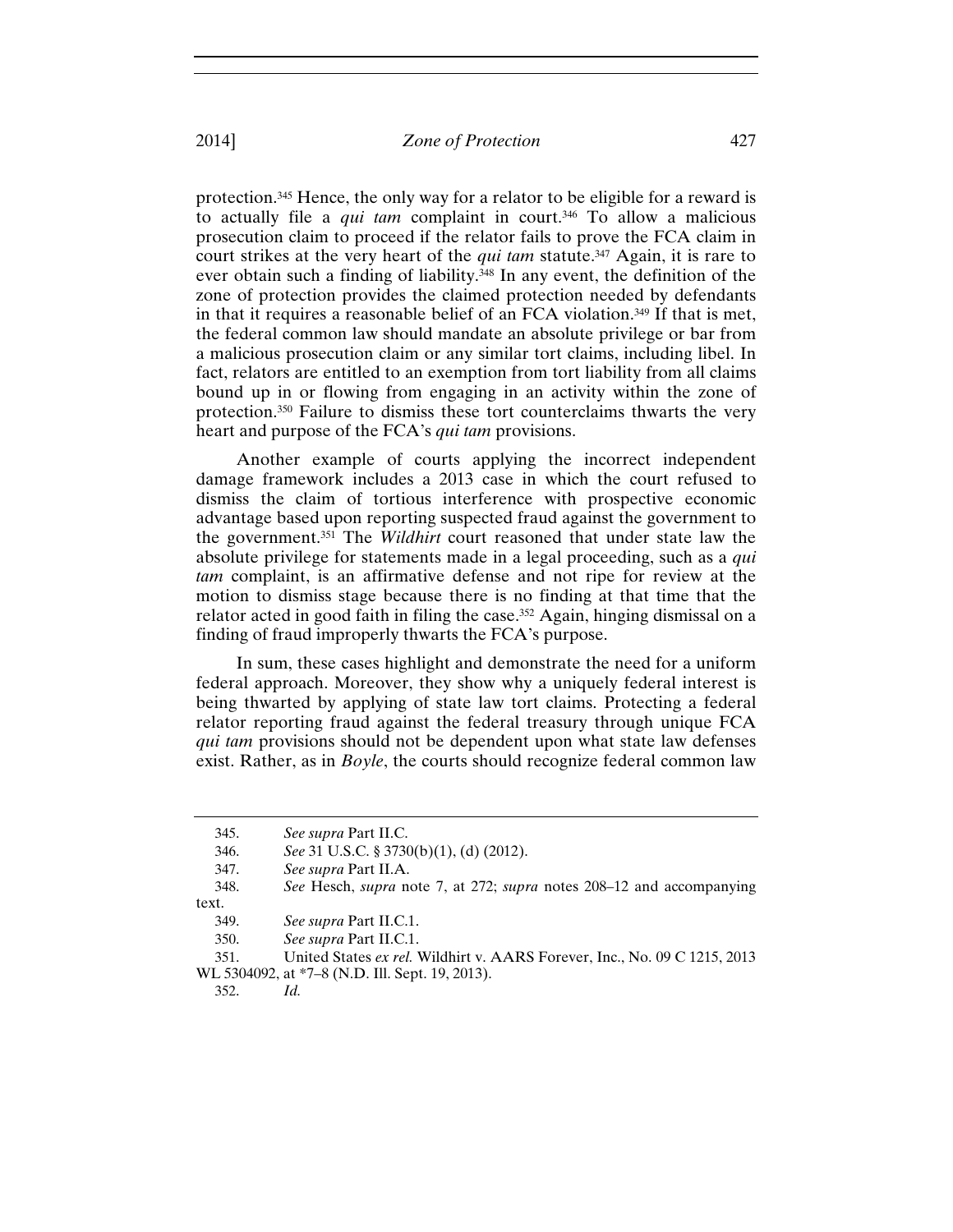protection.345 Hence, the only way for a relator to be eligible for a reward is to actually file a *qui tam* complaint in court.346 To allow a malicious prosecution claim to proceed if the relator fails to prove the FCA claim in court strikes at the very heart of the *qui tam* statute.<sup>347</sup> Again, it is rare to ever obtain such a finding of liability.<sup>348</sup> In any event, the definition of the zone of protection provides the claimed protection needed by defendants in that it requires a reasonable belief of an FCA violation.349 If that is met, the federal common law should mandate an absolute privilege or bar from a malicious prosecution claim or any similar tort claims, including libel. In fact, relators are entitled to an exemption from tort liability from all claims bound up in or flowing from engaging in an activity within the zone of protection.350 Failure to dismiss these tort counterclaims thwarts the very heart and purpose of the FCA's *qui tam* provisions.

Another example of courts applying the incorrect independent damage framework includes a 2013 case in which the court refused to dismiss the claim of tortious interference with prospective economic advantage based upon reporting suspected fraud against the government to the government.351 The *Wildhirt* court reasoned that under state law the absolute privilege for statements made in a legal proceeding, such as a *qui tam* complaint, is an affirmative defense and not ripe for review at the motion to dismiss stage because there is no finding at that time that the relator acted in good faith in filing the case.352 Again, hinging dismissal on a finding of fraud improperly thwarts the FCA's purpose.

In sum, these cases highlight and demonstrate the need for a uniform federal approach. Moreover, they show why a uniquely federal interest is being thwarted by applying of state law tort claims. Protecting a federal relator reporting fraud against the federal treasury through unique FCA *qui tam* provisions should not be dependent upon what state law defenses exist. Rather, as in *Boyle*, the courts should recognize federal common law

352. *Id.*

<sup>345.</sup> *See supra* Part II.C.

<sup>346.</sup> *See* 31 U.S.C. § 3730(b)(1), (d) (2012).

<sup>347.</sup> *See supra* Part II.A.

<sup>348.</sup> *See* Hesch, *supra* note 7, at 272; *supra* notes 208–12 and accompanying text.

<sup>349.</sup> *See supra* Part II.C.1.

<sup>350.</sup> *See supra* Part II.C.1.

<sup>351.</sup> United States *ex rel.* Wildhirt v. AARS Forever, Inc., No. 09 C 1215, 2013 WL 5304092, at \*7–8 (N.D. Ill. Sept. 19, 2013).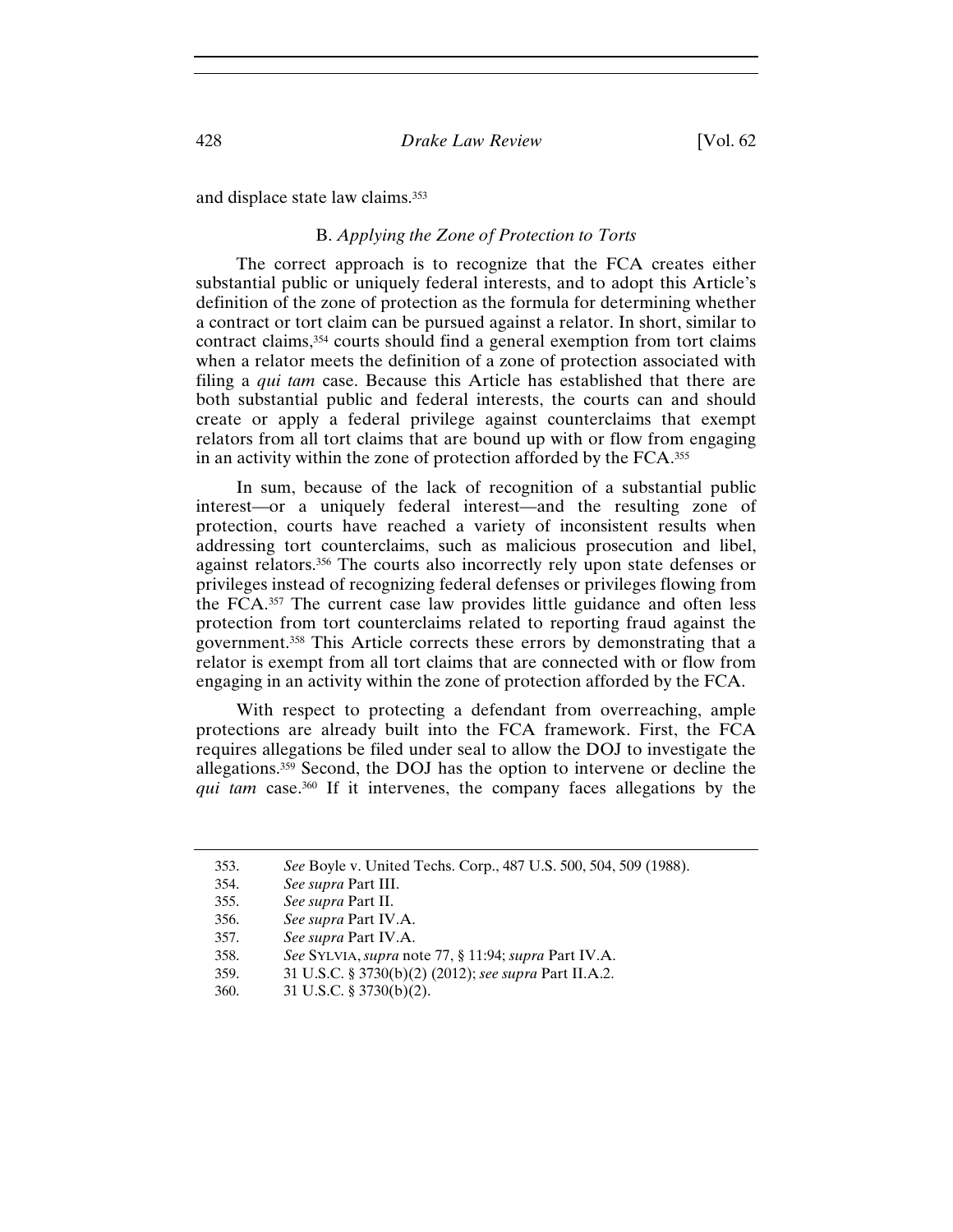and displace state law claims.353

## B. *Applying the Zone of Protection to Torts*

The correct approach is to recognize that the FCA creates either substantial public or uniquely federal interests, and to adopt this Article's definition of the zone of protection as the formula for determining whether a contract or tort claim can be pursued against a relator. In short, similar to contract claims,354 courts should find a general exemption from tort claims when a relator meets the definition of a zone of protection associated with filing a *qui tam* case. Because this Article has established that there are both substantial public and federal interests, the courts can and should create or apply a federal privilege against counterclaims that exempt relators from all tort claims that are bound up with or flow from engaging in an activity within the zone of protection afforded by the FCA.355

In sum, because of the lack of recognition of a substantial public interest—or a uniquely federal interest—and the resulting zone of protection, courts have reached a variety of inconsistent results when addressing tort counterclaims, such as malicious prosecution and libel, against relators.356 The courts also incorrectly rely upon state defenses or privileges instead of recognizing federal defenses or privileges flowing from the FCA.357 The current case law provides little guidance and often less protection from tort counterclaims related to reporting fraud against the government.358 This Article corrects these errors by demonstrating that a relator is exempt from all tort claims that are connected with or flow from engaging in an activity within the zone of protection afforded by the FCA.

With respect to protecting a defendant from overreaching, ample protections are already built into the FCA framework. First, the FCA requires allegations be filed under seal to allow the DOJ to investigate the allegations.359 Second, the DOJ has the option to intervene or decline the *qui tam* case.360 If it intervenes, the company faces allegations by the

<sup>353.</sup> *See* Boyle v. United Techs. Corp., 487 U.S. 500, 504, 509 (1988).

<sup>354.</sup> *See supra* Part III.

<sup>355.</sup> *See supra* Part II.

<sup>356.</sup> *See supra* Part IV.A.

<sup>357.</sup> *See supra* Part IV.A.

<sup>358.</sup> *See* SYLVIA,*supra* note 77, § 11:94; *supra* Part IV.A.

<sup>359. 31</sup> U.S.C. § 3730(b)(2) (2012); *see supra* Part II.A.2.

<sup>360. 31</sup> U.S.C. § 3730(b)(2).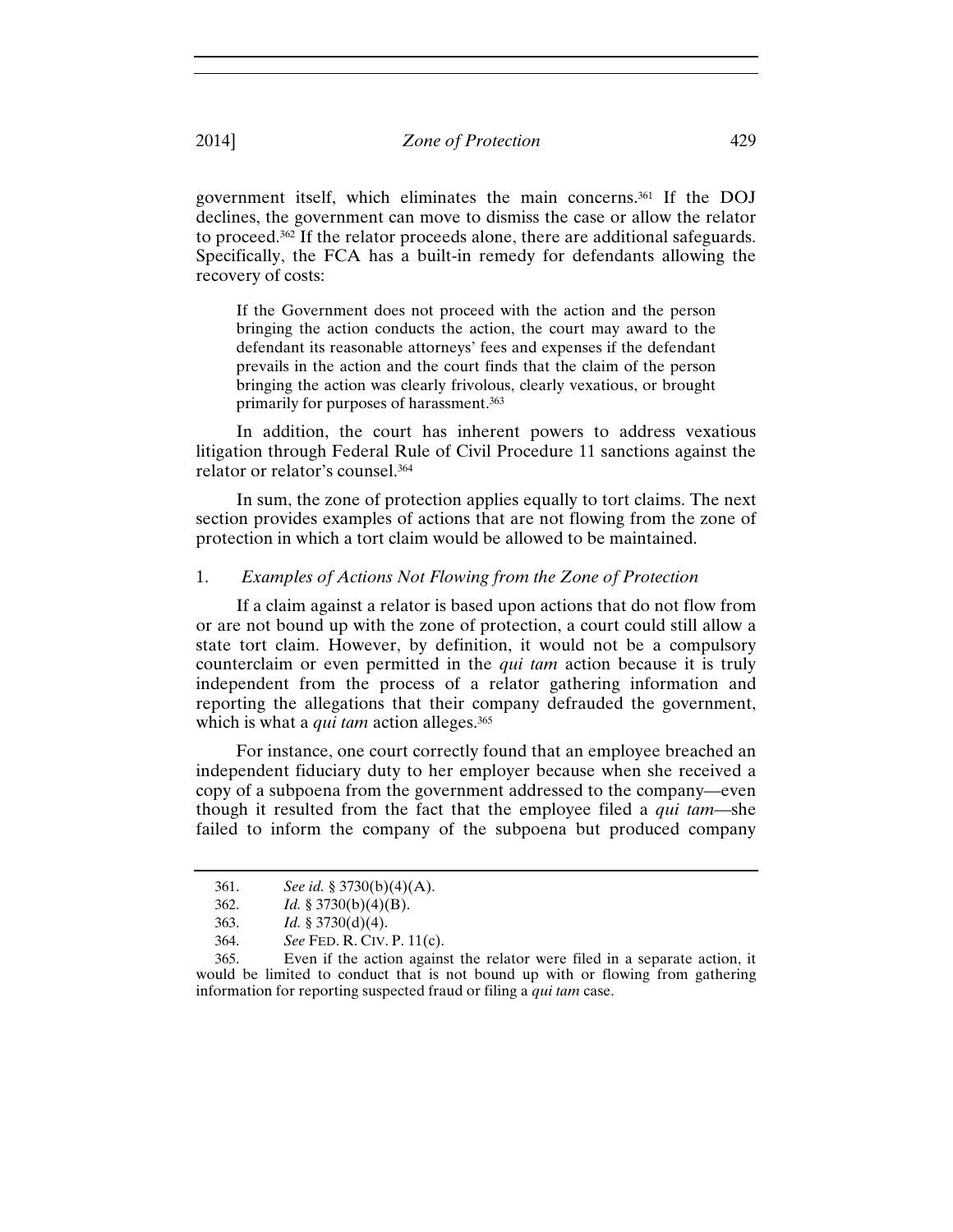government itself, which eliminates the main concerns.361 If the DOJ declines, the government can move to dismiss the case or allow the relator to proceed.362 If the relator proceeds alone, there are additional safeguards. Specifically, the FCA has a built-in remedy for defendants allowing the recovery of costs:

If the Government does not proceed with the action and the person bringing the action conducts the action, the court may award to the defendant its reasonable attorneys' fees and expenses if the defendant prevails in the action and the court finds that the claim of the person bringing the action was clearly frivolous, clearly vexatious, or brought primarily for purposes of harassment.363

In addition, the court has inherent powers to address vexatious litigation through Federal Rule of Civil Procedure 11 sanctions against the relator or relator's counsel.364

In sum, the zone of protection applies equally to tort claims. The next section provides examples of actions that are not flowing from the zone of protection in which a tort claim would be allowed to be maintained.

## 1. *Examples of Actions Not Flowing from the Zone of Protection*

If a claim against a relator is based upon actions that do not flow from or are not bound up with the zone of protection, a court could still allow a state tort claim. However, by definition, it would not be a compulsory counterclaim or even permitted in the *qui tam* action because it is truly independent from the process of a relator gathering information and reporting the allegations that their company defrauded the government, which is what a *qui tam* action alleges.<sup>365</sup>

For instance, one court correctly found that an employee breached an independent fiduciary duty to her employer because when she received a copy of a subpoena from the government addressed to the company—even though it resulted from the fact that the employee filed a *qui tam*—she failed to inform the company of the subpoena but produced company

<sup>361.</sup> *See id.* § 3730(b)(4)(A).

<sup>362.</sup> *Id.* § 3730(b)(4)(B).

<sup>363.</sup> *Id.* § 3730(d)(4).

<sup>364.</sup> *See* FED. R. CIV. P. 11(c).

<sup>365.</sup> Even if the action against the relator were filed in a separate action, it would be limited to conduct that is not bound up with or flowing from gathering information for reporting suspected fraud or filing a *qui tam* case.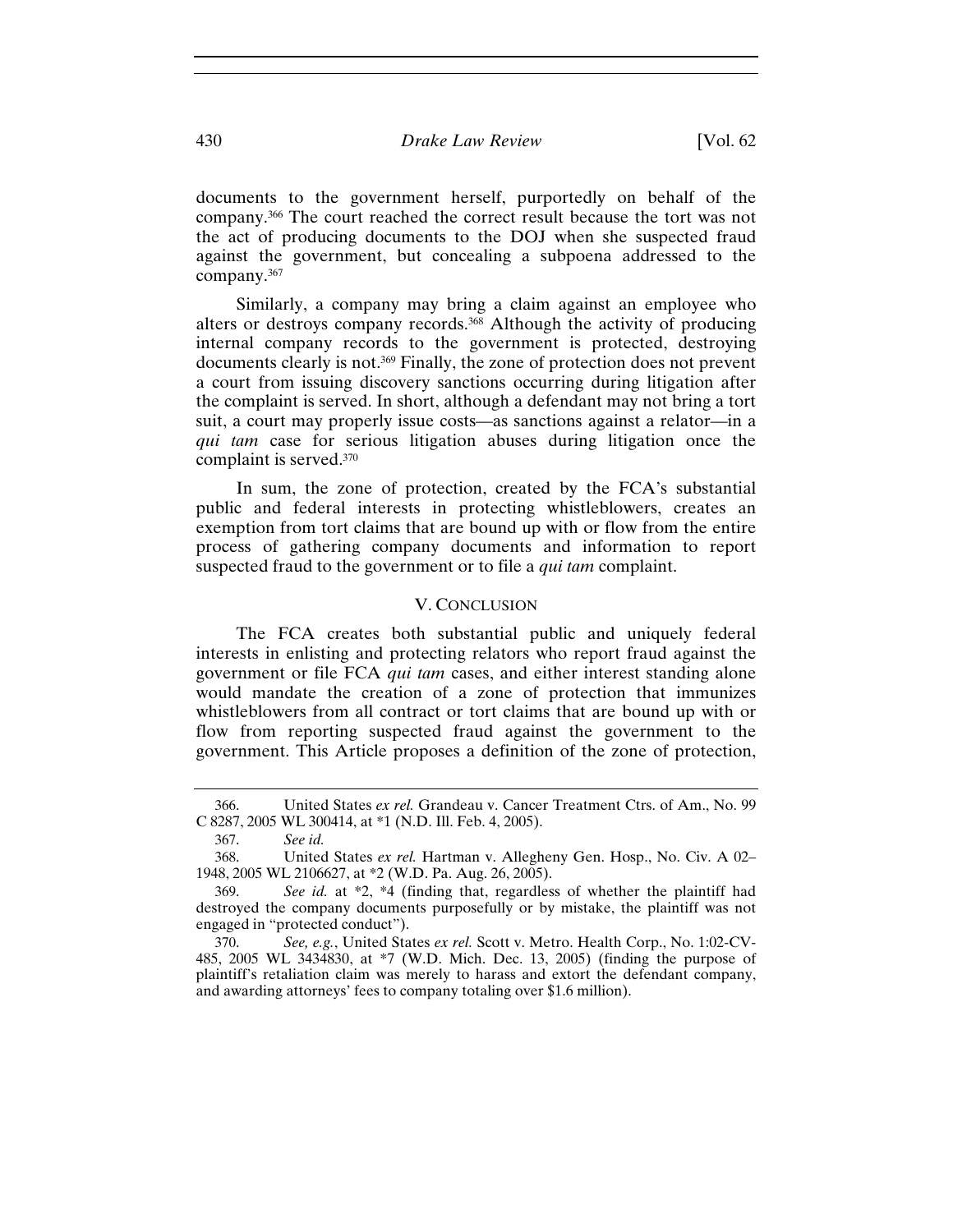documents to the government herself, purportedly on behalf of the company.366 The court reached the correct result because the tort was not the act of producing documents to the DOJ when she suspected fraud against the government, but concealing a subpoena addressed to the company.367

Similarly, a company may bring a claim against an employee who alters or destroys company records.368 Although the activity of producing internal company records to the government is protected, destroying documents clearly is not.369 Finally, the zone of protection does not prevent a court from issuing discovery sanctions occurring during litigation after the complaint is served. In short, although a defendant may not bring a tort suit, a court may properly issue costs—as sanctions against a relator—in a *qui tam* case for serious litigation abuses during litigation once the complaint is served.370

In sum, the zone of protection, created by the FCA's substantial public and federal interests in protecting whistleblowers, creates an exemption from tort claims that are bound up with or flow from the entire process of gathering company documents and information to report suspected fraud to the government or to file a *qui tam* complaint.

## V. CONCLUSION

The FCA creates both substantial public and uniquely federal interests in enlisting and protecting relators who report fraud against the government or file FCA *qui tam* cases, and either interest standing alone would mandate the creation of a zone of protection that immunizes whistleblowers from all contract or tort claims that are bound up with or flow from reporting suspected fraud against the government to the government. This Article proposes a definition of the zone of protection,

<sup>366.</sup> United States *ex rel.* Grandeau v. Cancer Treatment Ctrs. of Am., No. 99 C 8287, 2005 WL 300414, at \*1 (N.D. Ill. Feb. 4, 2005).

<sup>367.</sup> *See id.*

<sup>368.</sup> United States *ex rel.* Hartman v. Allegheny Gen. Hosp., No. Civ. A 02– 1948, 2005 WL 2106627, at \*2 (W.D. Pa. Aug. 26, 2005).

<sup>369.</sup> *See id.* at \*2, \*4 (finding that, regardless of whether the plaintiff had destroyed the company documents purposefully or by mistake, the plaintiff was not engaged in "protected conduct").

<sup>370.</sup> *See, e.g.*, United States *ex rel.* Scott v. Metro. Health Corp., No. 1:02-CV-485, 2005 WL 3434830, at \*7 (W.D. Mich. Dec. 13, 2005) (finding the purpose of plaintiff's retaliation claim was merely to harass and extort the defendant company, and awarding attorneys' fees to company totaling over \$1.6 million).